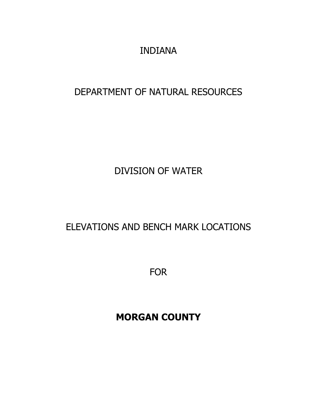INDIANA

# DEPARTMENT OF NATURAL RESOURCES

DIVISION OF WATER

ELEVATIONS AND BENCH MARK LOCATIONS

FOR

**MORGAN COUNTY**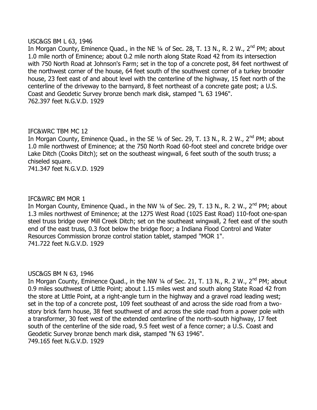#### USC&GS BM L 63, 1946

In Morgan County, Eminence Quad., in the NE 1/4 of Sec. 28, T. 13 N., R. 2 W., 2<sup>nd</sup> PM; about 1.0 mile north of Eminence; about 0.2 mile north along State Road 42 from its intersection with 750 North Road at Johnson's Farm; set in the top of a concrete post, 84 feet northwest of the northwest corner of the house, 64 feet south of the southwest corner of a turkey brooder house, 23 feet east of and about level with the centerline of the highway, 15 feet north of the centerline of the driveway to the barnyard, 8 feet northeast of a concrete gate post; a U.S. Coast and Geodetic Survey bronze bench mark disk, stamped "L 63 1946". 762.397 feet N.G.V.D. 1929

#### IFC&WRC TBM MC 12

In Morgan County, Eminence Quad., in the SE 1/4 of Sec. 29, T. 13 N., R. 2 W., 2<sup>nd</sup> PM; about 1.0 mile northwest of Eminence; at the 750 North Road 60-foot steel and concrete bridge over Lake Ditch (Cooks Ditch); set on the southeast wingwall, 6 feet south of the south truss; a chiseled square.

741.347 feet N.G.V.D. 1929

#### IFC&WRC BM MOR 1

In Morgan County, Eminence Quad., in the NW  $\frac{1}{4}$  of Sec. 29, T. 13 N., R. 2 W., 2<sup>nd</sup> PM; about 1.3 miles northwest of Eminence; at the 1275 West Road (1025 East Road) 110-foot one-span steel truss bridge over Mill Creek Ditch; set on the southeast wingwall, 2 feet east of the south end of the east truss, 0.3 foot below the bridge floor; a Indiana Flood Control and Water Resources Commission bronze control station tablet, stamped "MOR 1". 741.722 feet N.G.V.D. 1929

#### USC&GS BM N 63, 1946

In Morgan County, Eminence Quad., in the NW 1/4 of Sec. 21, T. 13 N., R. 2 W., 2<sup>nd</sup> PM; about 0.9 miles southwest of Little Point; about 1.15 miles west and south along State Road 42 from the store at Little Point, at a right-angle turn in the highway and a gravel road leading west; set in the top of a concrete post, 109 feet southeast of and across the side road from a twostory brick farm house, 38 feet southwest of and across the side road from a power pole with a transformer, 30 feet west of the extended centerline of the north-south highway, 17 feet south of the centerline of the side road, 9.5 feet west of a fence corner; a U.S. Coast and Geodetic Survey bronze bench mark disk, stamped "N 63 1946". 749.165 feet N.G.V.D. 1929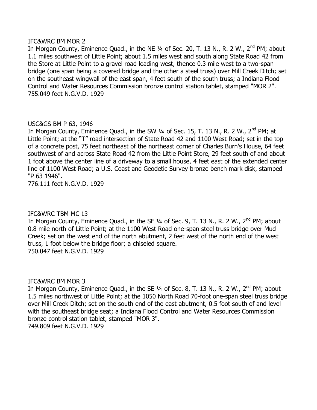#### IFC&WRC BM MOR 2

In Morgan County, Eminence Quad., in the NE 1/4 of Sec. 20, T. 13 N., R. 2 W., 2<sup>nd</sup> PM; about 1.1 miles southwest of Little Point; about 1.5 miles west and south along State Road 42 from the Store at Little Point to a gravel road leading west, thence 0.3 mile west to a two-span bridge (one span being a covered bridge and the other a steel truss) over Mill Creek Ditch; set on the southeast wingwall of the east span, 4 feet south of the south truss; a Indiana Flood Control and Water Resources Commission bronze control station tablet, stamped "MOR 2". 755.049 feet N.G.V.D. 1929

#### USC&GS BM P 63, 1946

In Morgan County, Eminence Quad., in the SW 1/4 of Sec. 15, T. 13 N., R. 2 W., 2<sup>nd</sup> PM; at Little Point; at the "T" road intersection of State Road 42 and 1100 West Road; set in the top of a concrete post, 75 feet northeast of the northeast corner of Charles Burn's House, 64 feet southwest of and across State Road 42 from the Little Point Store, 29 feet south of and about 1 foot above the center line of a driveway to a small house, 4 feet east of the extended center line of 1100 West Road; a U.S. Coast and Geodetic Survey bronze bench mark disk, stamped "P 63 1946".

776.111 feet N.G.V.D. 1929

#### IFC&WRC TBM MC 13

In Morgan County, Eminence Quad., in the SE 1/4 of Sec. 9, T. 13 N., R. 2 W., 2<sup>nd</sup> PM; about 0.8 mile north of Little Point; at the 1100 West Road one-span steel truss bridge over Mud Creek; set on the west end of the north abutment, 2 feet west of the north end of the west truss, 1 foot below the bridge floor; a chiseled square. 750.047 feet N.G.V.D. 1929

#### IFC&WRC BM MOR 3

In Morgan County, Eminence Quad., in the SE 1/4 of Sec. 8, T. 13 N., R. 2 W., 2<sup>nd</sup> PM; about 1.5 miles northwest of Little Point; at the 1050 North Road 70-foot one-span steel truss bridge over Mill Creek Ditch; set on the south end of the east abutment, 0.5 foot south of and level with the southeast bridge seat; a Indiana Flood Control and Water Resources Commission bronze control station tablet, stamped "MOR 3". 749.809 feet N.G.V.D. 1929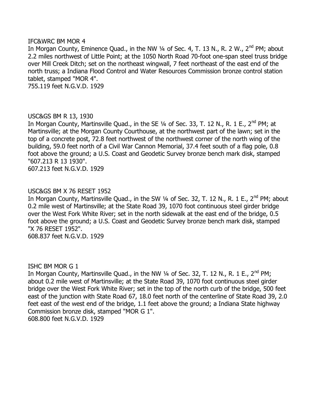#### IFC&WRC BM MOR 4

In Morgan County, Eminence Quad., in the NW  $\frac{1}{4}$  of Sec. 4, T. 13 N., R. 2 W.,  $2^{nd}$  PM; about 2.2 miles northwest of Little Point; at the 1050 North Road 70-foot one-span steel truss bridge over Mill Creek Ditch; set on the northeast wingwall, 7 feet northeast of the east end of the north truss; a Indiana Flood Control and Water Resources Commission bronze control station tablet, stamped "MOR 4".

755.119 feet N.G.V.D. 1929

#### USC&GS BM R 13, 1930

In Morgan County, Martinsville Quad., in the SE 1/4 of Sec. 33, T. 12 N., R. 1 E., 2<sup>nd</sup> PM; at Martinsville; at the Morgan County Courthouse, at the northwest part of the lawn; set in the top of a concrete post, 72.8 feet northwest of the northwest corner of the north wing of the building, 59.0 feet north of a Civil War Cannon Memorial, 37.4 feet south of a flag pole, 0.8 foot above the ground; a U.S. Coast and Geodetic Survey bronze bench mark disk, stamped "607.213 R 13 1930".

607.213 feet N.G.V.D. 1929

## USC&GS BM X 76 RESET 1952

In Morgan County, Martinsville Quad., in the SW 1/4 of Sec. 32, T. 12 N., R. 1 E., 2<sup>nd</sup> PM; about 0.2 mile west of Martinsville; at the State Road 39, 1070 foot continuous steel girder bridge over the West Fork White River; set in the north sidewalk at the east end of the bridge, 0.5 foot above the ground; a U.S. Coast and Geodetic Survey bronze bench mark disk, stamped "X 76 RESET 1952".

608.837 feet N.G.V.D. 1929

#### ISHC BM MOR G 1

In Morgan County, Martinsville Quad., in the NW 1/4 of Sec. 32, T. 12 N., R. 1 E., 2<sup>nd</sup> PM; about 0.2 mile west of Martinsville; at the State Road 39, 1070 foot continuous steel girder bridge over the West Fork White River; set in the top of the north curb of the bridge, 500 feet east of the junction with State Road 67, 18.0 feet north of the centerline of State Road 39, 2.0 feet east of the west end of the bridge, 1.1 feet above the ground; a Indiana State highway Commission bronze disk, stamped "MOR G 1". 608.800 feet N.G.V.D. 1929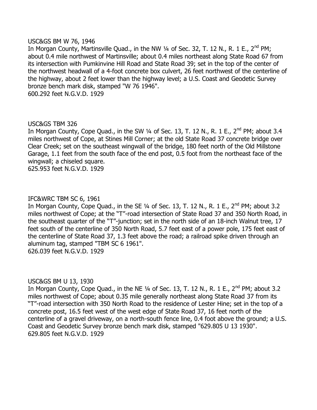#### USC&GS BM W 76, 1946

In Morgan County, Martinsville Quad., in the NW 1/4 of Sec. 32, T. 12 N., R. 1 E., 2<sup>nd</sup> PM; about 0.4 mile northwest of Martinsville; about 0.4 miles northeast along State Road 67 from its intersection with Pumkinvine Hill Road and State Road 39; set in the top of the center of the northwest headwall of a 4-foot concrete box culvert, 26 feet northwest of the centerline of the highway, about 2 feet lower than the highway level; a U.S. Coast and Geodetic Survey bronze bench mark disk, stamped "W 76 1946". 600.292 feet N.G.V.D. 1929

#### USC&GS TBM 326

In Morgan County, Cope Quad., in the SW  $\frac{1}{4}$  of Sec. 13, T. 12 N., R. 1 E., 2<sup>nd</sup> PM; about 3.4 miles northwest of Cope, at Stines Mill Corner; at the old State Road 37 concrete bridge over Clear Creek; set on the southeast wingwall of the bridge, 180 feet north of the Old Millstone Garage, 1.1 feet from the south face of the end post, 0.5 foot from the northeast face of the wingwall; a chiseled square. 625.953 feet N.G.V.D. 1929

#### IFC&WRC TBM SC 6, 1961

In Morgan County, Cope Quad., in the SE  $1/4$  of Sec. 13, T. 12 N., R. 1 E., 2<sup>nd</sup> PM; about 3.2 miles northwest of Cope; at the "T"-road intersection of State Road 37 and 350 North Road, in the southeast quarter of the "T"-junction; set in the north side of an 18-inch Walnut tree, 17 feet south of the centerline of 350 North Road, 5.7 feet east of a power pole, 175 feet east of the centerline of State Road 37, 1.3 feet above the road; a railroad spike driven through an aluminum tag, stamped "TBM SC 6 1961". 626.039 feet N.G.V.D. 1929

#### USC&GS BM U 13, 1930

In Morgan County, Cope Quad., in the NE  $\frac{1}{4}$  of Sec. 13, T. 12 N., R. 1 E., 2<sup>nd</sup> PM; about 3.2 miles northwest of Cope; about 0.35 mile generally northeast along State Road 37 from its "T"-road intersection with 350 North Road to the residence of Lester Hine; set in the top of a concrete post, 16.5 feet west of the west edge of State Road 37, 16 feet north of the centerline of a gravel driveway, on a north-south fence line, 0.4 foot above the ground; a U.S. Coast and Geodetic Survey bronze bench mark disk, stamped "629.805 U 13 1930". 629.805 feet N.G.V.D. 1929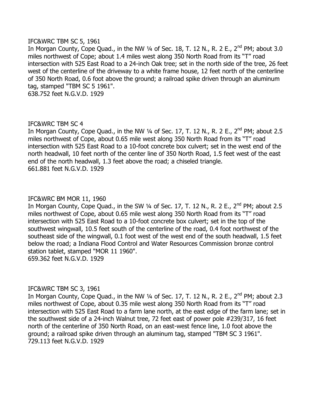#### IFC&WRC TBM SC 5, 1961

In Morgan County, Cope Quad., in the NW  $\frac{1}{4}$  of Sec. 18, T. 12 N., R. 2 E., 2<sup>nd</sup> PM; about 3.0 miles northwest of Cope; about 1.4 miles west along 350 North Road from its "T" road intersection with 525 East Road to a 24-inch Oak tree; set in the north side of the tree, 26 feet west of the centerline of the driveway to a white frame house, 12 feet north of the centerline of 350 North Road, 0.6 foot above the ground; a railroad spike driven through an aluminum tag, stamped "TBM SC 5 1961". 638.752 feet N.G.V.D. 1929

IFC&WRC TBM SC 4

In Morgan County, Cope Quad., in the NW  $\frac{1}{4}$  of Sec. 17, T. 12 N., R. 2 E., 2<sup>nd</sup> PM; about 2.5 miles northwest of Cope, about 0.65 mile west along 350 North Road from its "T" road intersection with 525 East Road to a 10-foot concrete box culvert; set in the west end of the north headwall, 10 feet north of the center line of 350 North Road, 1.5 feet west of the east end of the north headwall, 1.3 feet above the road; a chiseled triangle. 661.881 feet N.G.V.D. 1929

#### IFC&WRC BM MOR 11, 1960

In Morgan County, Cope Quad., in the SW  $\frac{1}{4}$  of Sec. 17, T. 12 N., R. 2 E., 2<sup>nd</sup> PM; about 2.5 miles northwest of Cope, about 0.65 mile west along 350 North Road from its "T" road intersection with 525 East Road to a 10-foot concrete box culvert; set in the top of the southwest wingwall, 10.5 feet south of the centerline of the road, 0.4 foot northwest of the southeast side of the wingwall, 0.1 foot west of the west end of the south headwall, 1.5 feet below the road; a Indiana Flood Control and Water Resources Commission bronze control station tablet, stamped "MOR 11 1960". 659.362 feet N.G.V.D. 1929

#### IFC&WRC TBM SC 3, 1961

In Morgan County, Cope Quad., in the NW  $\frac{1}{4}$  of Sec. 17, T. 12 N., R. 2 E., 2<sup>nd</sup> PM; about 2.3 miles northwest of Cope, about 0.35 mile west along 350 North Road from its "T" road intersection with 525 East Road to a farm lane north, at the east edge of the farm lane; set in the southwest side of a 24-inch Walnut tree, 72 feet east of power pole #239/317, 16 feet north of the centerline of 350 North Road, on an east-west fence line, 1.0 foot above the ground; a railroad spike driven through an aluminum tag, stamped "TBM SC 3 1961". 729.113 feet N.G.V.D. 1929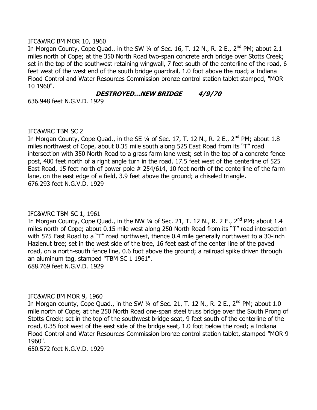#### IFC&WRC BM MOR 10, 1960

In Morgan County, Cope Quad., in the SW  $\frac{1}{4}$  of Sec. 16, T. 12 N., R. 2 E., 2<sup>nd</sup> PM; about 2.1 miles north of Cope; at the 350 North Road two-span concrete arch bridge over Stotts Creek; set in the top of the southwest retaining wingwall, 7 feet south of the centerline of the road, 6 feet west of the west end of the south bridge guardrail, 1.0 foot above the road; a Indiana Flood Control and Water Resources Commission bronze control station tablet stamped, "MOR 10 1960".

#### **DESTROYED…NEW BRIDGE 4/9/70**

636.948 feet N.G.V.D. 1929

#### IFC&WRC TBM SC 2

In Morgan County, Cope Quad., in the SE  $1/4$  of Sec. 17, T. 12 N., R. 2 E., 2<sup>nd</sup> PM; about 1.8 miles northwest of Cope, about 0.35 mile south along 525 East Road from its "T" road intersection with 350 North Road to a grass farm lane west; set in the top of a concrete fence post, 400 feet north of a right angle turn in the road, 17.5 feet west of the centerline of 525 East Road, 15 feet north of power pole # 254/614, 10 feet north of the centerline of the farm lane, on the east edge of a field, 3.9 feet above the ground; a chiseled triangle. 676.293 feet N.G.V.D. 1929

#### IFC&WRC TBM SC 1, 1961

In Morgan County, Cope Quad., in the NW 1/4 of Sec. 21, T. 12 N., R. 2 E., 2<sup>nd</sup> PM; about 1.4 miles north of Cope; about 0.15 mile west along 250 North Road from its "T" road intersection with 575 East Road to a "T" road northwest, thence 0.4 mile generally northwest to a 30-inch Hazlenut tree; set in the west side of the tree, 16 feet east of the center line of the paved road, on a north-south fence line, 0.6 foot above the ground; a railroad spike driven through an aluminum tag, stamped "TBM SC 1 1961". 688.769 feet N.G.V.D. 1929

#### IFC&WRC BM MOR 9, 1960

In Morgan county, Cope Quad., in the SW  $\frac{1}{4}$  of Sec. 21, T. 12 N., R. 2 E., 2<sup>nd</sup> PM; about 1.0 mile north of Cope; at the 250 North Road one-span steel truss bridge over the South Prong of Stotts Creek; set in the top of the southwest bridge seat, 9 feet south of the centerline of the road, 0.35 foot west of the east side of the bridge seat, 1.0 foot below the road; a Indiana Flood Control and Water Resources Commission bronze control station tablet, stamped "MOR 9 1960".

650.572 feet N.G.V.D. 1929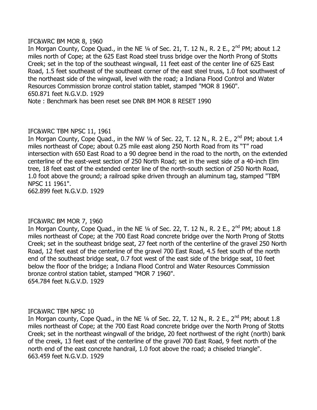#### IFC&WRC BM MOR 8, 1960

In Morgan County, Cope Quad., in the NE  $\frac{1}{4}$  of Sec. 21, T. 12 N., R. 2 E., 2<sup>nd</sup> PM; about 1.2 miles north of Cope; at the 625 East Road steel truss bridge over the North Prong of Stotts Creek; set in the top of the southeast wingwall, 11 feet east of the center line of 625 East Road, 1.5 feet southeast of the southeast corner of the east steel truss, 1.0 foot southwest of the northeast side of the wingwall, level with the road; a Indiana Flood Control and Water Resources Commission bronze control station tablet, stamped "MOR 8 1960". 650.871 feet N.G.V.D. 1929

Note : Benchmark has been reset see DNR BM MOR 8 RESET 1990

#### IFC&WRC TBM NPSC 11, 1961

In Morgan County, Cope Quad., in the NW  $\frac{1}{4}$  of Sec. 22, T. 12 N., R. 2 E., 2<sup>nd</sup> PM; about 1.4 miles northeast of Cope; about 0.25 mile east along 250 North Road from its "T" road intersection with 650 East Road to a 90 degree bend in the road to the north, on the extended centerline of the east-west section of 250 North Road; set in the west side of a 40-inch Elm tree, 18 feet east of the extended center line of the north-south section of 250 North Road, 1.0 foot above the ground; a railroad spike driven through an aluminum tag, stamped "TBM NPSC 11 1961".

662.899 feet N.G.V.D. 1929

## IFC&WRC BM MOR 7, 1960

In Morgan County, Cope Quad., in the NE  $\frac{1}{4}$  of Sec. 22, T. 12 N., R. 2 E., 2<sup>nd</sup> PM; about 1.8 miles northeast of Cope; at the 700 East Road concrete bridge over the North Prong of Stotts Creek; set in the southeast bridge seat, 27 feet north of the centerline of the gravel 250 North Road, 12 feet east of the centerline of the gravel 700 East Road, 4.5 feet south of the north end of the southeast bridge seat, 0.7 foot west of the east side of the bridge seat, 10 feet below the floor of the bridge; a Indiana Flood Control and Water Resources Commission bronze control station tablet, stamped "MOR 7 1960". 654.784 feet N.G.V.D. 1929

#### IFC&WRC TBM NPSC 10

In Morgan county, Cope Quad., in the NE  $\frac{1}{4}$  of Sec. 22, T. 12 N., R. 2 E., 2<sup>nd</sup> PM; about 1.8 miles northeast of Cope; at the 700 East Road concrete bridge over the North Prong of Stotts Creek; set in the northeast wingwall of the bridge, 20 feet northwest of the right (north) bank of the creek, 13 feet east of the centerline of the gravel 700 East Road, 9 feet north of the north end of the east concrete handrail, 1.0 foot above the road; a chiseled triangle". 663.459 feet N.G.V.D. 1929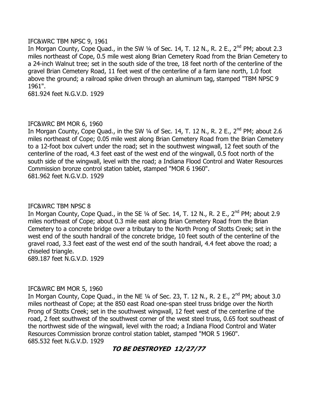#### IFC&WRC TBM NPSC 9, 1961

In Morgan County, Cope Quad., in the SW  $\frac{1}{4}$  of Sec. 14, T. 12 N., R. 2 E., 2<sup>nd</sup> PM; about 2.3 miles northeast of Cope, 0.5 mile west along Brian Cemetery Road from the Brian Cemetery to a 24-inch Walnut tree; set in the south side of the tree, 18 feet north of the centerline of the gravel Brian Cemetery Road, 11 feet west of the centerline of a farm lane north, 1.0 foot above the ground; a railroad spike driven through an aluminum tag, stamped "TBM NPSC 9 1961".

681.924 feet N.G.V.D. 1929

#### IFC&WRC BM MOR 6, 1960

In Morgan County, Cope Quad., in the SW  $\frac{1}{4}$  of Sec. 14, T. 12 N., R. 2 E., 2<sup>nd</sup> PM; about 2.6 miles northeast of Cope; 0.05 mile west along Brian Cemetery Road from the Brian Cemetery to a 12-foot box culvert under the road; set in the southwest wingwall, 12 feet south of the centerline of the road, 4.3 feet east of the west end of the wingwall, 0.5 foot north of the south side of the wingwall, level with the road; a Indiana Flood Control and Water Resources Commission bronze control station tablet, stamped "MOR 6 1960". 681.962 feet N.G.V.D. 1929

#### IFC&WRC TBM NPSC 8

In Morgan County, Cope Quad., in the SE  $\frac{1}{4}$  of Sec. 14, T. 12 N., R. 2 E., 2<sup>nd</sup> PM; about 2.9 miles northeast of Cope; about 0.3 mile east along Brian Cemetery Road from the Brian Cemetery to a concrete bridge over a tributary to the North Prong of Stotts Creek; set in the west end of the south handrail of the concrete bridge, 10 feet south of the centerline of the gravel road, 3.3 feet east of the west end of the south handrail, 4.4 feet above the road; a chiseled triangle.

689.187 feet N.G.V.D. 1929

#### IFC&WRC BM MOR 5, 1960

In Morgan County, Cope Quad., in the NE  $\frac{1}{4}$  of Sec. 23, T. 12 N., R. 2 E., 2<sup>nd</sup> PM; about 3.0 miles northeast of Cope; at the 850 east Road one-span steel truss bridge over the North Prong of Stotts Creek; set in the southwest wingwall, 12 feet west of the centerline of the road, 2 feet southwest of the southwest corner of the west steel truss, 0.65 foot southeast of the northwest side of the wingwall, level with the road; a Indiana Flood Control and Water Resources Commission bronze control station tablet, stamped "MOR 5 1960". 685.532 feet N.G.V.D. 1929

## **TO BE DESTROYED 12/27/77**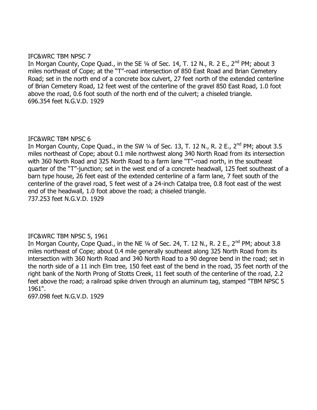#### IFC&WRC TBM NPSC 7

In Morgan County, Cope Quad., in the SE  $\frac{1}{4}$  of Sec. 14, T. 12 N., R. 2 E., 2<sup>nd</sup> PM; about 3 miles northeast of Cope; at the "T"-road intersection of 850 East Road and Brian Cemetery Road; set in the north end of a concrete box culvert, 27 feet north of the extended centerline of Brian Cemetery Road, 12 feet west of the centerline of the gravel 850 East Road, 1.0 foot above the road, 0.6 foot south of the north end of the culvert; a chiseled triangle. 696.354 feet N.G.V.D. 1929

#### IFC&WRC TBM NPSC 6

In Morgan County, Cope Quad., in the SW  $\frac{1}{4}$  of Sec. 13, T. 12 N., R. 2 E., 2<sup>nd</sup> PM; about 3.5 miles northeast of Cope; about 0.1 mile northwest along 340 North Road from its intersection with 360 North Road and 325 North Road to a farm lane "T"-road north, in the southeast quarter of the "T"-junction; set in the west end of a concrete headwall, 125 feet southeast of a barn type house, 26 feet east of the extended centerline of a farm lane, 7 feet south of the centerline of the gravel road, 5 feet west of a 24-inch Catalpa tree, 0.8 foot east of the west end of the headwall, 1.0 foot above the road; a chiseled triangle. 737.253 feet N.G.V.D. 1929

#### IFC&WRC TBM NPSC 5, 1961

In Morgan County, Cope Quad., in the NE  $\frac{1}{4}$  of Sec. 24, T. 12 N., R. 2 E., 2<sup>nd</sup> PM; about 3.8 miles northeast of Cope; about 0.4 mile generally southeast along 325 North Road from its intersection with 360 North Road and 340 North Road to a 90 degree bend in the road; set in the north side of a 11 inch Elm tree, 150 feet east of the bend in the road, 35 feet north of the right bank of the North Prong of Stotts Creek, 11 feet south of the centerline of the road, 2.2 feet above the road; a railroad spike driven through an aluminum tag, stamped "TBM NPSC 5 1961".

697.098 feet N.G.V.D. 1929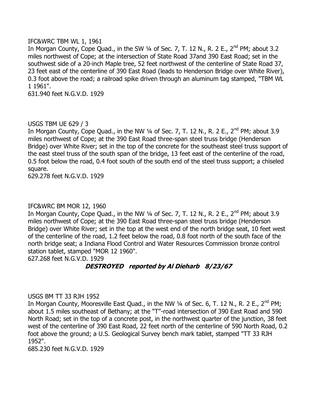#### IFC&WRC TBM WL 1, 1961

In Morgan County, Cope Quad., in the SW  $\frac{1}{4}$  of Sec. 7, T. 12 N., R. 2 E., 2<sup>nd</sup> PM; about 3.2 miles northwest of Cope; at the intersection of State Road 37and 390 East Road; set in the southwest side of a 20-inch Maple tree, 52 feet northwest of the centerline of State Road 37, 23 feet east of the centerline of 390 East Road (leads to Henderson Bridge over White River), 0.3 foot above the road; a railroad spike driven through an aluminum tag stamped, "TBM WL 1 1961".

631.940 feet N.G.V.D. 1929

#### USGS TBM UE 629 / 3

In Morgan County, Cope Quad., in the NW  $\frac{1}{4}$  of Sec. 7, T. 12 N., R. 2 E., 2<sup>nd</sup> PM; about 3.9 miles northwest of Cope; at the 390 East Road three-span steel truss bridge (Henderson Bridge) over White River; set in the top of the concrete for the southeast steel truss support of the east steel truss of the south span of the bridge, 13 feet east of the centerline of the road, 0.5 foot below the road, 0.4 foot south of the south end of the steel truss support; a chiseled square.

629.278 feet N.G.V.D. 1929

#### IFC&WRC BM MOR 12, 1960

In Morgan County, Cope Quad., in the NW 1/4 of Sec. 7, T. 12 N., R. 2 E., 2<sup>nd</sup> PM; about 3.9 miles northwest of Cope; at the 390 East Road three-span steel truss bridge (Henderson Bridge) over White River; set in the top at the west end of the north bridge seat, 10 feet west of the centerline of the road, 1.2 feet below the road, 0.8 foot north of the south face of the north bridge seat; a Indiana Flood Control and Water Resources Commission bronze control station tablet, stamped "MOR 12 1960".

627.268 feet N.G.V.D. 1929

## **DESTROYED reported by Al Dieharb 8/23/67**

#### USGS BM TT 33 RJH 1952

In Morgan County, Mooresville East Quad., in the NW  $\frac{1}{4}$  of Sec. 6, T. 12 N., R. 2 E., 2<sup>nd</sup> PM; about 1.5 miles southeast of Bethany; at the "T"-road intersection of 390 East Road and 590 North Road; set in the top of a concrete post, in the northwest quarter of the junction, 38 feet west of the centerline of 390 East Road, 22 feet north of the centerline of 590 North Road, 0.2 foot above the ground; a U.S. Geological Survey bench mark tablet, stamped "TT 33 RJH 1952".

685.230 feet N.G.V.D. 1929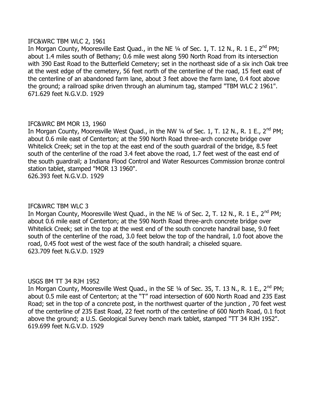#### IFC&WRC TBM WLC 2, 1961

In Morgan County, Mooresville East Quad., in the NE 1/4 of Sec. 1, T. 12 N., R. 1 E., 2<sup>nd</sup> PM; about 1.4 miles south of Bethany; 0.6 mile west along 590 North Road from its intersection with 390 East Road to the Butterfield Cemetery; set in the northeast side of a six inch Oak tree at the west edge of the cemetery, 56 feet north of the centerline of the road, 15 feet east of the centerline of an abandoned farm lane, about 3 feet above the farm lane, 0.4 foot above the ground; a railroad spike driven through an aluminum tag, stamped "TBM WLC 2 1961". 671.629 feet N.G.V.D. 1929

## IFC&WRC BM MOR 13, 1960

In Morgan County, Mooresville West Quad., in the NW 1/4 of Sec. 1, T. 12 N., R. 1 E., 2<sup>nd</sup> PM; about 0.6 mile east of Centerton; at the 590 North Road three-arch concrete bridge over Whitelick Creek; set in the top at the east end of the south guardrail of the bridge, 8.5 feet south of the centerline of the road 3.4 feet above the road, 1.7 feet west of the east end of the south guardrail; a Indiana Flood Control and Water Resources Commission bronze control station tablet, stamped "MOR 13 1960".

626.393 feet N.G.V.D. 1929

#### IFC&WRC TBM WLC 3

In Morgan County, Mooresville West Quad., in the NE 1/4 of Sec. 2, T. 12 N., R. 1 E., 2<sup>nd</sup> PM; about 0.6 mile east of Centerton; at the 590 North Road three-arch concrete bridge over Whitelick Creek; set in the top at the west end of the south concrete handrail base, 9.0 feet south of the centerline of the road, 3.0 feet below the top of the handrail, 1.0 foot above the road, 0.45 foot west of the west face of the south handrail; a chiseled square. 623.709 feet N.G.V.D. 1929

#### USGS BM TT 34 RJH 1952

In Morgan County, Mooresville West Quad., in the SE  $\frac{1}{4}$  of Sec. 35, T. 13 N., R. 1 E., 2<sup>nd</sup> PM; about 0.5 mile east of Centerton; at the "T" road intersection of 600 North Road and 235 East Road; set in the top of a concrete post, in the northwest quarter of the junction , 70 feet west of the centerline of 235 East Road, 22 feet north of the centerline of 600 North Road, 0.1 foot above the ground; a U.S. Geological Survey bench mark tablet, stamped "TT 34 RJH 1952". 619.699 feet N.G.V.D. 1929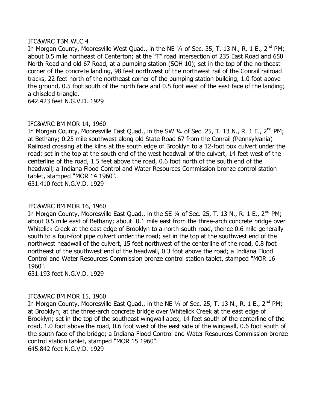#### IFC&WRC TBM WLC 4

In Morgan County, Mooresville West Quad., in the NE 1/4 of Sec. 35, T. 13 N., R. 1 E., 2<sup>nd</sup> PM; about 0.5 mile northeast of Centerton; at the "T" road intersection of 235 East Road and 650 North Road and old 67 Road, at a pumping station (SOH 10); set in the top of the northeast corner of the concrete landing, 98 feet northwest of the northwest rail of the Conrail railroad tracks, 22 feet north of the northeast corner of the pumping station building, 1.0 foot above the ground, 0.5 foot south of the north face and 0.5 foot west of the east face of the landing; a chiseled triangle.

642.423 feet N.G.V.D. 1929

#### IFC&WRC BM MOR 14, 1960

In Morgan County, Mooresville East Quad., in the SW  $\frac{1}{4}$  of Sec. 25, T. 13 N., R. 1 E., 2<sup>nd</sup> PM; at Bethany; 0.25 mile southwest along old State Road 67 from the Conrail (Pennsylvania) Railroad crossing at the kilns at the south edge of Brooklyn to a 12-foot box culvert under the road; set in the top at the south end of the west headwall of the culvert, 14 feet west of the centerline of the road, 1.5 feet above the road, 0.6 foot north of the south end of the headwall; a Indiana Flood Control and Water Resources Commission bronze control station tablet, stamped "MOR 14 1960". 631.410 feet N.G.V.D. 1929

#### IFC&WRC BM MOR 16, 1960

In Morgan County, Mooresville East Quad., in the SE  $\frac{1}{4}$  of Sec. 25, T. 13 N., R. 1 E., 2<sup>nd</sup> PM; about 0.5 mile east of Bethany; about 0.1 mile east from the three-arch concrete bridge over Whitelick Creek at the east edge of Brooklyn to a north-south road, thence 0.6 mile generally south to a four-foot pipe culvert under the road; set in the top at the southwest end of the northwest headwall of the culvert, 15 feet northwest of the centerline of the road, 0.8 foot northeast of the southwest end of the headwall, 0.3 foot above the road; a Indiana Flood Control and Water Resources Commission bronze control station tablet, stamped "MOR 16 1960".

631.193 feet N.G.V.D. 1929

#### IFC&WRC BM MOR 15, 1960

In Morgan County, Mooresville East Quad., in the NE  $\frac{1}{4}$  of Sec. 25, T. 13 N., R. 1 E., 2<sup>nd</sup> PM; at Brooklyn; at the three-arch concrete bridge over Whitelick Creek at the east edge of Brooklyn; set in the top of the southeast wingwall apex, 14 feet south of the centerline of the road, 1.0 foot above the road, 0.6 foot west of the east side of the wingwall, 0.6 foot south of the south face of the bridge; a Indiana Flood Control and Water Resources Commission bronze control station tablet, stamped "MOR 15 1960". 645.842 feet N.G.V.D. 1929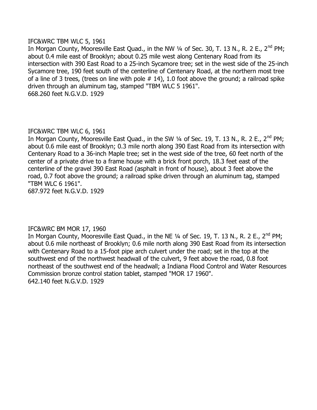#### IFC&WRC TBM WLC 5, 1961

In Morgan County, Mooresville East Quad., in the NW  $\frac{1}{4}$  of Sec. 30, T. 13 N., R. 2 E., 2<sup>nd</sup> PM; about 0.4 mile east of Brooklyn; about 0.25 mile west along Centenary Road from its intersection with 390 East Road to a 25-inch Sycamore tree; set in the west side of the 25-inch Sycamore tree, 190 feet south of the centerline of Centenary Road, at the northern most tree of a line of 3 trees, (trees on line with pole  $# 14$ ), 1.0 foot above the ground; a railroad spike driven through an aluminum tag, stamped "TBM WLC 5 1961". 668.260 feet N.G.V.D. 1929

#### IFC&WRC TBM WLC 6, 1961

In Morgan County, Mooresville East Quad., in the SW  $\frac{1}{4}$  of Sec. 19, T. 13 N., R. 2 E., 2<sup>nd</sup> PM; about 0.6 mile east of Brooklyn; 0.3 mile north along 390 East Road from its intersection with Centenary Road to a 36-inch Maple tree; set in the west side of the tree, 60 feet north of the center of a private drive to a frame house with a brick front porch, 18.3 feet east of the centerline of the gravel 390 East Road (asphalt in front of house), about 3 feet above the road, 0.7 foot above the ground; a railroad spike driven through an aluminum tag, stamped "TBM WLC 6 1961".

687.972 feet N.G.V.D. 1929

## IFC&WRC BM MOR 17, 1960

In Morgan County, Mooresville East Quad., in the NE 1/4 of Sec. 19, T. 13 N., R. 2 E., 2<sup>nd</sup> PM: about 0.6 mile northeast of Brooklyn; 0.6 mile north along 390 East Road from its intersection with Centenary Road to a 15-foot pipe arch culvert under the road; set in the top at the southwest end of the northwest headwall of the culvert, 9 feet above the road, 0.8 foot northeast of the southwest end of the headwall; a Indiana Flood Control and Water Resources Commission bronze control station tablet, stamped "MOR 17 1960". 642.140 feet N.G.V.D. 1929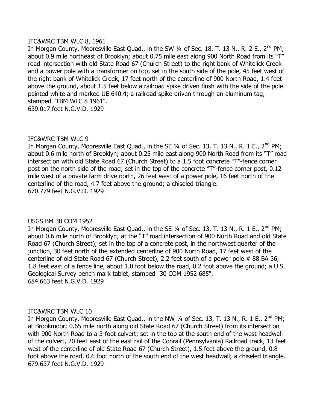#### IFC&WRC TBM WLC 8, 1961

In Morgan County, Mooresville East Quad., in the SW 1/4 of Sec. 18, T. 13 N., R. 2 E., 2<sup>nd</sup> PM; about 0.9 mile northeast of Brooklyn; about 0.75 mile east along 900 North Road from its "T" road intersection with old State Road 67 (Church Street) to the right bank of Whitelick Creek and a power pole with a transformer on top; set in the south side of the pole, 45 feet west of the right bank of Whitelick Creek, 17 feet north of the centerline of 900 North Road, 1.4 feet above the ground, about 1.5 feet below a railroad spike driven flush with the side of the pole painted white and marked UE 640.4; a railroad spike driven through an aluminum tag, stamped "TBM WLC 8 1961". 639.017 feet N.G.V.D. 1929

#### IFC&WRC TBM WLC 9

In Morgan County, Mooresville East Quad., in the SE  $1/4$  of Sec. 13, T. 13 N., R. 1 E., 2<sup>nd</sup> PM; about 0.6 mile north of Brooklyn; about 0.25 mile east along 900 North Road from its "T" road intersection with old State Road 67 (Church Street) to a 1.5 foot concrete "T"-fence corner post on the north side of the road; set in the top of the concrete "T"-fence corner post, 0.12 mile west of a private farm drive north, 26 feet west of a power pole, 16 feet north of the centerline of the road, 4.7 feet above the ground; a chiseled triangle. 670.779 feet N.G.V.D. 1929

#### USGS BM 30 COM 1952

In Morgan County, Mooresville East Quad., in the SE  $1/4$  of Sec. 13, T. 13 N., R. 1 E., 2<sup>nd</sup> PM; about 0.6 mile north of Brooklyn; at the "T" road intersection of 900 North Road and old State Road 67 (Church Street); set in the top of a concrete post, in the northwest quarter of the junction, 30 feet north of the extended centerline of 900 North Road, 17 feet west of the centerline of old State Road 67 (Church Street), 2.2 feet south of a power pole # 88 BA 36, 1.8 feet east of a fence line, about 1.0 foot below the road, 0.2 foot above the ground; a U.S. Geological Survey bench mark tablet, stamped "30 COM 1952 685". 684.663 feet N.G.V.D. 1929

#### IFC&WRC TBM WLC 10

In Morgan County, Mooresville East Quad., in the NW 1/4 of Sec. 13, T. 13 N., R. 1 E., 2<sup>nd</sup> PM; at Brookmoor; 0.65 mile north along old State Road 67 (Church Street) from its intersection with 900 North Road to a 3-foot culvert; set in the top at the south end of the west headwall of the culvert, 20 feet east of the east rail of the Conrail (Pennsylvania) Railroad track, 13 feet west of the centerline of old State Road 67 (Church Street), 1.5 feet above the ground, 0.8 foot above the road, 0.6 foot north of the south end of the west headwall; a chiseled triangle. 679.637 feet N.G.V.D. 1929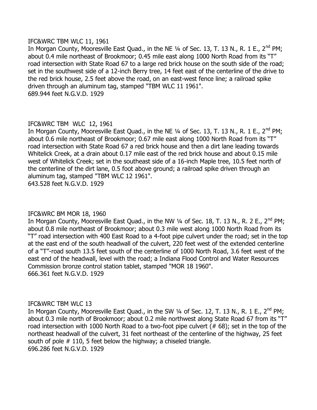#### IFC&WRC TBM WLC 11, 1961

In Morgan County, Mooresville East Quad., in the NE  $\frac{1}{4}$  of Sec. 13, T. 13 N., R. 1 E., 2<sup>nd</sup> PM; about 0.4 mile northeast of Brookmoor; 0.45 mile east along 1000 North Road from its "T" road intersection with State Road 67 to a large red brick house on the south side of the road; set in the southwest side of a 12-inch Berry tree, 14 feet east of the centerline of the drive to the red brick house, 2.5 feet above the road, on an east-west fence line; a railroad spike driven through an aluminum tag, stamped "TBM WLC 11 1961". 689.944 feet N.G.V.D. 1929

## IFC&WRC TBM WLC 12, 1961

In Morgan County, Mooresville East Quad., in the NE  $\frac{1}{4}$  of Sec. 13, T. 13 N., R. 1 E., 2<sup>nd</sup> PM; about 0.6 mile northeast of Brookmoor; 0.67 mile east along 1000 North Road from its "T" road intersection with State Road 67 a red brick house and then a dirt lane leading towards Whitelick Creek, at a drain about 0.17 mile east of the red brick house and about 0.15 mile west of Whitelick Creek; set in the southeast side of a 16-inch Maple tree, 10.5 feet north of the centerline of the dirt lane, 0.5 foot above ground; a railroad spike driven through an aluminum tag, stamped "TBM WLC 12 1961". 643.528 feet N.G.V.D. 1929

#### IFC&WRC BM MOR 18, 1960

In Morgan County, Mooresville East Quad., in the NW  $\frac{1}{4}$  of Sec. 18, T. 13 N., R. 2 E., 2<sup>nd</sup> PM; about 0.8 mile northeast of Brookmoor; about 0.3 mile west along 1000 North Road from its "T" road intersection with 400 East Road to a 4-foot pipe culvert under the road; set in the top at the east end of the south headwall of the culvert, 220 feet west of the extended centerline of a "T"-road south 13.5 feet south of the centerline of 1000 North Road, 3.6 feet west of the east end of the headwall, level with the road; a Indiana Flood Control and Water Resources Commission bronze control station tablet, stamped "MOR 18 1960". 666.361 feet N.G.V.D. 1929

#### IFC&WRC TBM WLC 13

In Morgan County, Mooresville East Quad., in the SW 1/4 of Sec. 12, T. 13 N., R. 1 E., 2<sup>nd</sup> PM; about 0.3 mile north of Brookmoor; about 0.2 mile northwest along State Road 67 from its "T" road intersection with 1000 North Road to a two-foot pipe culvert (# 68); set in the top of the northeast headwall of the culvert, 31 feet northeast of the centerline of the highway, 25 feet south of pole # 110, 5 feet below the highway; a chiseled triangle. 696.286 feet N.G.V.D. 1929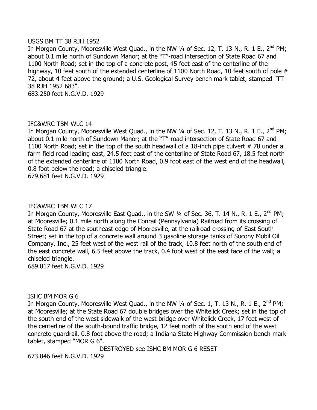#### USGS BM TT 38 RJH 1952

In Morgan County, Mooresville West Quad., in the NW 1/4 of Sec. 12, T. 13 N., R. 1 E., 2<sup>nd</sup> PM; about 0.1 mile north of Sundown Manor; at the "T"-road intersection of State Road 67 and 1100 North Road; set in the top of a concrete post, 45 feet east of the centerline of the highway, 10 feet south of the extended centerline of 1100 North Road, 10 feet south of pole # 72, about 4 feet above the ground; a U.S. Geological Survey bench mark tablet, stamped "TT 38 RJH 1952 683".

683.250 feet N.G.V.D. 1929

#### IFC&WRC TBM WLC 14

In Morgan County, Mooresville West Quad., in the NW 1/4 of Sec. 12, T. 13 N., R. 1 E., 2<sup>nd</sup> PM; about 0.1 mile north of Sundown Manor; at the "T"-road intersection of State Road 67 and 1100 North Road; set in the top of the south headwall of a 18-inch pipe culvert #78 under a farm field road leading east, 24.5 feet east of the centerline of State Road 67, 18.5 feet north of the extended centerline of 1100 North Road, 0.9 foot east of the west end of the headwall, 0.8 foot below the road; a chiseled triangle.

679.681 feet N.G.V.D. 1929

#### IFC&WRC TBM WLC 17

In Morgan County, Mooresville East Quad., in the SW  $\frac{1}{4}$  of Sec. 36, T. 14 N., R. 1 E., 2<sup>nd</sup> PM; at Mooresville; 0.1 mile north along the Conrail (Pennsylvania) Railroad from its crossing of State Road 67 at the southeast edge of Mooresville, at the railroad crossing of East South Street; set in the top of a concrete wall around 3 gasoline storage tanks of Socony Mobil Oil Company, Inc., 25 feet west of the west rail of the track, 10.8 feet north of the south end of the east concrete wall, 6.5 feet above the track, 0.4 foot west of the east face of the wall; a chiseled triangle.

689.817 feet N.G.V.D. 1929

ISHC BM MOR G 6

In Morgan County, Mooresville West Quad., in the NW  $\frac{1}{4}$  of Sec. 1, T. 13 N., R. 1 E., 2<sup>nd</sup> PM; at Mooresville; at the State Road 67 double bridges over the Whitelick Creek; set in the top of the south end of the west sidewalk of the west bridge over Whitelick Creek, 17 feet west of the centerline of the south-bound traffic bridge, 12 feet north of the south end of the west concrete guardrail, 0.8 foot above the road; a Indiana State Highway Commission bench mark tablet, stamped "MOR G 6".

DESTROYED see ISHC BM MOR G 6 RESET

673.846 feet N.G.V.D. 1929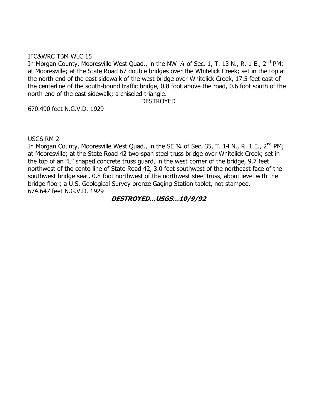#### IFC&WRC TBM WLC 15

In Morgan County, Mooresville West Quad., in the NW  $\frac{1}{4}$  of Sec. 1, T. 13 N., R. 1 E., 2<sup>nd</sup> PM; at Mooresville; at the State Road 67 double bridges over the Whitelick Creek; set in the top at the north end of the east sidewalk of the west bridge over Whitelick Creek, 17.5 feet east of the centerline of the south-bound traffic bridge, 0.8 foot above the road, 0.6 foot south of the north end of the east sidewalk; a chiseled triangle.

#### DESTROYED

670.490 feet N.G.V.D. 1929

USGS RM 2

In Morgan County, Mooresville West Quad., in the SE  $\frac{1}{4}$  of Sec. 35, T. 14 N., R. 1 E., 2<sup>nd</sup> PM; at Mooresville; at the State Road 42 two-span steel truss bridge over Whitelick Creek; set in the top of an "L" shaped concrete truss guard, in the west corner of the bridge, 9.7 feet northwest of the centerline of State Road 42, 3.0 feet southwest of the northeast face of the southwest bridge seat, 0.8 foot northwest of the northwest steel truss, about level with the bridge floor; a U.S. Geological Survey bronze Gaging Station tablet, not stamped. 674.647 feet N.G.V.D. 1929

#### **DESTROYED…USGS…10/9/92**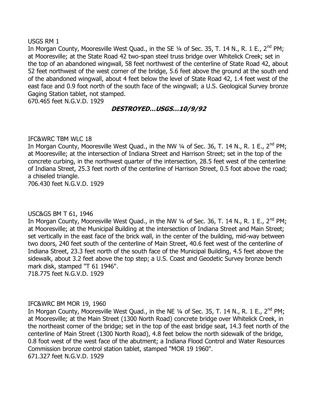#### USGS RM 1

In Morgan County, Mooresville West Quad., in the SE 1/4 of Sec. 35, T. 14 N., R. 1 E., 2<sup>nd</sup> PM; at Mooresville; at the State Road 42 two-span steel truss bridge over Whitelick Creek; set in the top of an abandoned wingwall, 58 feet northwest of the centerline of State Road 42, about 52 feet northwest of the west corner of the bridge, 5.6 feet above the ground at the south end of the abandoned wingwall, about 4 feet below the level of State Road 42, 1.4 feet west of the east face and 0.9 foot north of the south face of the wingwall; a U.S. Geological Survey bronze Gaging Station tablet, not stamped.

670.465 feet N.G.V.D. 1929

## **DESTROYED…USGS…10/9/92**

#### IFC&WRC TBM WLC 18

In Morgan County, Mooresville West Quad., in the NW  $\frac{1}{4}$  of Sec. 36, T. 14 N., R. 1 E., 2<sup>nd</sup> PM; at Mooresville; at the intersection of Indiana Street and Harrison Street; set in the top of the concrete curbing, in the northwest quarter of the intersection, 28.5 feet west of the centerline of Indiana Street, 25.3 feet north of the centerline of Harrison Street, 0.5 foot above the road; a chiseled triangle.

706.430 feet N.G.V.D. 1929

#### USC&GS BM T 61, 1946

In Morgan County, Mooresville West Quad., in the NW 1/4 of Sec. 36, T. 14 N., R. 1 E., 2<sup>nd</sup> PM; at Mooresville; at the Municipal Building at the intersection of Indiana Street and Main Street; set vertically in the east face of the brick wall, in the center of the building, mid-way between two doors, 240 feet south of the centerline of Main Street, 40.6 feet west of the centerline of Indiana Street, 23.3 feet north of the south face of the Municipal Building, 4.5 feet above the sidewalk, about 3.2 feet above the top step; a U.S. Coast and Geodetic Survey bronze bench mark disk, stamped "T 61 1946".

718.775 feet N.G.V.D. 1929

#### IFC&WRC BM MOR 19, 1960

In Morgan County, Mooresville West Quad., in the NE  $\frac{1}{4}$  of Sec. 35, T. 14 N., R. 1 E., 2<sup>nd</sup> PM; at Mooresville; at the Main Street (1300 North Road) concrete bridge over Whitelick Creek, in the northeast corner of the bridge; set in the top of the east bridge seat, 14.3 feet north of the centerline of Main Street (1300 North Road), 4.8 feet below the north sidewalk of the bridge, 0.8 foot west of the west face of the abutment; a Indiana Flood Control and Water Resources Commission bronze control station tablet, stamped "MOR 19 1960". 671.327 feet N.G.V.D. 1929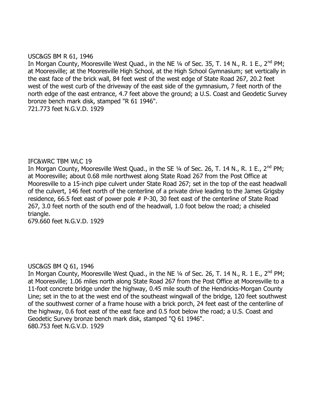#### USC&GS BM R 61, 1946

In Morgan County, Mooresville West Quad., in the NE  $\frac{1}{4}$  of Sec. 35, T. 14 N., R. 1 E., 2<sup>nd</sup> PM; at Mooresville; at the Mooresville High School, at the High School Gymnasium; set vertically in the east face of the brick wall, 84 feet west of the west edge of State Road 267, 20.2 feet west of the west curb of the driveway of the east side of the gymnasium, 7 feet north of the north edge of the east entrance, 4.7 feet above the ground; a U.S. Coast and Geodetic Survey bronze bench mark disk, stamped "R 61 1946".

721.773 feet N.G.V.D. 1929

#### IFC&WRC TBM WLC 19

In Morgan County, Mooresville West Quad., in the SE  $\frac{1}{4}$  of Sec. 26, T. 14 N., R. 1 E., 2<sup>nd</sup> PM; at Mooresville; about 0.68 mile northwest along State Road 267 from the Post Office at Mooresville to a 15-inch pipe culvert under State Road 267; set in the top of the east headwall of the culvert, 146 feet north of the centerline of a private drive leading to the James Grigsby residence, 66.5 feet east of power pole # P-30, 30 feet east of the centerline of State Road 267, 3.0 feet north of the south end of the headwall, 1.0 foot below the road; a chiseled triangle.

679.660 feet N.G.V.D. 1929

#### USC&GS BM Q 61, 1946

In Morgan County, Mooresville West Quad., in the NE  $\frac{1}{4}$  of Sec. 26, T. 14 N., R. 1 E., 2<sup>nd</sup> PM; at Mooresville; 1.06 miles north along State Road 267 from the Post Office at Mooresville to a 11-foot concrete bridge under the highway, 0.45 mile south of the Hendricks-Morgan County Line; set in the to at the west end of the southeast wingwall of the bridge, 120 feet southwest of the southwest corner of a frame house with a brick porch, 24 feet east of the centerline of the highway, 0.6 foot east of the east face and 0.5 foot below the road; a U.S. Coast and Geodetic Survey bronze bench mark disk, stamped "Q 61 1946". 680.753 feet N.G.V.D. 1929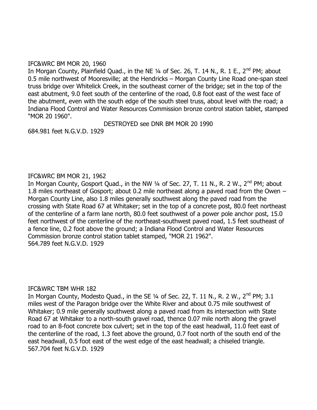#### IFC&WRC BM MOR 20, 1960

In Morgan County, Plainfield Quad., in the NE  $1/4$  of Sec. 26, T. 14 N., R. 1 E., 2<sup>nd</sup> PM; about 0.5 mile northwest of Mooresville; at the Hendricks – Morgan County Line Road one-span steel truss bridge over Whitelick Creek, in the southeast corner of the bridge; set in the top of the east abutment, 9.0 feet south of the centerline of the road, 0.8 foot east of the west face of the abutment, even with the south edge of the south steel truss, about level with the road; a Indiana Flood Control and Water Resources Commission bronze control station tablet, stamped "MOR 20 1960".

DESTROYED see DNR BM MOR 20 1990

684.981 feet N.G.V.D. 1929

#### IFC&WRC BM MOR 21, 1962

In Morgan County, Gosport Quad., in the NW  $\frac{1}{4}$  of Sec. 27, T. 11 N., R. 2 W., 2<sup>nd</sup> PM; about 1.8 miles northeast of Gosport; about 0.2 mile northeast along a paved road from the Owen – Morgan County Line, also 1.8 miles generally southwest along the paved road from the crossing with State Road 67 at Whitaker; set in the top of a concrete post, 80.0 feet northeast of the centerline of a farm lane north, 80.0 feet southwest of a power pole anchor post, 15.0 feet northwest of the centerline of the northeast-southwest paved road, 1.5 feet southeast of a fence line, 0.2 foot above the ground; a Indiana Flood Control and Water Resources Commission bronze control station tablet stamped, "MOR 21 1962". 564.789 feet N.G.V.D. 1929

#### IFC&WRC TBM WHR 182

In Morgan County, Modesto Quad., in the SE  $\frac{1}{4}$  of Sec. 22, T. 11 N., R. 2 W., 2<sup>nd</sup> PM; 3.1 miles west of the Paragon bridge over the White River and about 0.75 mile southwest of Whitaker; 0.9 mile generally southwest along a paved road from its intersection with State Road 67 at Whitaker to a north-south gravel road, thence 0.07 mile north along the gravel road to an 8-foot concrete box culvert; set in the top of the east headwall, 11.0 feet east of the centerline of the road, 1.3 feet above the ground, 0.7 foot north of the south end of the east headwall, 0.5 foot east of the west edge of the east headwall; a chiseled triangle. 567.704 feet N.G.V.D. 1929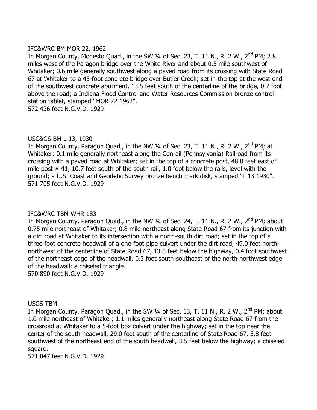#### IFC&WRC BM MOR 22, 1962

In Morgan County, Modesto Quad., in the SW 1/4 of Sec. 23, T. 11 N., R. 2 W., 2<sup>nd</sup> PM; 2.8 miles west of the Paragon bridge over the White River and about 0.5 mile southwest of Whitaker; 0.6 mile generally southwest along a paved road from its crossing with State Road 67 at Whitaker to a 45-foot concrete bridge over Butler Creek; set in the top at the west end of the southwest concrete abutment, 13.5 feet south of the centerline of the bridge, 0.7 foot above the road; a Indiana Flood Control and Water Resources Commission bronze control station tablet, stamped "MOR 22 1962". 572.436 feet N.G.V.D. 1929

## USC&GS BM L 13, 1930

In Morgan County, Paragon Quad., in the NW 1/4 of Sec. 23, T. 11 N., R. 2 W., 2<sup>nd</sup> PM; at Whitaker; 0.1 mile generally northeast along the Conrail (Pennsylvania) Railroad from its crossing with a paved road at Whitaker; set in the top of a concrete post, 48.0 feet east of mile post # 41, 10.7 feet south of the south rail, 1.0 foot below the rails, level with the ground; a U.S. Coast and Geodetic Survey bronze bench mark disk, stamped "L 13 1930". 571.705 feet N.G.V.D. 1929

#### IFC&WRC TBM WHR 183

In Morgan County, Paragon Quad., in the NW  $\frac{1}{4}$  of Sec. 24, T. 11 N., R. 2 W., 2<sup>nd</sup> PM; about 0.75 mile northeast of Whitaker; 0.8 mile northeast along State Road 67 from its junction with a dirt road at Whitaker to its intersection with a north-south dirt road; set in the top of a three-foot concrete headwall of a one-foot pipe culvert under the dirt road, 49.0 feet northnorthwest of the centerline of State Road 67, 13.0 feet below the highway, 0.4 foot southwest of the northeast edge of the headwall, 0.3 foot south-southeast of the north-northwest edge of the headwall; a chiseled triangle.

570.890 feet N.G.V.D. 1929

#### USGS TBM

In Morgan County, Paragon Quad., in the SW  $\frac{1}{4}$  of Sec. 13, T. 11 N., R. 2 W., 2<sup>nd</sup> PM; about 1.0 mile northeast of Whitaker; 1.1 miles generally northeast along State Road 67 from the crossroad at Whitaker to a 5-foot box culvert under the highway; set in the top near the center of the south headwall, 29.0 feet south of the centerline of State Road 67, 3.8 feet southwest of the northeast end of the south headwall, 3.5 feet below the highway; a chiseled square.

571.847 feet N.G.V.D. 1929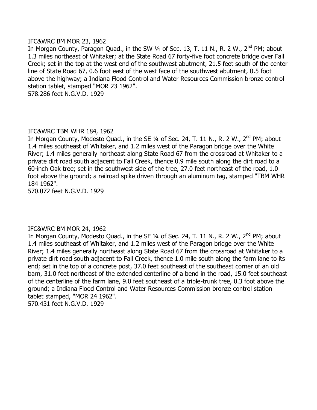#### IFC&WRC BM MOR 23, 1962

In Morgan County, Paragon Quad., in the SW 1/4 of Sec. 13, T. 11 N., R. 2 W., 2<sup>nd</sup> PM; about 1.3 miles northeast of Whitaker; at the State Road 67 forty-five foot concrete bridge over Fall Creek; set in the top at the west end of the southwest abutment, 21.5 feet south of the center line of State Road 67, 0.6 foot east of the west face of the southwest abutment, 0.5 foot above the highway; a Indiana Flood Control and Water Resources Commission bronze control station tablet, stamped "MOR 23 1962".

578.286 feet N.G.V.D. 1929

#### IFC&WRC TBM WHR 184, 1962

In Morgan County, Modesto Quad., in the SE 1/4 of Sec. 24, T. 11 N., R. 2 W., 2<sup>nd</sup> PM; about 1.4 miles southeast of Whitaker, and 1.2 miles west of the Paragon bridge over the White River; 1.4 miles generally northeast along State Road 67 from the crossroad at Whitaker to a private dirt road south adjacent to Fall Creek, thence 0.9 mile south along the dirt road to a 60-inch Oak tree; set in the southwest side of the tree, 27.0 feet northeast of the road, 1.0 foot above the ground; a railroad spike driven through an aluminum tag, stamped "TBM WHR 184 1962".

570.072 feet N.G.V.D. 1929

#### IFC&WRC BM MOR 24, 1962

In Morgan County, Modesto Quad., in the SE  $\frac{1}{4}$  of Sec. 24, T. 11 N., R. 2 W., 2<sup>nd</sup> PM; about 1.4 miles southeast of Whitaker, and 1.2 miles west of the Paragon bridge over the White River; 1.4 miles generally northeast along State Road 67 from the crossroad at Whitaker to a private dirt road south adjacent to Fall Creek, thence 1.0 mile south along the farm lane to its end; set in the top of a concrete post, 37.0 feet southeast of the southeast corner of an old barn, 31.0 feet northeast of the extended centerline of a bend in the road, 15.0 feet southeast of the centerline of the farm lane, 9.0 feet southeast of a triple-trunk tree, 0.3 foot above the ground; a Indiana Flood Control and Water Resources Commission bronze control station tablet stamped, "MOR 24 1962". 570.431 feet N.G.V.D. 1929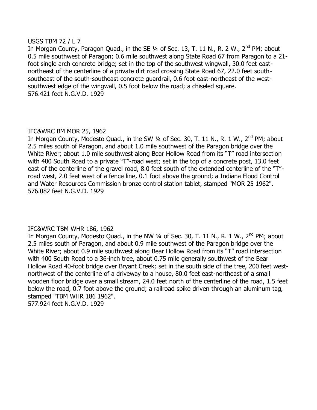#### USGS TBM 72 / L 7

In Morgan County, Paragon Quad., in the SE 1/4 of Sec. 13, T. 11 N., R. 2 W., 2<sup>nd</sup> PM; about 0.5 mile southwest of Paragon; 0.6 mile southwest along State Road 67 from Paragon to a 21 foot single arch concrete bridge; set in the top of the southwest wingwall, 30.0 feet eastnortheast of the centerline of a private dirt road crossing State Road 67, 22.0 feet southsoutheast of the south-southeast concrete guardrail, 0.6 foot east-northeast of the westsouthwest edge of the wingwall, 0.5 foot below the road; a chiseled square. 576.421 feet N.G.V.D. 1929

## IFC&WRC BM MOR 25, 1962

In Morgan County, Modesto Quad., in the SW 1/4 of Sec. 30, T. 11 N., R. 1 W., 2<sup>nd</sup> PM; about 2.5 miles south of Paragon, and about 1.0 mile southwest of the Paragon bridge over the White River; about 1.0 mile southwest along Bear Hollow Road from its "T" road intersection with 400 South Road to a private "T"-road west; set in the top of a concrete post, 13.0 feet east of the centerline of the gravel road, 8.0 feet south of the extended centerline of the "T" road west, 2.0 feet west of a fence line, 0.1 foot above the ground; a Indiana Flood Control and Water Resources Commission bronze control station tablet, stamped "MOR 25 1962". 576.082 feet N.G.V.D. 1929

## IFC&WRC TBM WHR 186, 1962

In Morgan County, Modesto Quad., in the NW  $\frac{1}{4}$  of Sec. 30, T. 11 N., R. 1 W.,  $2^{nd}$  PM; about 2.5 miles south of Paragon, and about 0.9 mile southwest of the Paragon bridge over the White River; about 0.9 mile southwest along Bear Hollow Road from its "T" road intersection with 400 South Road to a 36-inch tree, about 0.75 mile generally southwest of the Bear Hollow Road 40-foot bridge over Bryant Creek; set in the south side of the tree, 200 feet westnorthwest of the centerline of a driveway to a house, 80.0 feet east-northeast of a small wooden floor bridge over a small stream, 24.0 feet north of the centerline of the road, 1.5 feet below the road, 0.7 foot above the ground; a railroad spike driven through an aluminum tag, stamped "TBM WHR 186 1962". 577.924 feet N.G.V.D. 1929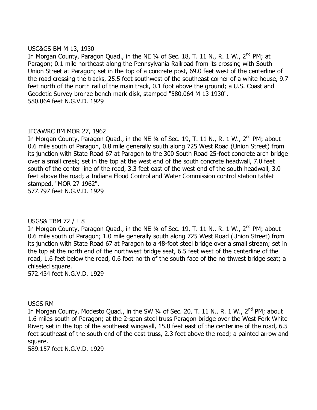#### USC&GS BM M 13, 1930

In Morgan County, Paragon Quad., in the NE  $\frac{1}{4}$  of Sec. 18, T. 11 N., R. 1 W.,  $2^{nd}$  PM; at Paragon; 0.1 mile northeast along the Pennsylvania Railroad from its crossing with South Union Street at Paragon; set in the top of a concrete post, 69.0 feet west of the centerline of the road crossing the tracks, 25.5 feet southwest of the southeast corner of a white house, 9.7 feet north of the north rail of the main track, 0.1 foot above the ground; a U.S. Coast and Geodetic Survey bronze bench mark disk, stamped "580.064 M 13 1930". 580.064 feet N.G.V.D. 1929

#### IFC&WRC BM MOR 27, 1962

In Morgan County, Paragon Quad., in the NE  $\frac{1}{4}$  of Sec. 19, T. 11 N., R. 1 W., 2<sup>nd</sup> PM; about 0.6 mile south of Paragon, 0.8 mile generally south along 725 West Road (Union Street) from its junction with State Road 67 at Paragon to the 300 South Road 25-foot concrete arch bridge over a small creek; set in the top at the west end of the south concrete headwall, 7.0 feet south of the center line of the road, 3.3 feet east of the west end of the south headwall, 3.0 feet above the road; a Indiana Flood Control and Water Commission control station tablet stamped, "MOR 27 1962". 577.797 feet N.G.V.D. 1929

## USGS& TBM 72 / L 8

In Morgan County, Paragon Quad., in the NE  $\frac{1}{4}$  of Sec. 19, T. 11 N., R. 1 W.,  $2^{nd}$  PM; about 0.6 mile south of Paragon; 1.0 mile generally south along 725 West Road (Union Street) from its junction with State Road 67 at Paragon to a 48-foot steel bridge over a small stream; set in the top at the north end of the northwest bridge seat, 6.5 feet west of the centerline of the road, 1.6 feet below the road, 0.6 foot north of the south face of the northwest bridge seat; a chiseled square.

572.434 feet N.G.V.D. 1929

#### USGS RM

In Morgan County, Modesto Quad., in the SW  $\frac{1}{4}$  of Sec. 20, T. 11 N., R. 1 W., 2<sup>nd</sup> PM; about 1.6 miles south of Paragon; at the 2-span steel truss Paragon bridge over the West Fork White River; set in the top of the southeast wingwall, 15.0 feet east of the centerline of the road, 6.5 feet southeast of the south end of the east truss, 2.3 feet above the road; a painted arrow and square.

589.157 feet N.G.V.D. 1929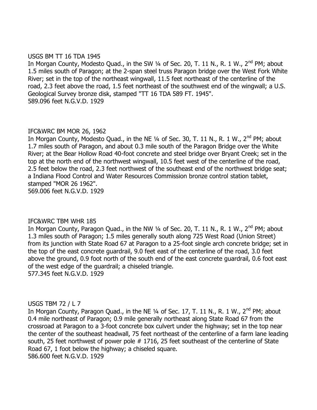#### USGS BM TT 16 TDA 1945

In Morgan County, Modesto Quad., in the SW  $\frac{1}{4}$  of Sec. 20, T. 11 N., R. 1 W.,  $2^{nd}$  PM; about 1.5 miles south of Paragon; at the 2-span steel truss Paragon bridge over the West Fork White River; set in the top of the northeast wingwall, 11.5 feet northeast of the centerline of the road, 2.3 feet above the road, 1.5 feet northeast of the southwest end of the wingwall; a U.S. Geological Survey bronze disk, stamped "TT 16 TDA 589 FT. 1945". 589.096 feet N.G.V.D. 1929

## IFC&WRC BM MOR 26, 1962

In Morgan County, Modesto Quad., in the NE  $\frac{1}{4}$  of Sec. 30, T. 11 N., R. 1 W., 2<sup>nd</sup> PM; about 1.7 miles south of Paragon, and about 0.3 mile south of the Paragon Bridge over the White River; at the Bear Hollow Road 40-foot concrete and steel bridge over Bryant Creek; set in the top at the north end of the northwest wingwall, 10.5 feet west of the centerline of the road, 2.5 feet below the road, 2.3 feet northwest of the southeast end of the northwest bridge seat; a Indiana Flood Control and Water Resources Commission bronze control station tablet, stamped "MOR 26 1962". 569.006 feet N.G.V.D. 1929

#### IFC&WRC TBM WHR 185

In Morgan County, Paragon Quad., in the NW  $\frac{1}{4}$  of Sec. 20, T. 11 N., R. 1 W.,  $2^{nd}$  PM; about 1.3 miles south of Paragon; 1.5 miles generally south along 725 West Road (Union Street) from its junction with State Road 67 at Paragon to a 25-foot single arch concrete bridge; set in the top of the east concrete guardrail, 9.0 feet east of the centerline of the road, 3.0 feet above the ground, 0.9 foot north of the south end of the east concrete guardrail, 0.6 foot east of the west edge of the guardrail; a chiseled triangle. 577.345 feet N.G.V.D. 1929

#### USGS TBM 72 / L 7

In Morgan County, Paragon Quad., in the NE 1/4 of Sec. 17, T. 11 N., R. 1 W., 2<sup>nd</sup> PM; about 0.4 mile northeast of Paragon; 0.9 mile generally northeast along State Road 67 from the crossroad at Paragon to a 3-foot concrete box culvert under the highway; set in the top near the center of the southeast headwall, 75 feet northeast of the centerline of a farm lane leading south, 25 feet northwest of power pole # 1716, 25 feet southeast of the centerline of State Road 67, 1 foot below the highway; a chiseled square. 586.600 feet N.G.V.D. 1929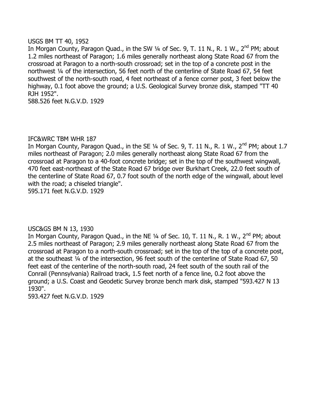#### USGS BM TT 40, 1952

In Morgan County, Paragon Quad., in the SW 1/4 of Sec. 9, T. 11 N., R. 1 W., 2<sup>nd</sup> PM; about 1.2 miles northeast of Paragon; 1.6 miles generally northeast along State Road 67 from the crossroad at Paragon to a north-south crossroad; set in the top of a concrete post in the northwest ¼ of the intersection, 56 feet north of the centerline of State Road 67, 54 feet southwest of the north-south road, 4 feet northeast of a fence corner post, 3 feet below the highway, 0.1 foot above the ground; a U.S. Geological Survey bronze disk, stamped "TT 40 RJH 1952".

588.526 feet N.G.V.D. 1929

#### IFC&WRC TBM WHR 187

In Morgan County, Paragon Quad., in the SE  $\frac{1}{4}$  of Sec. 9, T. 11 N., R. 1 W.,  $2^{nd}$  PM; about 1.7 miles northeast of Paragon; 2.0 miles generally northeast along State Road 67 from the crossroad at Paragon to a 40-foot concrete bridge; set in the top of the southwest wingwall, 470 feet east-northeast of the State Road 67 bridge over Burkhart Creek, 22.0 feet south of the centerline of State Road 67, 0.7 foot south of the north edge of the wingwall, about level with the road; a chiseled triangle".

595.171 feet N.G.V.D. 1929

#### USC&GS BM N 13, 1930

In Morgan County, Paragon Quad., in the NE  $\frac{1}{4}$  of Sec. 10, T. 11 N., R. 1 W., 2<sup>nd</sup> PM; about 2.5 miles northeast of Paragon; 2.9 miles generally northeast along State Road 67 from the crossroad at Paragon to a north-south crossroad; set in the top of the top of a concrete post, at the southeast ¼ of the intersection, 96 feet south of the centerline of State Road 67, 50 feet east of the centerline of the north-south road, 24 feet south of the south rail of the Conrail (Pennsylvania) Railroad track, 1.5 feet north of a fence line, 0.2 foot above the ground; a U.S. Coast and Geodetic Survey bronze bench mark disk, stamped "593.427 N 13 1930".

593.427 feet N.G.V.D. 1929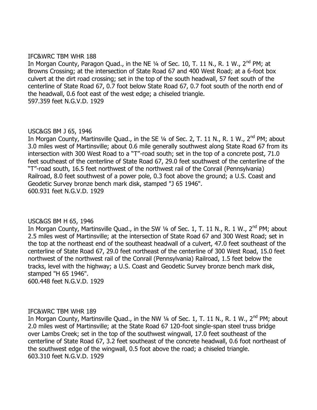#### IFC&WRC TBM WHR 188

In Morgan County, Paragon Quad., in the NE  $\frac{1}{4}$  of Sec. 10, T. 11 N., R. 1 W.,  $2^{nd}$  PM; at Browns Crossing; at the intersection of State Road 67 and 400 West Road; at a 6-foot box culvert at the dirt road crossing; set in the top of the south headwall, 57 feet south of the centerline of State Road 67, 0.7 foot below State Road 67, 0.7 foot south of the north end of the headwall, 0.6 foot east of the west edge; a chiseled triangle. 597.359 feet N.G.V.D. 1929

#### USC&GS BM J 65, 1946

In Morgan County, Martinsville Quad., in the SE 1/4 of Sec. 2, T. 11 N., R. 1 W., 2<sup>nd</sup> PM; about 3.0 miles west of Martinsville; about 0.6 mile generally southwest along State Road 67 from its intersection with 300 West Road to a "T"-road south; set in the top of a concrete post, 71.0 feet southeast of the centerline of State Road 67, 29.0 feet southwest of the centerline of the "T"-road south, 16.5 feet northwest of the northwest rail of the Conrail (Pennsylvania) Railroad, 8.0 feet southwest of a power pole, 0.3 foot above the ground; a U.S. Coast and Geodetic Survey bronze bench mark disk, stamped "J 65 1946". 600.931 feet N.G.V.D. 1929

#### USC&GS BM H 65, 1946

In Morgan County, Martinsville Quad., in the SW 1/4 of Sec. 1, T. 11 N., R. 1 W., 2<sup>nd</sup> PM; about 2.5 miles west of Martinsville; at the intersection of State Road 67 and 300 West Road; set in the top at the northeast end of the southeast headwall of a culvert, 47.0 feet southeast of the centerline of State Road 67, 29.0 feet northeast of the centerline of 300 West Road, 15.0 feet northwest of the northwest rail of the Conrail (Pennsylvania) Railroad, 1.5 feet below the tracks, level with the highway; a U.S. Coast and Geodetic Survey bronze bench mark disk, stamped "H 65 1946". 600.448 feet N.G.V.D. 1929

#### IFC&WRC TBM WHR 189

In Morgan County, Martinsville Quad., in the NW  $\frac{1}{4}$  of Sec. 1, T. 11 N., R. 1 W., 2<sup>nd</sup> PM; about 2.0 miles west of Martinsville; at the State Road 67 120-foot single-span steel truss bridge over Lambs Creek; set in the top of the southwest wingwall, 17.0 feet southeast of the centerline of State Road 67, 3.2 feet southeast of the concrete headwall, 0.6 foot northeast of the southwest edge of the wingwall, 0.5 foot above the road; a chiseled triangle. 603.310 feet N.G.V.D. 1929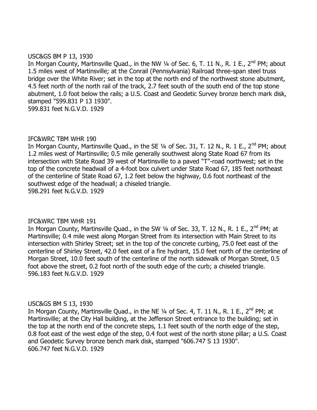#### USC&GS BM P 13, 1930

In Morgan County, Martinsville Quad., in the NW  $\frac{1}{4}$  of Sec. 6, T. 11 N., R. 1 E., 2<sup>nd</sup> PM; about 1.5 miles west of Martinsville; at the Conrail (Pennsylvania) Railroad three-span steel truss bridge over the White River; set in the top at the north end of the northwest stone abutment, 4.5 feet north of the north rail of the track, 2.7 feet south of the south end of the top stone abutment, 1.0 foot below the rails; a U.S. Coast and Geodetic Survey bronze bench mark disk, stamped "599.831 P 13 1930". 599.831 feet N.G.V.D. 1929

## IFC&WRC TBM WHR 190

In Morgan County, Martinsville Quad., in the SE  $1/4$  of Sec. 31, T. 12 N., R. 1 E., 2<sup>nd</sup> PM; about 1.2 miles west of Martinsville; 0.5 mile generally southwest along State Road 67 from its intersection with State Road 39 west of Martinsville to a paved "T"-road northwest; set in the top of the concrete headwall of a 4-foot box culvert under State Road 67, 185 feet northeast of the centerline of State Road 67, 1.2 feet below the highway, 0.6 foot northeast of the southwest edge of the headwall; a chiseled triangle. 598.291 feet N.G.V.D. 1929

#### IFC&WRC TBM WHR 191

In Morgan County, Martinsville Quad., in the SW  $\frac{1}{4}$  of Sec. 33, T. 12 N., R. 1 E., 2<sup>nd</sup> PM; at Martinsville; 0.4 mile west along Morgan Street from its intersection with Main Street to its intersection with Shirley Street; set in the top of the concrete curbing, 75.0 feet east of the centerline of Shirley Street, 42.0 feet east of a fire hydrant, 15.0 feet north of the centerline of Morgan Street, 10.0 feet south of the centerline of the north sidewalk of Morgan Street, 0.5 foot above the street, 0.2 foot north of the south edge of the curb; a chiseled triangle. 596.183 feet N.G.V.D. 1929

#### USC&GS BM S 13, 1930

In Morgan County, Martinsville Quad., in the NE  $\frac{1}{4}$  of Sec. 4, T. 11 N., R. 1 E., 2<sup>nd</sup> PM; at Martinsville; at the City Hall building, at the Jefferson Street entrance to the building; set in the top at the north end of the concrete steps, 1.1 feet south of the north edge of the step, 0.8 foot east of the west edge of the step, 0.4 foot west of the north stone pillar; a U.S. Coast and Geodetic Survey bronze bench mark disk, stamped "606.747 S 13 1930". 606.747 feet N.G.V.D. 1929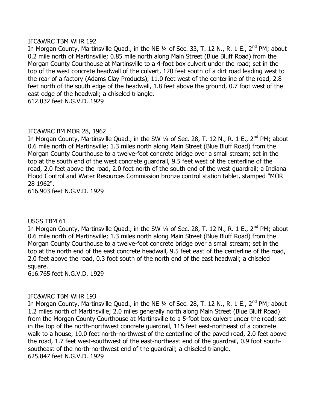#### IFC&WRC TBM WHR 192

In Morgan County, Martinsville Quad., in the NE 1/4 of Sec. 33, T. 12 N., R. 1 E., 2<sup>nd</sup> PM; about 0.2 mile north of Martinsville; 0.85 mile north along Main Street (Blue Bluff Road) from the Morgan County Courthouse at Martinsville to a 4-foot box culvert under the road; set in the top of the west concrete headwall of the culvert, 120 feet south of a dirt road leading west to the rear of a factory (Adams Clay Products), 11.0 feet west of the centerline of the road, 2.8 feet north of the south edge of the headwall, 1.8 feet above the ground, 0.7 foot west of the east edge of the headwall; a chiseled triangle.

612.032 feet N.G.V.D. 1929

#### IFC&WRC BM MOR 28, 1962

In Morgan County, Martinsville Quad., in the SW 1/4 of Sec. 28, T. 12 N., R. 1 E., 2<sup>nd</sup> PM; about 0.6 mile north of Martinsville; 1.3 miles north along Main Street (Blue Bluff Road) from the Morgan County Courthouse to a twelve-foot concrete bridge over a small stream; set in the top at the south end of the west concrete guardrail, 9.5 feet west of the centerline of the road, 2.0 feet above the road, 2.0 feet north of the south end of the west guardrail; a Indiana Flood Control and Water Resources Commission bronze control station tablet, stamped "MOR 28 1962".

616.903 feet N.G.V.D. 1929

#### USGS TBM 61

In Morgan County, Martinsville Quad., in the SW 1/4 of Sec. 28, T. 12 N., R. 1 E., 2<sup>nd</sup> PM; about 0.6 mile north of Martinsville; 1.3 miles north along Main Street (Blue Bluff Road) from the Morgan County Courthouse to a twelve-foot concrete bridge over a small stream; set in the top at the north end of the east concrete headwall, 9.5 feet east of the centerline of the road, 2.0 feet above the road, 0.3 foot south of the north end of the east headwall; a chiseled square.

616.765 feet N.G.V.D. 1929

#### IFC&WRC TBM WHR 193

In Morgan County, Martinsville Quad., in the NE  $\frac{1}{4}$  of Sec. 28, T. 12 N., R. 1 E., 2<sup>nd</sup> PM; about 1.2 miles north of Martinsville; 2.0 miles generally north along Main Street (Blue Bluff Road) from the Morgan County Courthouse at Martinsville to a 5-foot box culvert under the road; set in the top of the north-northwest concrete guardrail, 115 feet east-northeast of a concrete walk to a house, 10.0 feet north-northwest of the centerline of the paved road, 2.0 feet above the road, 1.7 feet west-southwest of the east-northeast end of the guardrail, 0.9 foot southsoutheast of the north-northwest end of the guardrail; a chiseled triangle. 625.847 feet N.G.V.D. 1929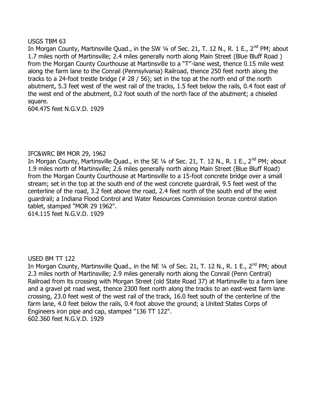#### USGS TBM 63

In Morgan County, Martinsville Quad., in the SW 1/4 of Sec. 21, T. 12 N., R. 1 E., 2<sup>nd</sup> PM; about 1.7 miles north of Martinsville; 2.4 miles generally north along Main Street (Blue Bluff Road ) from the Morgan County Courthouse at Martinsville to a "T"-lane west, thence 0.15 mile west along the farm lane to the Conrail (Pennsylvania) Railroad, thence 250 feet north along the tracks to a 24-foot trestle bridge (# 28 / 56); set in the top at the north end of the north abutment, 5.3 feet west of the west rail of the tracks, 1.5 feet below the rails, 0.4 foot east of the west end of the abutment, 0.2 foot south of the north face of the abutment; a chiseled square.

604.475 feet N.G.V.D. 1929

#### IFC&WRC BM MOR 29, 1962

In Morgan County, Martinsville Quad., in the SE 1/4 of Sec. 21, T. 12 N., R. 1 E., 2<sup>nd</sup> PM; about 1.9 miles north of Martinsville; 2.6 miles generally north along Main Street (Blue Bluff Road) from the Morgan County Courthouse at Martinsville to a 15-foot concrete bridge over a small stream; set in the top at the south end of the west concrete guardrail, 9.5 feet west of the centerline of the road, 3.2 feet above the road, 2.4 feet north of the south end of the west guardrail; a Indiana Flood Control and Water Resources Commission bronze control station tablet, stamped "MOR 29 1962".

614.115 feet N.G.V.D. 1929

#### USED BM TT 122

In Morgan County, Martinsville Quad., in the NE 1/4 of Sec. 21, T. 12 N., R. 1 E., 2<sup>nd</sup> PM; about 2.3 miles north of Martinsville; 2.9 miles generally north along the Conrail (Penn Central) Railroad from its crossing with Morgan Street (old State Road 37) at Martinsville to a farm lane and a gravel pit road west, thence 2300 feet north along the tracks to an east-west farm lane crossing, 23.0 feet west of the west rail of the track, 16.0 feet south of the centerline of the farm lane, 4.0 feet below the rails, 0.4 foot above the ground; a United States Corps of Engineers iron pipe and cap, stamped "136 TT 122". 602.360 feet N.G.V.D. 1929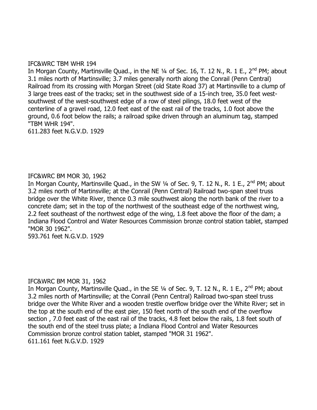#### IFC&WRC TBM WHR 194

In Morgan County, Martinsville Quad., in the NE 1/4 of Sec. 16, T. 12 N., R. 1 E., 2<sup>nd</sup> PM; about 3.1 miles north of Martinsville; 3.7 miles generally north along the Conrail (Penn Central) Railroad from its crossing with Morgan Street (old State Road 37) at Martinsville to a clump of 3 large trees east of the tracks; set in the southwest side of a 15-inch tree, 35.0 feet westsouthwest of the west-southwest edge of a row of steel pilings, 18.0 feet west of the centerline of a gravel road, 12.0 feet east of the east rail of the tracks, 1.0 foot above the ground, 0.6 foot below the rails; a railroad spike driven through an aluminum tag, stamped "TBM WHR 194".

611.283 feet N.G.V.D. 1929

#### IFC&WRC BM MOR 30, 1962

In Morgan County, Martinsville Quad., in the SW 1/4 of Sec. 9, T. 12 N., R. 1 E., 2<sup>nd</sup> PM; about 3.2 miles north of Martinsville; at the Conrail (Penn Central) Railroad two-span steel truss bridge over the White River, thence 0.3 mile southwest along the north bank of the river to a concrete dam; set in the top of the northwest of the southeast edge of the northwest wing, 2.2 feet southeast of the northwest edge of the wing, 1.8 feet above the floor of the dam; a Indiana Flood Control and Water Resources Commission bronze control station tablet, stamped "MOR 30 1962".

593.761 feet N.G.V.D. 1929

#### IFC&WRC BM MOR 31, 1962

In Morgan County, Martinsville Quad., in the SE 1/4 of Sec. 9, T. 12 N., R. 1 E., 2<sup>nd</sup> PM; about 3.2 miles north of Martinsville; at the Conrail (Penn Central) Railroad two-span steel truss bridge over the White River and a wooden trestle overflow bridge over the White River; set in the top at the south end of the east pier, 150 feet north of the south end of the overflow section , 7.0 feet east of the east rail of the tracks, 4.8 feet below the rails, 1.8 feet south of the south end of the steel truss plate; a Indiana Flood Control and Water Resources Commission bronze control station tablet, stamped "MOR 31 1962". 611.161 feet N.G.V.D. 1929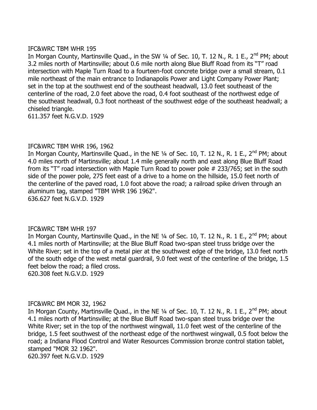#### IFC&WRC TBM WHR 195

In Morgan County, Martinsville Quad., in the SW 1/4 of Sec. 10, T. 12 N., R. 1 E., 2<sup>nd</sup> PM; about 3.2 miles north of Martinsville; about 0.6 mile north along Blue Bluff Road from its "T" road intersection with Maple Turn Road to a fourteen-foot concrete bridge over a small stream, 0.1 mile northeast of the main entrance to Indianapolis Power and Light Company Power Plant; set in the top at the southwest end of the southeast headwall, 13.0 feet southeast of the centerline of the road, 2.0 feet above the road, 0.4 foot southeast of the northwest edge of the southeast headwall, 0.3 foot northeast of the southwest edge of the southeast headwall; a chiseled triangle.

611.357 feet N.G.V.D. 1929

#### IFC&WRC TBM WHR 196, 1962

In Morgan County, Martinsville Quad., in the NE 1/4 of Sec. 10, T. 12 N., R. 1 E., 2<sup>nd</sup> PM; about 4.0 miles north of Martinsville; about 1.4 mile generally north and east along Blue Bluff Road from its "T" road intersection with Maple Turn Road to power pole # 233/765; set in the south side of the power pole, 275 feet east of a drive to a home on the hillside, 15.0 feet north of the centerline of the paved road, 1.0 foot above the road; a railroad spike driven through an aluminum tag, stamped "TBM WHR 196 1962".

636.627 feet N.G.V.D. 1929

#### IFC&WRC TBM WHR 197

In Morgan County, Martinsville Quad., in the NE  $\frac{1}{4}$  of Sec. 10, T. 12 N., R. 1 E., 2<sup>nd</sup> PM; about 4.1 miles north of Martinsville; at the Blue Bluff Road two-span steel truss bridge over the White River; set in the top of a metal pier at the southwest edge of the bridge, 13.0 feet north of the south edge of the west metal guardrail, 9.0 feet west of the centerline of the bridge, 1.5 feet below the road; a filed cross.

620.308 feet N.G.V.D. 1929

#### IFC&WRC BM MOR 32, 1962

In Morgan County, Martinsville Quad., in the NE 1/4 of Sec. 10, T. 12 N., R. 1 E., 2<sup>nd</sup> PM; about 4.1 miles north of Martinsville; at the Blue Bluff Road two-span steel truss bridge over the White River; set in the top of the northwest wingwall, 11.0 feet west of the centerline of the bridge, 1.5 feet southwest of the northeast edge of the northwest wingwall, 0.5 foot below the road; a Indiana Flood Control and Water Resources Commission bronze control station tablet, stamped "MOR 32 1962".

620.397 feet N.G.V.D. 1929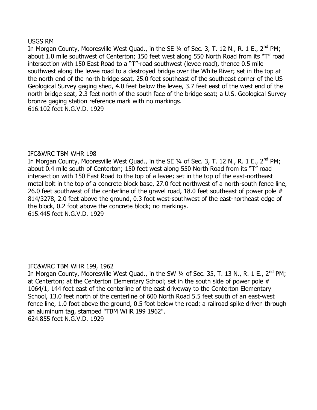#### USGS RM

In Morgan County, Mooresville West Quad., in the SE 1/4 of Sec. 3, T. 12 N., R. 1 E., 2<sup>nd</sup> PM; about 1.0 mile southwest of Centerton; 150 feet west along 550 North Road from its "T" road intersection with 150 East Road to a "T"-road southwest (levee road), thence 0.5 mile southwest along the levee road to a destroyed bridge over the White River; set in the top at the north end of the north bridge seat, 25.0 feet southeast of the southeast corner of the US Geological Survey gaging shed, 4.0 feet below the levee, 3.7 feet east of the west end of the north bridge seat, 2.3 feet north of the south face of the bridge seat; a U.S. Geological Survey bronze gaging station reference mark with no markings. 616.102 feet N.G.V.D. 1929

#### IFC&WRC TBM WHR 198

In Morgan County, Mooresville West Quad., in the SE 1/4 of Sec. 3, T. 12 N., R. 1 E., 2<sup>nd</sup> PM; about 0.4 mile south of Centerton; 150 feet west along 550 North Road from its "T" road intersection with 150 East Road to the top of a levee; set in the top of the east-northeast metal bolt in the top of a concrete block base, 27.0 feet northwest of a north-south fence line, 26.0 feet southwest of the centerline of the gravel road, 18.0 feet southeast of power pole # 814/3278, 2.0 feet above the ground, 0.3 foot west-southwest of the east-northeast edge of the block, 0.2 foot above the concrete block; no markings. 615.445 feet N.G.V.D. 1929

#### IFC&WRC TBM WHR 199, 1962

In Morgan County, Mooresville West Quad., in the SW  $\frac{1}{4}$  of Sec. 35, T. 13 N., R. 1 E., 2<sup>nd</sup> PM; at Centerton; at the Centerton Elementary School; set in the south side of power pole # 1064/1, 144 feet east of the centerline of the east driveway to the Centerton Elementary School, 13.0 feet north of the centerline of 600 North Road 5.5 feet south of an east-west fence line, 1.0 foot above the ground, 0.5 foot below the road; a railroad spike driven through an aluminum tag, stamped "TBM WHR 199 1962". 624.855 feet N.G.V.D. 1929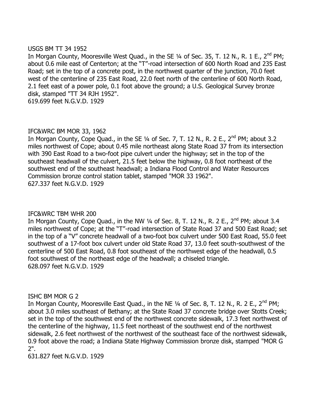#### USGS BM TT 34 1952

In Morgan County, Mooresville West Quad., in the SE 1/4 of Sec. 35, T. 12 N., R. 1 E., 2<sup>nd</sup> PM; about 0.6 mile east of Centerton; at the "T"-road intersection of 600 North Road and 235 East Road; set in the top of a concrete post, in the northwest quarter of the junction, 70.0 feet west of the centerline of 235 East Road, 22.0 feet north of the centerline of 600 North Road, 2.1 feet east of a power pole, 0.1 foot above the ground; a U.S. Geological Survey bronze disk, stamped "TT 34 RJH 1952". 619.699 feet N.G.V.D. 1929

## IFC&WRC BM MOR 33, 1962

In Morgan County, Cope Quad., in the SE  $\frac{1}{4}$  of Sec. 7, T. 12 N., R. 2 E., 2<sup>nd</sup> PM; about 3.2 miles northwest of Cope; about 0.45 mile northeast along State Road 37 from its intersection with 390 East Road to a two-foot pipe culvert under the highway; set in the top of the southeast headwall of the culvert, 21.5 feet below the highway, 0.8 foot northeast of the southwest end of the southeast headwall; a Indiana Flood Control and Water Resources Commission bronze control station tablet, stamped "MOR 33 1962". 627.337 feet N.G.V.D. 1929

## IFC&WRC TBM WHR 200

In Morgan County, Cope Quad., in the NW 1/4 of Sec. 8, T. 12 N., R. 2 E., 2<sup>nd</sup> PM; about 3.4 miles northwest of Cope; at the "T"-road intersection of State Road 37 and 500 East Road; set in the top of a "V" concrete headwall of a two-foot box culvert under 500 East Road, 55.0 feet southwest of a 17-foot box culvert under old State Road 37, 13.0 feet south-southwest of the centerline of 500 East Road, 0.8 foot southeast of the northwest edge of the headwall, 0.5 foot southwest of the northeast edge of the headwall; a chiseled triangle. 628.097 feet N.G.V.D. 1929

#### ISHC BM MOR G 2

In Morgan County, Mooresville East Quad., in the NE  $\frac{1}{4}$  of Sec. 8, T. 12 N., R. 2 E., 2<sup>nd</sup> PM; about 3.0 miles southeast of Bethany; at the State Road 37 concrete bridge over Stotts Creek; set in the top of the southwest end of the northwest concrete sidewalk, 17.3 feet northwest of the centerline of the highway, 11.5 feet northeast of the southwest end of the northwest sidewalk, 2.6 feet northwest of the northwest of the southeast face of the northwest sidewalk, 0.9 foot above the road; a Indiana State Highway Commission bronze disk, stamped "MOR G 2".

631.827 feet N.G.V.D. 1929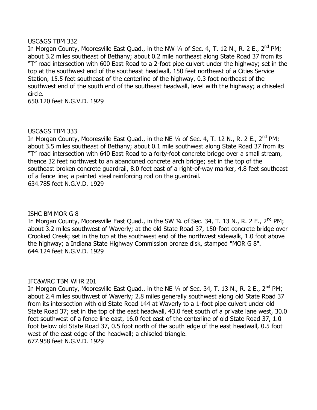#### USC&GS TBM 332

In Morgan County, Mooresville East Quad., in the NW 1/4 of Sec. 4, T. 12 N., R. 2 E., 2<sup>nd</sup> PM; about 3.2 miles southeast of Bethany; about 0.2 mile northeast along State Road 37 from its "T" road intersection with 600 East Road to a 2-foot pipe culvert under the highway; set in the top at the southwest end of the southeast headwall, 150 feet northeast of a Cities Service Station, 15.5 feet southeast of the centerline of the highway, 0.3 foot northeast of the southwest end of the south end of the southeast headwall, level with the highway; a chiseled circle.

650.120 feet N.G.V.D. 1929

## USC&GS TBM 333

In Morgan County, Mooresville East Quad., in the NE  $\frac{1}{4}$  of Sec. 4, T. 12 N., R. 2 E., 2<sup>nd</sup> PM; about 3.5 miles southeast of Bethany; about 0.1 mile southwest along State Road 37 from its "T" road intersection with 640 East Road to a forty-foot concrete bridge over a small stream, thence 32 feet northwest to an abandoned concrete arch bridge; set in the top of the southeast broken concrete guardrail, 8.0 feet east of a right-of-way marker, 4.8 feet southeast of a fence line; a painted steel reinforcing rod on the guardrail. 634.785 feet N.G.V.D. 1929

#### ISHC BM MOR G 8

In Morgan County, Mooresville East Quad., in the SW  $\frac{1}{4}$  of Sec. 34, T. 13 N., R. 2 E., 2<sup>nd</sup> PM; about 3.2 miles southwest of Waverly; at the old State Road 37, 150-foot concrete bridge over Crooked Creek; set in the top at the southwest end of the northwest sidewalk, 1.0 foot above the highway; a Indiana State Highway Commission bronze disk, stamped "MOR G 8". 644.124 feet N.G.V.D. 1929

#### IFC&WRC TBM WHR 201

In Morgan County, Mooresville East Quad., in the NE 1/4 of Sec. 34, T. 13 N., R. 2 E., 2<sup>nd</sup> PM; about 2.4 miles southwest of Waverly; 2.8 miles generally southwest along old State Road 37 from its intersection with old State Road 144 at Waverly to a 1-foot pipe culvert under old State Road 37; set in the top of the east headwall, 43.0 feet south of a private lane west, 30.0 feet southwest of a fence line east, 16.0 feet east of the centerline of old State Road 37, 1.0 foot below old State Road 37, 0.5 foot north of the south edge of the east headwall, 0.5 foot west of the east edge of the headwall; a chiseled triangle. 677.958 feet N.G.V.D. 1929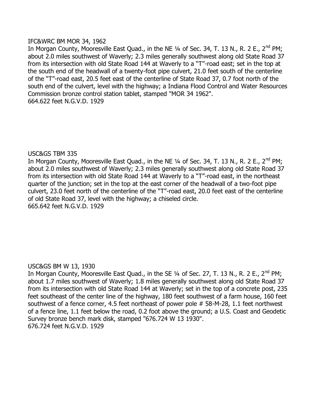# IFC&WRC BM MOR 34, 1962

In Morgan County, Mooresville East Quad., in the NE  $\frac{1}{4}$  of Sec. 34, T. 13 N., R. 2 E., 2<sup>nd</sup> PM; about 2.0 miles southwest of Waverly; 2.3 miles generally southwest along old State Road 37 from its intersection with old State Road 144 at Waverly to a "T"-road east; set in the top at the south end of the headwall of a twenty-foot pipe culvert, 21.0 feet south of the centerline of the "T"-road east, 20.5 feet east of the centerline of State Road 37, 0.7 foot north of the south end of the culvert, level with the highway; a Indiana Flood Control and Water Resources Commission bronze control station tablet, stamped "MOR 34 1962". 664.622 feet N.G.V.D. 1929

# USC&GS TBM 335

In Morgan County, Mooresville East Quad., in the NE  $\frac{1}{4}$  of Sec. 34, T. 13 N., R. 2 E., 2<sup>nd</sup> PM; about 2.0 miles southwest of Waverly; 2.3 miles generally southwest along old State Road 37 from its intersection with old State Road 144 at Waverly to a "T"-road east, in the northeast quarter of the junction; set in the top at the east corner of the headwall of a two-foot pipe culvert, 23.0 feet north of the centerline of the "T"-road east, 20.0 feet east of the centerline of old State Road 37, level with the highway; a chiseled circle. 665.642 feet N.G.V.D. 1929

# USC&GS BM W 13, 1930

In Morgan County, Mooresville East Quad., in the SE 1/4 of Sec. 27, T. 13 N., R. 2 E., 2<sup>nd</sup> PM; about 1.7 miles southwest of Waverly; 1.8 miles generally southwest along old State Road 37 from its intersection with old State Road 144 at Waverly; set in the top of a concrete post, 235 feet southeast of the center line of the highway, 180 feet southwest of a farm house, 160 feet southwest of a fence corner, 4.5 feet northeast of power pole # 58-M-28, 1.1 feet northwest of a fence line, 1.1 feet below the road, 0.2 foot above the ground; a U.S. Coast and Geodetic Survey bronze bench mark disk, stamped "676.724 W 13 1930". 676.724 feet N.G.V.D. 1929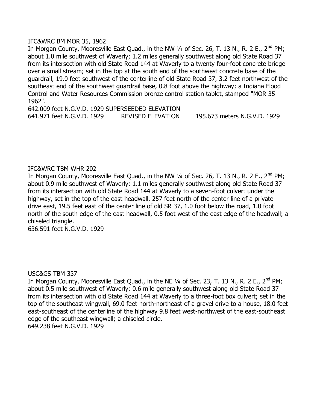### IFC&WRC BM MOR 35, 1962

In Morgan County, Mooresville East Quad., in the NW  $\frac{1}{4}$  of Sec. 26, T. 13 N., R. 2 E., 2<sup>nd</sup> PM; about 1.0 mile southwest of Waverly; 1.2 miles generally southwest along old State Road 37 from its intersection with old State Road 144 at Waverly to a twenty four-foot concrete bridge over a small stream; set in the top at the south end of the southwest concrete base of the guardrail, 19.0 feet southwest of the centerline of old State Road 37, 3.2 feet northwest of the southeast end of the southwest guardrail base, 0.8 foot above the highway; a Indiana Flood Control and Water Resources Commission bronze control station tablet, stamped "MOR 35 1962".

642.009 feet N.G.V.D. 1929 SUPERSEEDED ELEVATION 641.971 feet N.G.V.D. 1929 REVISED ELEVATION 195.673 meters N.G.V.D. 1929

### IFC&WRC TBM WHR 202

In Morgan County, Mooresville East Quad., in the NW  $\frac{1}{4}$  of Sec. 26, T. 13 N., R. 2 E., 2<sup>nd</sup> PM; about 0.9 mile southwest of Waverly; 1.1 miles generally southwest along old State Road 37 from its intersection with old State Road 144 at Waverly to a seven-foot culvert under the highway, set in the top of the east headwall, 257 feet north of the center line of a private drive east, 19.5 feet east of the center line of old SR 37, 1.0 foot below the road, 1.0 foot north of the south edge of the east headwall, 0.5 foot west of the east edge of the headwall; a chiseled triangle.

636.591 feet N.G.V.D. 1929

#### USC&GS TBM 337

In Morgan County, Mooresville East Quad., in the NE  $\frac{1}{4}$  of Sec. 23, T. 13 N., R. 2 E., 2<sup>nd</sup> PM; about 0.5 mile southwest of Waverly; 0.6 mile generally southwest along old State Road 37 from its intersection with old State Road 144 at Waverly to a three-foot box culvert; set in the top of the southeast wingwall, 69.0 feet north-northeast of a gravel drive to a house, 18.0 feet east-southeast of the centerline of the highway 9.8 feet west-northwest of the east-southeast edge of the southeast wingwall; a chiseled circle. 649.238 feet N.G.V.D. 1929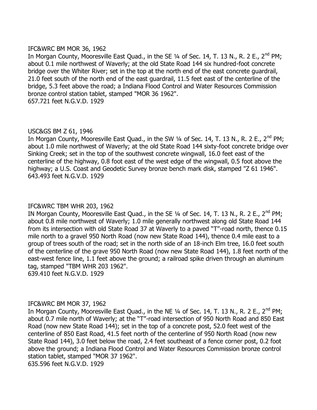# IFC&WRC BM MOR 36, 1962

In Morgan County, Mooresville East Quad., in the SE  $\frac{1}{4}$  of Sec. 14, T. 13 N., R. 2 E., 2<sup>nd</sup> PM; about 0.1 mile northwest of Waverly; at the old State Road 144 six hundred-foot concrete bridge over the Whiter River; set in the top at the north end of the east concrete guardrail, 21.0 feet south of the north end of the east guardrail, 11.5 feet east of the centerline of the bridge, 5.3 feet above the road; a Indiana Flood Control and Water Resources Commission bronze control station tablet, stamped "MOR 36 1962". 657.721 feet N.G.V.D. 1929

# USC&GS BM Z 61, 1946

In Morgan County, Mooresville East Quad., in the SW 1/4 of Sec. 14, T. 13 N., R. 2 E., 2<sup>nd</sup> PM; about 1.0 mile northwest of Waverly; at the old State Road 144 sixty-foot concrete bridge over Sinking Creek; set in the top of the southwest concrete wingwall, 16.0 feet east of the centerline of the highway, 0.8 foot east of the west edge of the wingwall, 0.5 foot above the highway; a U.S. Coast and Geodetic Survey bronze bench mark disk, stamped "Z 61 1946". 643.493 feet N.G.V.D. 1929

# IFC&WRC TBM WHR 203, 1962

IN Morgan County, Mooresville East Quad., in the SE 1/4 of Sec. 14, T. 13 N., R. 2 E., 2<sup>nd</sup> PM: about 0.8 mile northwest of Waverly; 1.0 mile generally northwest along old State Road 144 from its intersection with old State Road 37 at Waverly to a paved "T"-road north, thence 0.15 mile north to a gravel 950 North Road (now new State Road 144), thence 0.4 mile east to a group of trees south of the road; set in the north side of an 18-inch Elm tree, 16.0 feet south of the centerline of the grave 950 North Road (now new State Road 144), 1.8 feet north of the east-west fence line, 1.1 feet above the ground; a railroad spike driven through an aluminum tag, stamped "TBM WHR 203 1962".

639.410 feet N.G.V.D. 1929

# IFC&WRC BM MOR 37, 1962

In Morgan County, Mooresville East Quad., in the NE 1/4 of Sec. 14, T. 13 N., R. 2 E., 2<sup>nd</sup> PM; about 0.7 mile north of Waverly; at the "T"-road intersection of 950 North Road and 850 East Road (now new State Road 144); set in the top of a concrete post, 52.0 feet west of the centerline of 850 East Road, 41.5 feet north of the centerline of 950 North Road (now new State Road 144), 3.0 feet below the road, 2.4 feet southeast of a fence corner post, 0.2 foot above the ground; a Indiana Flood Control and Water Resources Commission bronze control station tablet, stamped "MOR 37 1962".

635.596 feet N.G.V.D. 1929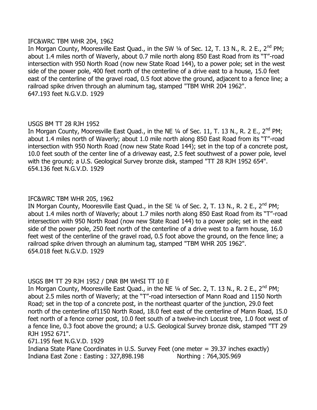# IFC&WRC TBM WHR 204, 1962

In Morgan County, Mooresville East Quad., in the SW 1/4 of Sec. 12, T. 13 N., R. 2 E., 2<sup>nd</sup> PM; about 1.4 miles north of Waverly, about 0.7 mile north along 850 East Road from its "T"-road intersection with 950 North Road (now new State Road 144), to a power pole; set in the west side of the power pole, 400 feet north of the centerline of a drive east to a house, 15.0 feet east of the centerline of the gravel road, 0.5 foot above the ground, adjacent to a fence line; a railroad spike driven through an aluminum tag, stamped "TBM WHR 204 1962". 647.193 feet N.G.V.D. 1929

# USGS BM TT 28 RJH 1952

In Morgan County, Mooresville East Quad., in the NE  $1/4$  of Sec. 11, T. 13 N., R. 2 E., 2<sup>nd</sup> PM; about 1.4 miles north of Waverly; about 1.0 mile north along 850 East Road from its "T"-road intersection with 950 North Road (now new State Road 144); set in the top of a concrete post, 10.0 feet south of the center line of a driveway east, 2.5 feet southwest of a power pole, level with the ground; a U.S. Geological Survey bronze disk, stamped "TT 28 RJH 1952 654". 654.136 feet N.G.V.D. 1929

# IFC&WRC TBM WHR 205, 1962

IN Morgan County, Mooresville East Quad., in the SE  $\frac{1}{4}$  of Sec. 2, T. 13 N., R. 2 E., 2<sup>nd</sup> PM; about 1.4 miles north of Waverly; about 1.7 miles north along 850 East Road from its "T"-road intersection with 950 North Road (now new State Road 144) to a power pole; set in the east side of the power pole, 250 feet north of the centerline of a drive west to a farm house, 16.0 feet west of the centerline of the gravel road, 0.5 foot above the ground, on the fence line; a railroad spike driven through an aluminum tag, stamped "TBM WHR 205 1962". 654.018 feet N.G.V.D. 1929

# USGS BM TT 29 RJH 1952 / DNR BM WHSI TT 10 E

In Morgan County, Mooresville East Quad., in the NE 1/4 of Sec. 2, T. 13 N., R. 2 E., 2<sup>nd</sup> PM; about 2.5 miles north of Waverly; at the "T"-road intersection of Mann Road and 1150 North Road; set in the top of a concrete post, in the northeast quarter of the junction, 29.0 feet north of the centerline of1150 North Road, 18.0 feet east of the centerline of Mann Road, 15.0 feet north of a fence corner post, 10.0 feet south of a twelve-inch Locust tree, 1.0 foot west of a fence line, 0.3 foot above the ground; a U.S. Geological Survey bronze disk, stamped "TT 29 RJH 1952 671".

671.195 feet N.G.V.D. 1929

Indiana State Plane Coordinates in U.S. Survey Feet (one meter = 39.37 inches exactly) Indiana East Zone : Easting : 327,898.198 Northing : 764,305.969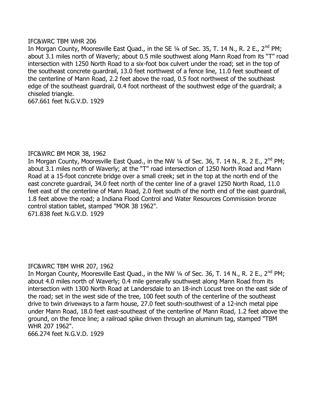### IFC&WRC TBM WHR 206

In Morgan County, Mooresville East Quad., in the SE 1/4 of Sec. 35, T. 14 N., R. 2 E., 2<sup>nd</sup> PM; about 3.1 miles north of Waverly; about 0.5 mile southwest along Mann Road from its "T" road intersection with 1250 North Road to a six-foot box culvert under the road; set in the top of the southeast concrete guardrail, 13.0 feet northwest of a fence line, 11.0 feet southeast of the centerline of Mann Road, 2.2 feet above the road, 0.5 foot northwest of the southeast edge of the southeast guardrail, 0.4 foot northeast of the southwest edge of the guardrail; a chiseled triangle.

667.661 feet N.G.V.D. 1929

# IFC&WRC BM MOR 38, 1962

In Morgan County, Mooresville East Quad., in the NW  $\frac{1}{4}$  of Sec. 36, T. 14 N., R. 2 E., 2<sup>nd</sup> PM; about 3.1 miles north of Waverly; at the "T" road intersection of 1250 North Road and Mann Road at a 15-foot concrete bridge over a small creek; set in the top at the north end of the east concrete guardrail, 34.0 feet north of the center line of a gravel 1250 North Road, 11.0 feet east of the centerline of Mann Road, 2.0 feet south of the north end of the east guardrail, 1.8 feet above the road; a Indiana Flood Control and Water Resources Commission bronze control station tablet, stamped "MOR 38 1962".

671.838 feet N.G.V.D. 1929

# IFC&WRC TBM WHR 207, 1962

In Morgan County, Mooresville East Ouad., in the NW  $\frac{1}{4}$  of Sec. 36, T. 14 N., R. 2 E., 2<sup>nd</sup> PM; about 4.0 miles north of Waverly; 0.4 mile generally southwest along Mann Road from its intersection with 1300 North Road at Landersdale to an 18-inch Locust tree on the east side of the road; set in the west side of the tree, 100 feet south of the centerline of the southeast drive to twin driveways to a farm house, 27.0 feet south-southwest of a 12-inch metal pipe under Mann Road, 18.0 feet east-southeast of the centerline of Mann Road, 1.2 feet above the ground, on the fence line; a railroad spike driven through an aluminum tag, stamped "TBM WHR 207 1962".

666.274 feet N.G.V.D. 1929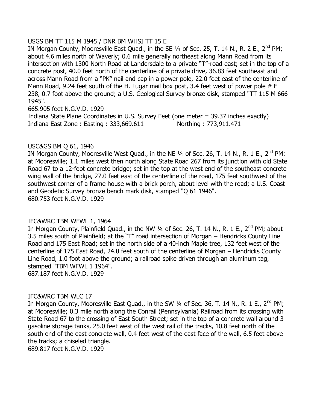# USGS BM TT 115 M 1945 / DNR BM WHSI TT 15 E

IN Morgan County, Mooresville East Quad., in the SE 1/4 of Sec. 25, T. 14 N., R. 2 E., 2<sup>nd</sup> PM; about 4.6 miles north of Waverly; 0.6 mile generally northeast along Mann Road from its intersection with 1300 North Road at Landersdale to a private "T"-road east; set in the top of a concrete post, 40.0 feet north of the centerline of a private drive, 36.83 feet southeast and across Mann Road from a "PK" nail and cap in a power pole, 22.0 feet east of the centerline of Mann Road, 9.24 feet south of the H. Lugar mail box post, 3.4 feet west of power pole  $#F$ 238, 0.7 foot above the ground; a U.S. Geological Survey bronze disk, stamped "TT 115 M 666 1945".

665.905 feet N.G.V.D. 1929 Indiana State Plane Coordinates in U.S. Survey Feet (one meter = 39.37 inches exactly) Indiana East Zone : Easting : 333,669.611 Northing : 773,911.471

# USC&GS BM Q 61, 1946

IN Morgan County, Mooresville West Quad., in the NE  $\frac{1}{4}$  of Sec. 26, T. 14 N., R. 1 E., 2<sup>nd</sup> PM; at Mooresville; 1.1 miles west then north along State Road 267 from its junction with old State Road 67 to a 12-foot concrete bridge; set in the top at the west end of the southeast concrete wing wall of the bridge, 27.0 feet east of the centerline of the road, 175 feet southwest of the southwest corner of a frame house with a brick porch, about level with the road; a U.S. Coast and Geodetic Survey bronze bench mark disk, stamped "Q 61 1946". 680.753 feet N.G.V.D. 1929

# IFC&WRC TBM WFWL 1, 1964

In Morgan County, Plainfield Quad., in the NW  $\frac{1}{4}$  of Sec. 26, T. 14 N., R. 1 E., 2<sup>nd</sup> PM; about 3.5 miles south of Plainfield; at the "T" road intersection of Morgan – Hendricks County Line Road and 175 East Road; set in the north side of a 40-inch Maple tree, 132 feet west of the centerline of 175 East Road, 24.0 feet south of the centerline of Morgan – Hendricks County Line Road, 1.0 foot above the ground; a railroad spike driven through an aluminum tag, stamped "TBM WFWL 1 1964". 687.187 feet N.G.V.D. 1929

# IFC&WRC TBM WLC 17

In Morgan County, Mooresville East Quad., in the SW  $\frac{1}{4}$  of Sec. 36, T. 14 N., R. 1 E., 2<sup>nd</sup> PM; at Mooresville; 0.3 mile north along the Conrail (Pennsylvania) Railroad from its crossing with State Road 67 to the crossing of East South Street; set in the top of a concrete wall around 3 gasoline storage tanks, 25.0 feet west of the west rail of the tracks, 10.8 feet north of the south end of the east concrete wall, 0.4 feet west of the east face of the wall, 6.5 feet above the tracks; a chiseled triangle. 689.817 feet N.G.V.D. 1929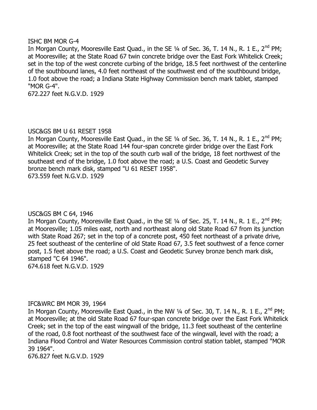#### ISHC BM MOR G-4

In Morgan County, Mooresville East Quad., in the SE  $1/4$  of Sec. 36, T. 14 N., R. 1 E., 2<sup>nd</sup> PM; at Mooresville; at the State Road 67 twin concrete bridge over the East Fork Whitelick Creek; set in the top of the west concrete curbing of the bridge, 18.5 feet northwest of the centerline of the southbound lanes, 4.0 feet northeast of the southwest end of the southbound bridge, 1.0 foot above the road; a Indiana State Highway Commission bench mark tablet, stamped "MOR G-4".

672.227 feet N.G.V.D. 1929

# USC&GS BM U 61 RESET 1958

In Morgan County, Mooresville East Quad., in the SE 1/4 of Sec. 36, T. 14 N., R. 1 E., 2<sup>nd</sup> PM; at Mooresville; at the State Road 144 four-span concrete girder bridge over the East Fork Whitelick Creek; set in the top of the south curb wall of the bridge, 18 feet northwest of the southeast end of the bridge, 1.0 foot above the road; a U.S. Coast and Geodetic Survey bronze bench mark disk, stamped "U 61 RESET 1958". 673.559 feet N.G.V.D. 1929

# USC&GS BM C 64, 1946

In Morgan County, Mooresville East Quad., in the SE  $\frac{1}{4}$  of Sec. 25, T. 14 N., R. 1 E., 2<sup>nd</sup> PM; at Mooresville; 1.05 miles east, north and northeast along old State Road 67 from its junction with State Road 267; set in the top of a concrete post, 450 feet northeast of a private drive, 25 feet southeast of the centerline of old State Road 67, 3.5 feet southwest of a fence corner post, 1.5 feet above the road; a U.S. Coast and Geodetic Survey bronze bench mark disk, stamped "C 64 1946".

674.618 feet N.G.V.D. 1929

# IFC&WRC BM MOR 39, 1964

In Morgan County, Mooresville East Quad., in the NW  $\frac{1}{4}$  of Sec. 30, T. 14 N., R. 1 E., 2<sup>nd</sup> PM; at Mooresville; at the old State Road 67 four-span concrete bridge over the East Fork Whitelick Creek; set in the top of the east wingwall of the bridge, 11.3 feet southeast of the centerline of the road, 0.8 foot northeast of the southwest face of the wingwall, level with the road; a Indiana Flood Control and Water Resources Commission control station tablet, stamped "MOR 39 1964".

676.827 feet N.G.V.D. 1929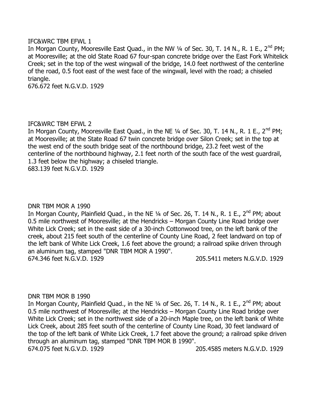### IFC&WRC TBM EFWL 1

In Morgan County, Mooresville East Quad., in the NW  $\frac{1}{4}$  of Sec. 30, T. 14 N., R. 1 E., 2<sup>nd</sup> PM; at Mooresville; at the old State Road 67 four-span concrete bridge over the East Fork Whitelick Creek; set in the top of the west wingwall of the bridge, 14.0 feet northwest of the centerline of the road, 0.5 foot east of the west face of the wingwall, level with the road; a chiseled triangle.

676.672 feet N.G.V.D. 1929

### IFC&WRC TBM EFWL 2

In Morgan County, Mooresville East Quad., in the NE 1/4 of Sec. 30, T. 14 N., R. 1 E., 2<sup>nd</sup> PM; at Mooresville; at the State Road 67 twin concrete bridge over Silon Creek; set in the top at the west end of the south bridge seat of the northbound bridge, 23.2 feet west of the centerline of the northbound highway, 2.1 feet north of the south face of the west guardrail, 1.3 feet below the highway; a chiseled triangle. 683.139 feet N.G.V.D. 1929

#### DNR TBM MOR A 1990

In Morgan County, Plainfield Quad., in the NE 1/4 of Sec. 26, T. 14 N., R. 1 E., 2<sup>nd</sup> PM; about 0.5 mile northwest of Mooresville; at the Hendricks – Morgan County Line Road bridge over White Lick Creek; set in the east side of a 30-inch Cottonwood tree, on the left bank of the creek, about 215 feet south of the centerline of County Line Road, 2 feet landward on top of the left bank of White Lick Creek, 1.6 feet above the ground; a railroad spike driven through an aluminum tag, stamped "DNR TBM MOR A 1990". 674.346 feet N.G.V.D. 1929 205.5411 meters N.G.V.D. 1929

#### DNR TBM MOR B 1990

In Morgan County, Plainfield Quad., in the NE 1/4 of Sec. 26, T. 14 N., R. 1 E., 2<sup>nd</sup> PM; about 0.5 mile northwest of Mooresville; at the Hendricks – Morgan County Line Road bridge over White Lick Creek; set in the northwest side of a 20-inch Maple tree, on the left bank of White Lick Creek, about 285 feet south of the centerline of County Line Road, 30 feet landward of the top of the left bank of White Lick Creek, 1.7 feet above the ground; a railroad spike driven through an aluminum tag, stamped "DNR TBM MOR B 1990". 674.075 feet N.G.V.D. 1929 205.4585 meters N.G.V.D. 1929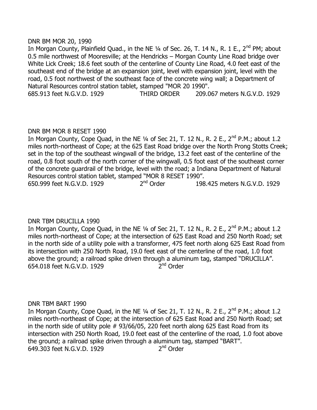#### DNR BM MOR 20, 1990

In Morgan County, Plainfield Quad., in the NE  $1/4$  of Sec. 26, T. 14 N., R. 1 E., 2<sup>nd</sup> PM; about 0.5 mile northwest of Mooresville; at the Hendricks – Morgan County Line Road bridge over White Lick Creek; 18.6 feet south of the centerline of County Line Road, 4.0 feet east of the southeast end of the bridge at an expansion joint, level with expansion joint, level with the road, 0.5 foot northwest of the southeast face of the concrete wing wall; a Department of Natural Resources control station tablet, stamped "MOR 20 1990". 685.913 feet N.G.V.D. 1929 THIRD ORDER 209.067 meters N.G.V.D. 1929

# DNR BM MOR 8 RESET 1990

In Morgan County, Cope Quad, in the NE  $\frac{1}{4}$  of Sec 21, T. 12 N., R. 2 E., 2<sup>nd</sup> P.M.; about 1.2 miles north-northeast of Cope; at the 625 East Road bridge over the North Prong Stotts Creek; set in the top of the southeast wingwall of the bridge, 13.2 feet east of the centerline of the road, 0.8 foot south of the north corner of the wingwall, 0.5 foot east of the southeast corner of the concrete guardrail of the bridge, level with the road; a Indiana Department of Natural Resources control station tablet, stamped "MOR 8 RESET 1990". 650.999 feet N.G.V.D. 1929 2<sup>nd</sup> Order 198.425 meters N.G.V.D. 1929

# DNR TBM DRUCILLA 1990

In Morgan County, Cope Quad, in the NE  $\frac{1}{4}$  of Sec 21, T. 12 N., R. 2 E., 2<sup>nd</sup> P.M.; about 1.2 miles north-northeast of Cope; at the intersection of 625 East Road and 250 North Road; set in the north side of a utility pole with a transformer, 475 feet north along 625 East Road from its intersection with 250 North Road, 19.0 feet east of the centerline of the road, 1.0 foot above the ground; a railroad spike driven through a aluminum tag, stamped "DRUCILLA". 654.018 feet N.G.V.D. 1929 2 2<sup>nd</sup> Order

# DNR TBM BART 1990

In Morgan County, Cope Quad, in the NE  $\frac{1}{4}$  of Sec 21, T. 12 N., R. 2 E., 2<sup>nd</sup> P.M.; about 1.2 miles north-northeast of Cope; at the intersection of 625 East Road and 250 North Road; set in the north side of utility pole # 93/66/05, 220 feet north along 625 East Road from its intersection with 250 North Road, 19.0 feet east of the centerline of the road, 1.0 foot above the ground; a railroad spike driven through a aluminum tag, stamped "BART". 649.303 feet N.G.V.D. 1929 2  $2<sup>nd</sup>$  Order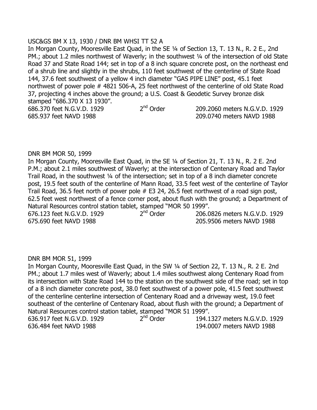USC&GS BM X 13, 1930 / DNR BM WHSI TT 52 A In Morgan County, Mooresville East Quad, in the SE ¼ of Section 13, T. 13 N., R. 2 E., 2nd PM.; about 1.2 miles northwest of Waverly; in the southwest 1/4 of the intersection of old State Road 37 and State Road 144; set in top of a 8 inch square concrete post, on the northeast end of a shrub line and slightly in the shrubs, 110 feet southwest of the centerline of State Road 144, 37.6 feet southwest of a yellow 4 inch diameter "GAS PIPE LINE" post, 45.1 feet northwest of power pole # 4821 506-A, 25 feet northwest of the centerline of old State Road 37, projecting 4 inches above the ground; a U.S. Coast & Geodetic Survey bronze disk stamped "686.370 X 13 1930". 686.370 feet N.G.V.D. 1929 2<sup>nd</sup> Order 209.2060 meters N.G.V.D. 1929 685.937 feet NAVD 1988 209.0740 meters NAVD 1988

### DNR BM MOR 50, 1999

In Morgan County, Mooresville East Quad, in the SE ¼ of Section 21, T. 13 N., R. 2 E. 2nd P.M.; about 2.1 miles southwest of Waverly; at the intersection of Centenary Road and Taylor Trail Road, in the southwest ¼ of the intersection; set in top of a 8 inch diameter concrete post, 19.5 feet south of the centerline of Mann Road, 33.5 feet west of the centerline of Taylor Trail Road, 36.5 feet north of power pole # E3 24, 26.5 feet northwest of a road sign post, 62.5 feet west northwest of a fence corner post, about flush with the ground; a Department of Natural Resources control station tablet, stamped "MOR 50 1999". 676.123 feet N.G.V.D. 1929 2<sup>nd</sup> Order 206.0826 meters N.G.V.D. 1929 675.690 feet NAVD 1988 205.9506 meters NAVD 1988

# DNR BM MOR 51, 1999

In Morgan County, Mooresville East Quad, in the SW ¼ of Section 22, T. 13 N., R. 2 E. 2nd PM.; about 1.7 miles west of Waverly; about 1.4 miles southwest along Centenary Road from its intersection with State Road 144 to the station on the southwest side of the road; set in top of a 8 inch diameter concrete post, 38.0 feet southwest of a power pole, 41.5 feet southwest of the centerline centerline intersection of Centenary Road and a driveway west, 19.0 feet southeast of the centerline of Centenary Road, about flush with the ground; a Department of Natural Resources control station tablet, stamped "MOR 51 1999". 636.917 feet N.G.V.D. 1929 2<sup>nd</sup> Order 194.1327 meters N.G.V.D. 1929

636.484 feet NAVD 1988 194.0007 meters NAVD 1988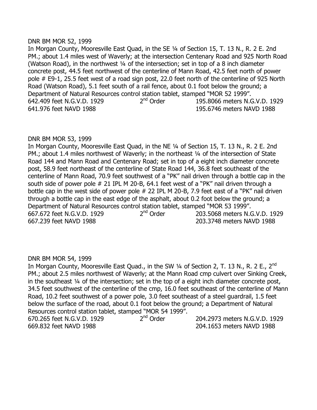#### DNR BM MOR 52, 1999

In Morgan County, Mooresville East Quad, in the SE ¼ of Section 15, T. 13 N., R. 2 E. 2nd PM.; about 1.4 miles west of Waverly; at the intersection Centenary Road and 925 North Road (Watson Road), in the northwest ¼ of the intersection; set in top of a 8 inch diameter concrete post, 44.5 feet northwest of the centerline of Mann Road, 42.5 feet north of power pole # E9-1, 25.5 feet west of a road sign post, 22.0 feet north of the centerline of 925 North Road (Watson Road), 5.1 feet south of a rail fence, about 0.1 foot below the ground; a Department of Natural Resources control station tablet, stamped "MOR 52 1999". 642.409 feet N.G.V.D. 1929 2<sup>nd</sup> Order 195.8066 meters N.G.V.D. 1929 641.976 feet NAVD 1988 195.6746 meters NAVD 1988

# DNR BM MOR 53, 1999

In Morgan County, Mooresville East Quad, in the NE ¼ of Section 15, T. 13 N., R. 2 E. 2nd PM.; about 1.4 miles northwest of Waverly; in the northeast 1/4 of the intersection of State Road 144 and Mann Road and Centenary Road; set in top of a eight inch diameter concrete post, 58.9 feet northeast of the centerline of State Road 144, 36.8 feet southeast of the centerline of Mann Road, 70.9 feet southwest of a "PK" nail driven through a bottle cap in the south side of power pole # 21 IPL M 20-B, 64.1 feet west of a "PK" nail driven through a bottle cap in the west side of power pole # 22 IPL M 20-B, 7.9 feet east of a "PK" nail driven through a bottle cap in the east edge of the asphalt, about 0.2 foot below the ground; a Department of Natural Resources control station tablet, stamped "MOR 53 1999". 667.672 feet N.G.V.D. 1929 2<sup>nd</sup> Order 203.5068 meters N.G.V.D. 1929 667.239 feet NAVD 1988 203.3748 meters NAVD 1988

# DNR BM MOR 54, 1999

In Morgan County, Mooresville East Quad., in the SW 1/4 of Section 2, T. 13 N., R. 2 E., 2<sup>nd</sup> PM.; about 2.5 miles northwest of Waverly; at the Mann Road cmp culvert over Sinking Creek, in the southeast ¼ of the intersection; set in the top of a eight inch diameter concrete post, 34.5 feet southwest of the centerline of the cmp, 16.0 feet southeast of the centerline of Mann Road, 10.2 feet southwest of a power pole, 3.0 feet southeast of a steel guardrail, 1.5 feet below the surface of the road, about 0.1 foot below the ground; a Department of Natural Resources control station tablet, stamped "MOR 54 1999". 670.265 feet N.G.V.D. 1929 2<sup>nd</sup> Order 204.2973 meters N.G.V.D. 1929

669.832 feet NAVD 1988 204.1653 meters NAVD 1988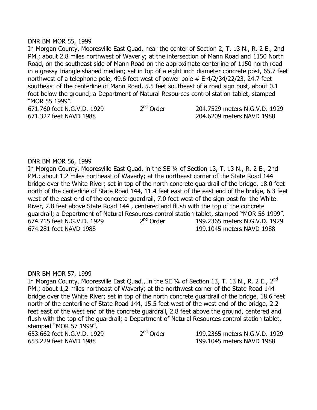#### DNR BM MOR 55, 1999

In Morgan County, Mooresville East Quad, near the center of Section 2, T. 13 N., R. 2 E., 2nd PM.; about 2.8 miles northwest of Waverly; at the intersection of Mann Road and 1150 North Road, on the southeast side of Mann Road on the approximate centerline of 1150 north road in a grassy triangle shaped median; set in top of a eight inch diameter concrete post, 65.7 feet northwest of a telephone pole, 49.6 feet west of power pole # E-4/2/34/22/23, 24.7 feet southeast of the centerline of Mann Road, 5.5 feet southeast of a road sign post, about 0.1 foot below the ground; a Department of Natural Resources control station tablet, stamped "MOR 55 1999".

671.760 feet N.G.V.D. 1929 2<sup>nd</sup> Order 671.327 feet NAVD 1988 204.6209 meters NAVD 1988

204.7529 meters N.G.V.D. 1929

#### DNR BM MOR 56, 1999

In Morgan County, Mooresville East Quad, in the SE ¼ of Section 13, T. 13 N., R. 2 E., 2nd PM.; about 1.2 miles northeast of Waverly; at the northeast corner of the State Road 144 bridge over the White River; set in top of the north concrete guardrail of the bridge, 18.0 feet north of the centerline of State Road 144, 11.4 feet east of the east end of the bridge, 6.3 feet west of the east end of the concrete guardrail, 7.0 feet west of the sign post for the White River, 2.8 feet above State Road 144 , centered and flush with the top of the concrete guardrail; a Department of Natural Resources control station tablet, stamped "MOR 56 1999". 674.715 feet N.G.V.D. 1929 2<sup>nd</sup> Order 199.2365 meters N.G.V.D. 1929 674.281 feet NAVD 1988 199.1045 meters NAVD 1988

#### DNR BM MOR 57, 1999

In Morgan County, Mooresville East Quad., in the SE 1/4 of Section 13, T. 13 N., R. 2 E., 2<sup>nd</sup> PM.; about 1,2 miles northeast of Waverly; at the northwest corner of the State Road 144 bridge over the White River; set in top of the north concrete guardrail of the bridge, 18.6 feet north of the centerline of State Road 144, 15.5 feet west of the west end of the bridge, 2.2 feet east of the west end of the concrete guardrail, 2.8 feet above the ground, centered and flush with the top of the guardrail; a Department of Natural Resources control station tablet, stamped "MOR 57 1999".

653.662 feet N.G.V.D. 1929 2<sup>nd</sup> Order

199.2365 meters N.G.V.D. 1929 653.229 feet NAVD 1988 199.1045 meters NAVD 1988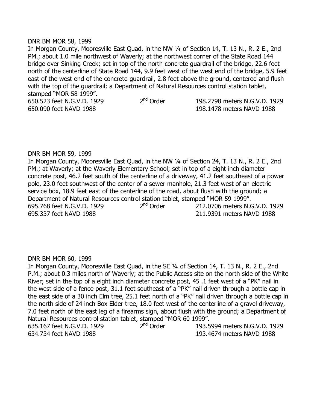#### DNR BM MOR 58, 1999

In Morgan County, Mooresville East Quad, in the NW 1/4 of Section 14, T. 13 N., R. 2 E., 2nd PM.; about 1.0 mile northwest of Waverly; at the northwest corner of the State Road 144 bridge over Sinking Creek; set in top of the north concrete guardrail of the bridge, 22.6 feet north of the centerline of State Road 144, 9.9 feet west of the west end of the bridge, 5.9 feet east of the west end of the concrete guardrail, 2.8 feet above the ground, centered and flush with the top of the guardrail; a Department of Natural Resources control station tablet, stamped "MOR 58 1999". 650.523 feet N.G.V.D. 1929 2<sup>nd</sup> Order 198.2798 meters N.G.V.D. 1929

650.090 feet NAVD 1988 198.1478 meters NAVD 1988

#### DNR BM MOR 59, 1999

In Morgan County, Mooresville East Quad, in the NW 1/4 of Section 24, T. 13 N., R. 2 E., 2nd PM.; at Waverly; at the Waverly Elementary School; set in top of a eight inch diameter concrete post, 46.2 feet south of the centerline of a driveway, 41.2 feet southeast of a power pole, 23.0 feet southwest of the center of a sewer manhole, 21.3 feet west of an electric service box, 18.9 feet east of the centerline of the road, about flush with the ground; a Department of Natural Resources control station tablet, stamped "MOR 59 1999". 695.768 feet N.G.V.D. 1929 2<sup>nd</sup> Order 212.0706 meters N.G.V.D. 1929 695.337 feet NAVD 1988 211.9391 meters NAVD 1988

#### DNR BM MOR 60, 1999

In Morgan County, Mooresville East Quad, in the SE ¼ of Section 14, T. 13 N., R. 2 E., 2nd P.M.; about 0.3 miles north of Waverly; at the Public Access site on the north side of the White River; set in the top of a eight inch diameter concrete post, 45 .1 feet west of a "PK" nail in the west side of a fence post, 31.1 feet southeast of a "PK" nail driven through a bottle cap in the east side of a 30 inch Elm tree, 25.1 feet north of a "PK" nail driven through a bottle cap in the north side of 24 inch Box Elder tree, 18.0 feet west of the centerline of a gravel driveway, 7.0 feet north of the east leg of a firearms sign, about flush with the ground; a Department of Natural Resources control station tablet, stamped "MOR 60 1999". 635.167 feet N.G.V.D. 1929 2<sup>nd</sup> Order 193.5994 meters N.G.V.D. 1929 634.734 feet NAVD 1988 193.4674 meters NAVD 1988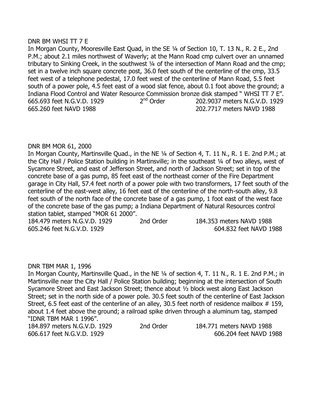### DNR BM WHSI TT 7 E

In Morgan County, Mooresville East Quad, in the SE ¼ of Section 10, T. 13 N., R. 2 E., 2nd P.M.; about 2.1 miles northwest of Waverly; at the Mann Road cmp culvert over an unnamed tributary to Sinking Creek, in the southwest 1/4 of the intersection of Mann Road and the cmp; set in a twelve inch square concrete post, 36.0 feet south of the centerline of the cmp, 33.5 feet west of a telephone pedestal, 17.0 feet west of the centerline of Mann Road, 5.5 feet south of a power pole, 4.5 feet east of a wood slat fence, about 0.1 foot above the ground; a Indiana Flood Control and Water Resource Commission bronze disk stamped " WHSI TT 7 E". 665.693 feet N.G.V.D. 1929 2<sup>nd</sup> Order 202.9037 meters N.G.V.D. 1929 665.260 feet NAVD 1988 202.7717 meters NAVD 1988

# DNR BM MOR 61, 2000

In Morgan County, Martinsville Quad., in the NE 1/4 of Section 4, T. 11 N., R. 1 E. 2nd P.M.; at the City Hall / Police Station building in Martinsville; in the southeast ¼ of two alleys, west of Sycamore Street, and east of Jefferson Street, and north of Jackson Street; set in top of the concrete base of a gas pump, 85 feet east of the northeast corner of the Fire Department garage in City Hall, 57.4 feet north of a power pole with two transformers, 17 feet south of the centerline of the east-west alley, 16 feet east of the centerline of the north-south alley, 9.8 feet south of the north face of the concrete base of a gas pump, 1 foot east of the west face of the concrete base of the gas pump; a Indiana Department of Natural Resources control station tablet, stamped "MOR 61 2000".

184.479 meters N.G.V.D. 1929 2nd Order 184.353 meters NAVD 1988 605.246 feet N.G.V.D. 1929 604.832 feet NAVD 1988

# DNR TBM MAR 1, 1996

In Morgan County, Martinsville Quad., in the NE ¼ of section 4, T. 11 N., R. 1 E. 2nd P.M.; in Martinsville near the City Hall / Police Station building; beginning at the intersection of South Sycamore Street and East Jackson Street; thence about ½ block west along East Jackson Street; set in the north side of a power pole. 30.5 feet south of the centerline of East Jackson Street, 6.5 feet east of the centerline of an alley, 30.5 feet north of residence mailbox # 159, about 1.4 feet above the ground; a railroad spike driven through a aluminum tag, stamped "IDNR TBM MAR 1 1996".

184.897 meters N.G.V.D. 1929 2nd Order 184.771 meters NAVD 1988 606.617 feet N.G.V.D. 1929 606.204 feet NAVD 1988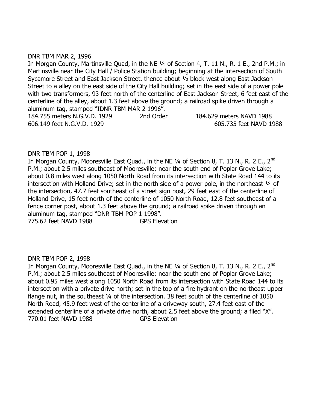# DNR TBM MAR 2, 1996

In Morgan County, Martinsville Quad, in the NE 1/4 of Section 4, T. 11 N., R. 1 E., 2nd P.M.; in Martinsville near the City Hall / Police Station building; beginning at the intersection of South Sycamore Street and East Jackson Street, thence about ½ block west along East Jackson Street to a alley on the east side of the City Hall building; set in the east side of a power pole with two transformers, 93 feet north of the centerline of East Jackson Street, 6 feet east of the centerline of the alley, about 1.3 feet above the ground; a railroad spike driven through a aluminum tag, stamped "IDNR TBM MAR 2 1996". 184.755 meters N.G.V.D. 1929 2nd Order 184.629 meters NAVD 1988

606.149 feet N.G.V.D. 1929 605.735 feet NAVD 1988

### DNR TBM POP 1, 1998

In Morgan County, Mooresville East Quad., in the NE 1/4 of Section 8, T. 13 N., R. 2 E., 2<sup>nd</sup> P.M.; about 2.5 miles southeast of Mooresville; near the south end of Poplar Grove Lake; about 0.8 miles west along 1050 North Road from its intersection with State Road 144 to its intersection with Holland Drive; set in the north side of a power pole, in the northeast 1/4 of the intersection, 47.7 feet southeast of a street sign post, 29 feet east of the centerline of Holland Drive, 15 feet north of the centerline of 1050 North Road, 12.8 feet southeast of a fence corner post, about 1.3 feet above the ground; a railroad spike driven through an aluminum tag, stamped "DNR TBM POP 1 1998". 775.62 feet NAVD 1988 GPS Elevation

# DNR TBM POP 2, 1998

In Morgan County, Mooresville East Quad., in the NE 1/4 of Section 8, T. 13 N., R. 2 E., 2<sup>nd</sup> P.M.; about 2.5 miles southeast of Mooresville; near the south end of Poplar Grove Lake; about 0.95 miles west along 1050 North Road from its intersection with State Road 144 to its intersection with a private drive north; set in the top of a fire hydrant on the northeast upper flange nut, in the southeast 1/4 of the intersection. 38 feet south of the centerline of 1050 North Road, 45.9 feet west of the centerline of a driveway south, 27.4 feet east of the extended centerline of a private drive north, about 2.5 feet above the ground; a filed "X". 770.01 feet NAVD 1988 GPS Elevation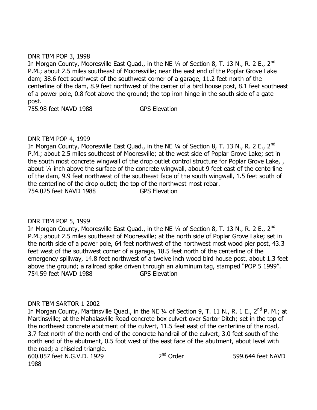# DNR TBM POP 3, 1998

In Morgan County, Mooresville East Quad., in the NE 1/4 of Section 8, T. 13 N., R. 2 E., 2<sup>nd</sup> P.M.; about 2.5 miles southeast of Mooresville; near the east end of the Poplar Grove Lake dam; 38.6 feet southwest of the southwest corner of a garage, 11.2 feet north of the centerline of the dam, 8.9 feet northwest of the center of a bird house post, 8.1 feet southeast of a power pole, 0.8 foot above the ground; the top iron hinge in the south side of a gate post.

755.98 feet NAVD 1988 GPS Elevation

# DNR TBM POP 4, 1999

In Morgan County, Mooresville East Quad., in the NE 1/4 of Section 8, T. 13 N., R. 2 E., 2<sup>nd</sup> P.M.; about 2.5 miles southeast of Mooresville; at the west side of Poplar Grove Lake; set in the south most concrete wingwall of the drop outlet control structure for Poplar Grove Lake, , about ¼ inch above the surface of the concrete wingwall, about 9 feet east of the centerline of the dam, 9.9 feet northwest of the southeast face of the south wingwall, 1.5 feet south of the centerline of the drop outlet; the top of the northwest most rebar. 754.025 feet NAVD 1988 GPS Elevation

# DNR TBM POP 5, 1999

In Morgan County, Mooresville East Quad., in the NE  $\frac{1}{4}$  of Section 8, T. 13 N., R. 2 E., 2<sup>nd</sup> P.M.; about 2.5 miles southeast of Mooresville; at the north side of Poplar Grove Lake; set in the north side of a power pole, 64 feet northwest of the northwest most wood pier post, 43.3 feet west of the southwest corner of a garage, 18.5 feet north of the centerline of the emergency spillway, 14.8 feet northwest of a twelve inch wood bird house post, about 1.3 feet above the ground; a railroad spike driven through an aluminum tag, stamped "POP 5 1999". 754.59 feet NAVD 1988 GPS Elevation

# DNR TBM SARTOR 1 2002

In Morgan County, Martinsville Quad., in the NE 1/4 of Section 9, T. 11 N., R. 1 E., 2<sup>nd</sup> P. M.; at Martinsville; at the Mahalasville Road concrete box culvert over Sartor Ditch; set in the top of the northeast concrete abutment of the culvert, 11.5 feet east of the centerline of the road, 3.7 feet north of the north end of the concrete handrail of the culvert, 3.0 feet south of the north end of the abutment, 0.5 foot west of the east face of the abutment, about level with the road; a chiseled triangle. 600.057 feet N.G.V.D. 1929 2<sup>nd</sup> Order

1988

599.644 feet NAVD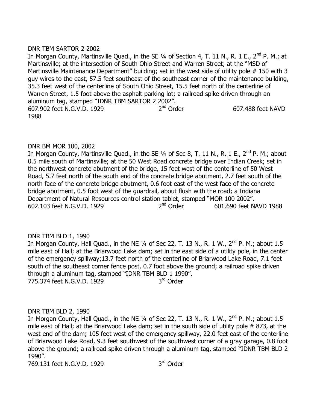# DNR TBM SARTOR 2 2002

In Morgan County, Martinsville Quad., in the SE  $\frac{1}{4}$  of Section 4, T. 11 N., R. 1 E., 2<sup>nd</sup> P. M.; at Martinsville; at the intersection of South Ohio Street and Warren Street; at the "MSD of Martinsville Maintenance Department" building; set in the west side of utility pole #150 with 3 guy wires to the east, 57.5 feet southeast of the southeast corner of the maintenance building, 35.3 feet west of the centerline of South Ohio Street, 15.5 feet north of the centerline of Warren Street, 1.5 foot above the asphalt parking lot; a railroad spike driven through an aluminum tag, stamped "IDNR TBM SARTOR 2 2002".<br>607.902 feet N.G.V.D. 1929 2<sup>nd</sup> Order 607.902 feet N.G.V.D. 1929 2 607.488 feet NAVD 1988

# DNR BM MOR 100, 2002

In Morgan County, Martinsville Quad., in the SE 1/4 of Sec 8, T. 11 N., R. 1 E., 2<sup>nd</sup> P. M.; about 0.5 mile south of Martinsville; at the 50 West Road concrete bridge over Indian Creek; set in the northwest concrete abutment of the bridge, 15 feet west of the centerline of 50 West Road, 5.7 feet north of the south end of the concrete bridge abutment, 2.7 feet south of the north face of the concrete bridge abutment, 0.6 foot east of the west face of the concrete bridge abutment, 0.5 foot west of the guardrail, about flush with the road; a Indiana Department of Natural Resources control station tablet, stamped "MOR 100 2002". 602.103 feet N.G.V.D. 1929 2<sup>nd</sup> Order 601.690 feet NAVD 1988

# DNR TBM BLD 1, 1990

In Morgan County, Hall Quad., in the NE  $\frac{1}{4}$  of Sec 22, T. 13 N., R. 1 W., 2<sup>nd</sup> P. M.; about 1.5 mile east of Hall; at the Briarwood Lake dam; set in the east side of a utility pole, in the center of the emergency spillway;13.7 feet north of the centerline of Briarwood Lake Road, 7.1 feet south of the southeast corner fence post, 0.7 foot above the ground; a railroad spike driven through a aluminum tag, stamped "IDNR TBM BLD 1 1990". 775.374 feet N.G.V.D. 1929 3<sup>rd</sup> Order

# DNR TBM BLD 2, 1990

In Morgan County, Hall Quad., in the NE  $\frac{1}{4}$  of Sec 22, T. 13 N., R. 1 W.,  $2^{nd}$  P. M.; about 1.5 mile east of Hall; at the Briarwood Lake dam; set in the south side of utility pole # 873, at the west end of the dam; 105 feet west of the emergency spillway, 22.0 feet east of the centerline of Briarwood Lake Road, 9.3 feet southwest of the southwest corner of a gray garage, 0.8 foot above the ground; a railroad spike driven through a aluminum tag, stamped "IDNR TBM BLD 2 1990".

769.131 feet N.G.V.D. 1929

3<sup>rd</sup> Order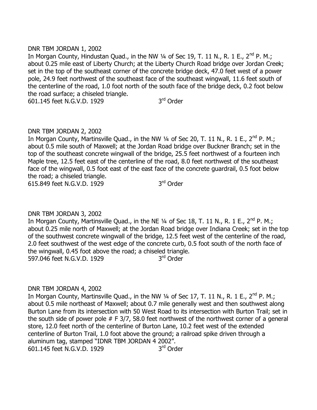# DNR TBM JORDAN 1, 2002

In Morgan County, Hindustan Quad., in the NW 1/4 of Sec 19, T. 11 N., R. 1 E., 2<sup>nd</sup> P. M.; about 0.25 mile east of Liberty Church; at the Liberty Church Road bridge over Jordan Creek; set in the top of the southeast corner of the concrete bridge deck, 47.0 feet west of a power pole, 24.9 feet northwest of the southeast face of the southeast wingwall, 11.6 feet south of the centerline of the road, 1.0 foot north of the south face of the bridge deck, 0.2 foot below the road surface; a chiseled triangle.

601.145 feet N.G.V.D. 1929

3<sup>rd</sup> Order

# DNR TBM JORDAN 2, 2002

In Morgan County, Martinsville Quad., in the NW  $\frac{1}{4}$  of Sec 20, T. 11 N., R. 1 E., 2<sup>nd</sup> P. M.; about 0.5 mile south of Maxwell; at the Jordan Road bridge over Buckner Branch; set in the top of the southeast concrete wingwall of the bridge, 25.5 feet northwest of a fourteen inch Maple tree, 12.5 feet east of the centerline of the road, 8.0 feet northwest of the southeast face of the wingwall, 0.5 foot east of the east face of the concrete guardrail, 0.5 foot below the road; a chiseled triangle. 615.849 feet N.G.V.D. 1929

3<sup>rd</sup> Order

# DNR TBM JORDAN 3, 2002

In Morgan County, Martinsville Quad., in the NE  $\frac{1}{4}$  of Sec 18, T. 11 N., R. 1 E., 2<sup>nd</sup> P. M.; about 0.25 mile north of Maxwell; at the Jordan Road bridge over Indiana Creek; set in the top of the southwest concrete wingwall of the bridge, 12.5 feet west of the centerline of the road, 2.0 feet southwest of the west edge of the concrete curb, 0.5 foot south of the north face of the wingwall, 0.45 foot above the road; a chiseled triangle. 597.046 feet N.G.V.D. 1929 3<sup>rd</sup> Order

# DNR TBM JORDAN 4, 2002

In Morgan County, Martinsville Quad., in the NW  $\frac{1}{4}$  of Sec 17, T. 11 N., R. 1 E., 2<sup>nd</sup> P. M.; about 0.5 mile northeast of Maxwell; about 0.7 mile generally west and then southwest along Burton Lane from its intersection with 50 West Road to its intersection with Burton Trail; set in the south side of power pole  $#$  F 3/7, 58.0 feet northwest of the northwest corner of a general store, 12.0 feet north of the centerline of Burton Lane, 10.2 feet west of the extended centerline of Burton Trail, 1.0 foot above the ground; a railroad spike driven through a aluminum tag, stamped "IDNR TBM JORDAN 4 2002". 601.145 feet N.G.V.D. 1929 3<sup>rd</sup> Order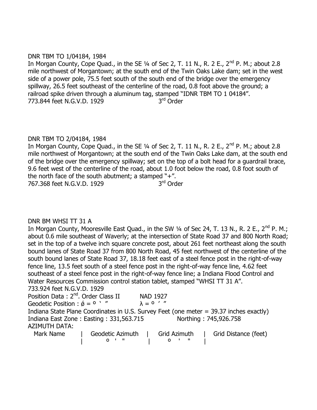# DNR TBM TO 1/04184, 1984

In Morgan County, Cope Quad., in the SE  $\frac{1}{4}$  of Sec 2, T. 11 N., R. 2 E., 2<sup>nd</sup> P. M.; about 2.8 mile northwest of Morgantown; at the south end of the Twin Oaks Lake dam; set in the west side of a power pole, 75.5 feet south of the south end of the bridge over the emergency spillway, 26.5 feet southeast of the centerline of the road, 0.8 foot above the ground; a railroad spike driven through a aluminum tag, stamped "IDNR TBM TO 1 04184". 773.844 feet N.G.V.D. 1929 3<sup>rd</sup> Order

### DNR TBM TO 2/04184, 1984

In Morgan County, Cope Quad., in the SE  $\frac{1}{4}$  of Sec 2, T. 11 N., R. 2 E., 2<sup>nd</sup> P. M.; about 2.8 mile northwest of Morgantown; at the south end of the Twin Oaks Lake dam, at the south end of the bridge over the emergency spillway; set on the top of a bolt head for a guardrail brace, 9.6 feet west of the centerline of the road, about 1.0 foot below the road, 0.8 foot south of the north face of the south abutment; a stamped " $+$ ". 767.368 feet N.G.V.D. 1929 3 3<sup>rd</sup> Order

# DNR BM WHSI TT 31 A

In Morgan County, Mooresville East Quad., in the SW 1/4 of Sec 24, T. 13 N., R. 2 E., 2<sup>nd</sup> P. M.; about 0.6 mile southeast of Waverly; at the intersection of State Road 37 and 800 North Road; set in the top of a twelve inch square concrete post, about 261 feet northeast along the south bound lanes of State Road 37 from 800 North Road, 45 feet northwest of the centerline of the south bound lanes of State Road 37, 18.18 feet east of a steel fence post in the right-of-way fence line, 13.5 feet south of a steel fence post in the right-of-way fence line, 4.62 feet southeast of a steel fence post in the right-of-way fence line; a Indiana Flood Control and Water Resources Commission control station tablet, stamped "WHSI TT 31 A".

733.924 feet N.G.V.D. 1929

| Position Data: 2 <sup>nd</sup> . Order Class II                                        | <b>NAD 1927</b>  |              |                       |
|----------------------------------------------------------------------------------------|------------------|--------------|-----------------------|
| Geodetic Position : $\acute{\phi} = 0$ $\cdot$ "                                       | $\lambda = 0$ '" |              |                       |
| Indiana State Plane Coordinates in U.S. Survey Feet (one meter = 39.37 inches exactly) |                  |              |                       |
| Indiana East Zone: Easting: 331,563.715                                                |                  |              | Northing: 745,926.758 |
| <b>AZIMUTH DATA:</b>                                                                   |                  |              |                       |
| Mark Name                                                                              | Geodetic Azimuth | Grid Azimuth | Grid Distance (feet)  |

| º ' " | º ' " |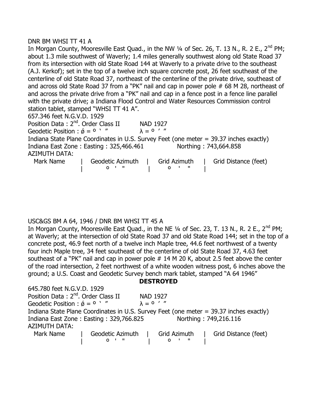### DNR BM WHSI TT 41 A

| In Morgan County, Mooresville East Quad., in the NW $\frac{1}{4}$ of Sec. 26, T. 13 N., R. 2 E., 2 <sup>nd</sup> PM; |
|----------------------------------------------------------------------------------------------------------------------|
| about 1.3 mile southwest of Waverly; 1.4 miles generally southwest along old State Road 37                           |
| from its intersection with old State Road 144 at Waverly to a private drive to the southeast                         |
| (A.J. Kerkof); set in the top of a twelve inch square concrete post, 26 feet southeast of the                        |
| centerline of old State Road 37, northeast of the centerline of the private drive, southeast of                      |
| and across old State Road 37 from a "PK" nail and cap in power pole # 68 M 28, northeast of                          |
| and across the private drive from a "PK" nail and cap in a fence post in a fence line parallel                       |
| with the private drive; a Indiana Flood Control and Water Resources Commission control                               |
| station tablet, stamped "WHSI TT 41 A".                                                                              |
| 657.346 feet N.G.V.D. 1929                                                                                           |
| Position Data: 2 <sup>nd</sup> . Order Class II<br><b>NAD 1927</b>                                                   |
| Geodetic Position : $\acute{\phi} = 0$ '"<br>$\lambda = 0$ '"                                                        |
| Indiana State Plane Coordinates in U.S. Survey Feet (one meter = 39.37 inches exactly)                               |
| Indiana East Zone: Easting: 325,466.461<br>Northing: 743,664.858                                                     |
| <b>AZIMUTH DATA:</b>                                                                                                 |
| Mark Name<br>Grid Azimuth<br>Grid Distance (feet)<br>Geodetic Azimuth                                                |
|                                                                                                                      |

# USC&GS BM A 64, 1946 / DNR BM WHSI TT 45 A

In Morgan County, Mooresville East Quad., in the NE  $\frac{1}{4}$  of Sec. 23, T. 13 N., R. 2 E., 2<sup>nd</sup> PM; at Waverly; at the intersection of old State Road 37 and old State Road 144; set in the top of a concrete post, 46.9 feet north of a twelve inch Maple tree, 44.6 feet northwest of a twenty four inch Maple tree, 34 feet southeast of the centerline of old State Road 37, 4.63 feet southeast of a "PK" nail and cap in power pole # 14 M 20 K, about 2.5 feet above the center of the road intersection, 2 feet northwest of a white wooden witness post, 6 inches above the ground; a U.S. Coast and Geodetic Survey bench mark tablet, stamped "A 64 1946"

**DESTROYED**

| 645.780 feet N.G.V.D. 1929                                                             |                  |                 |                       |
|----------------------------------------------------------------------------------------|------------------|-----------------|-----------------------|
| Position Data: 2 <sup>nd</sup> . Order Class II                                        |                  | <b>NAD 1927</b> |                       |
| Geodetic Position : $\acute{\phi} = 0$ $\cdot$ "                                       | $\lambda = 0$ '" |                 |                       |
| Indiana State Plane Coordinates in U.S. Survey Feet (one meter = 39.37 inches exactly) |                  |                 |                       |
| Indiana East Zone: Easting: 329,766.825                                                |                  |                 | Northing: 749,216.116 |
| <b>AZIMUTH DATA:</b>                                                                   |                  |                 |                       |
| Mark Name                                                                              | Geodetic Azimuth | Grid Azimuth    | Grid Distance (feet)  |
|                                                                                        |                  | $\mathsf{o}$    |                       |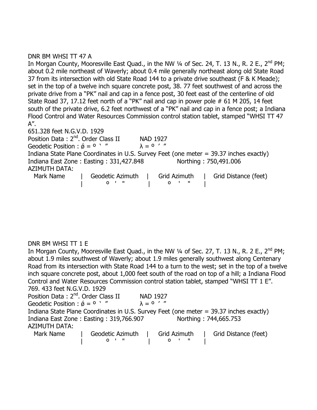# DNR BM WHSI TT 47 A

In Morgan County, Mooresville East Quad., in the NW  $\frac{1}{4}$  of Sec. 24, T. 13 N., R. 2 E., 2<sup>nd</sup> PM; about 0.2 mile northeast of Waverly; about 0.4 mile generally northeast along old State Road 37 from its intersection with old State Road 144 to a private drive southeast (F & K Meade); set in the top of a twelve inch square concrete post, 38. 77 feet southwest of and across the private drive from a "PK" nail and cap in a fence post, 30 feet east of the centerline of old State Road 37, 17.12 feet north of a "PK" nail and cap in power pole # 61 M 205, 14 feet south of the private drive, 6.2 feet northwest of a "PK" nail and cap in a fence post; a Indiana Flood Control and Water Resources Commission control station tablet, stamped "WHSI TT 47 A".

651.328 feet N.G.V.D. 1929 Position Data: 2<sup>nd</sup>. Order Class II NAD 1927 Geodetic Position :  $\acute{\theta} = 0$   $'$  "  $\lambda = 0$  ' " Indiana State Plane Coordinates in U.S. Survey Feet (one meter = 39.37 inches exactly) Indiana East Zone : Easting : 331,427.848 Northing : 750,491.006 AZIMUTH DATA: Mark Name | Geodetic Azimuth | Grid Azimuth | Grid Distance (feet) | º ' " | º ' " |

# DNR BM WHSI TT 1 E

In Morgan County, Mooresville East Quad., in the NW  $\frac{1}{4}$  of Sec. 27, T. 13 N., R. 2 E., 2<sup>nd</sup> PM; about 1.9 miles southwest of Waverly; about 1.9 miles generally southwest along Centenary Road from its intersection with State Road 144 to a turn to the west; set in the top of a twelve inch square concrete post, about 1,000 feet south of the road on top of a hill; a Indiana Flood Control and Water Resources Commission control station tablet, stamped "WHSI TT 1 E". 769. 433 feet N.G.V.D. 1929 Position Data: 2<sup>nd</sup>. Order Class II NAD 1927 Geodetic Position :  $\acute{\phi} = 0$  ' "  $\lambda = 0$  ' " Indiana State Plane Coordinates in U.S. Survey Feet (one meter = 39.37 inches exactly) Indiana East Zone : Easting : 319,766.907 Northing : 744,665.753 AZIMUTH DATA: Mark Name | Geodetic Azimuth | Grid Azimuth | Grid Distance (feet)

| º ' " | º ' " |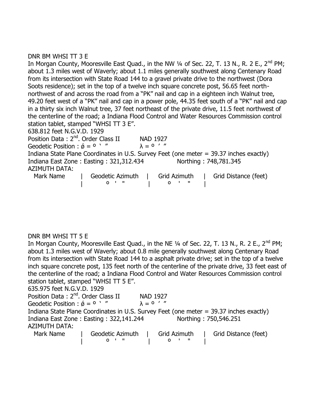# DNR BM WHSI TT 3 E

In Morgan County, Mooresville East Quad., in the NW  $\frac{1}{4}$  of Sec. 22, T. 13 N., R. 2 E., 2<sup>nd</sup> PM; about 1.3 miles west of Waverly; about 1.1 miles generally southwest along Centenary Road from its intersection with State Road 144 to a gravel private drive to the northwest (Dora Soots residence); set in the top of a twelve inch square concrete post, 56.65 feet northnorthwest of and across the road from a "PK" nail and cap in a eighteen inch Walnut tree, 49.20 feet west of a "PK" nail and cap in a power pole, 44.35 feet south of a "PK" nail and cap in a thirty six inch Walnut tree, 37 feet northeast of the private drive, 11.5 feet northwest of the centerline of the road; a Indiana Flood Control and Water Resources Commission control station tablet, stamped "WHSI TT 3 E".

638.812 feet N.G.V.D. 1929 Position Data: 2<sup>nd</sup>. Order Class II NAD 1927 Geodetic Position :  $\acute{\theta} = 0$  ' "  $\lambda = 0$  ' " Indiana State Plane Coordinates in U.S. Survey Feet (one meter = 39.37 inches exactly) Indiana East Zone : Easting : 321,312.434 Northing : 748,781.345 AZIMUTH DATA: Mark Name | Geodetic Azimuth | Grid Azimuth | Grid Distance (feet) | º ' " | º ' " |

DNR BM WHSI TT 5 E

In Morgan County, Mooresville East Quad., in the NE 1/4 of Sec. 22, T. 13 N., R. 2 E., 2<sup>nd</sup> PM; about 1.3 miles west of Waverly; about 0.8 mile generally southwest along Centenary Road from its intersection with State Road 144 to a asphalt private drive; set in the top of a twelve inch square concrete post, 135 feet north of the centerline of the private drive, 33 feet east of the centerline of the road; a Indiana Flood Control and Water Resources Commission control station tablet, stamped "WHSI TT 5 E".

635.975 feet N.G.V.D. 1929

| Position Data: 2 <sup>nd</sup> . Order Class II  | <b>NAD 1927</b>                                                                        |
|--------------------------------------------------|----------------------------------------------------------------------------------------|
| Geodetic Position : $\acute{\phi} = 0$ $\cdot$ " | $\lambda = 0$ '"                                                                       |
|                                                  | Indiana State Plane Coordinates in U.S. Survey Feet (one meter = 39.37 inches exactly) |
| Indiana East Zone: Easting: 322,141.244          | Northing: 750,546.251                                                                  |
| <b>AZIMUTH DATA:</b>                             |                                                                                        |
| Geodetic Azimuth<br>Mark Name                    | Grid Distance (feet)<br>Grid Azimuth                                                   |

| º ' " | º ' " |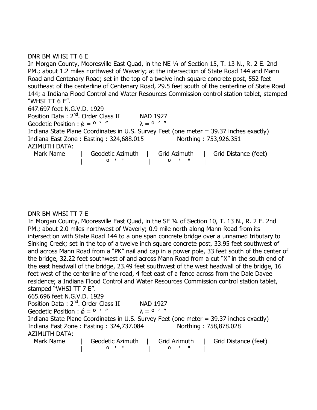# DNR BM WHSI TT 6 E

In Morgan County, Mooresville East Quad, in the NE ¼ of Section 15, T. 13 N., R. 2 E. 2nd PM.; about 1.2 miles northwest of Waverly; at the intersection of State Road 144 and Mann Road and Centenary Road; set in the top of a twelve inch square concrete post, 552 feet southeast of the centerline of Centenary Road, 29.5 feet south of the centerline of State Road 144; a Indiana Flood Control and Water Resources Commission control station tablet, stamped "WHSI TT 6 E".

647.697 feet N.G.V.D. 1929

Position Data :  $2^{nd}$ . Order Class II MAD 1927<br>Geodetic Position :  $\acute{\alpha} = 0$   $'$  "  $\lambda = 0$  ' " Geodetic Position :  $\acute{\phi} = 0$  ' " Indiana State Plane Coordinates in U.S. Survey Feet (one meter = 39.37 inches exactly) Indiana East Zone : Easting : 324,688.015 Northing : 753,926.351 AZIMUTH DATA: Mark Name | Geodetic Azimuth | Grid Azimuth | Grid Distance (feet)

| º ' " | º ' " |

# DNR BM WHSI TT 7 E

In Morgan County, Mooresville East Quad, in the SE ¼ of Section 10, T. 13 N., R. 2 E. 2nd PM.; about 2.0 miles northwest of Waverly; 0.9 mile north along Mann Road from its intersection with State Road 144 to a one span concrete bridge over a unnamed tributary to Sinking Creek; set in the top of a twelve inch square concrete post, 33.95 feet southwest of and across Mann Road from a "PK" nail and cap in a power pole, 33 feet south of the center of the bridge, 32.22 feet southwest of and across Mann Road from a cut "X" in the south end of the east headwall of the bridge, 23.49 feet southwest of the west headwall of the bridge, 16 feet west of the centerline of the road, 4 feet east of a fence across from the Dale Davee residence; a Indiana Flood Control and Water Resources Commission control station tablet, stamped "WHSI TT 7 E". 665.696 feet N.G.V.D. 1929 Position Data: 2<sup>nd</sup>. Order Class II NAD 1927 Geodetic Position :  $\acute{\theta} = 0$   $'$  "  $\lambda = 0$  ' "

Indiana State Plane Coordinates in U.S. Survey Feet (one meter = 39.37 inches exactly) Indiana East Zone : Easting : 324,737.084 Northing : 758,878.028 AZIMUTH DATA:

| Mark Name | Geodetic Azimuth | Grid Azimuth | Grid Distance (feet) |
|-----------|------------------|--------------|----------------------|
|           |                  |              |                      |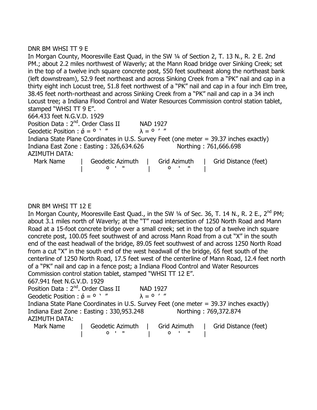# DNR BM WHSI TT 9 E

In Morgan County, Mooresville East Quad, in the SW 1/4 of Section 2, T. 13 N., R. 2 E. 2nd PM.; about 2.2 miles northwest of Waverly; at the Mann Road bridge over Sinking Creek; set in the top of a twelve inch square concrete post, 550 feet southeast along the northeast bank (left downstream), 52.9 feet northeast and across Sinking Creek from a "PK" nail and cap in a thirty eight inch Locust tree, 51.8 feet northwest of a "PK" nail and cap in a four inch Elm tree, 38.45 feet north-northeast and across Sinking Creek from a "PK" nail and cap in a 34 inch Locust tree; a Indiana Flood Control and Water Resources Commission control station tablet, stamped "WHSI TT 9 E". 664.433 feet N.G.V.D. 1929

Position Data: 2<sup>nd</sup>. Order Class II NAD 1927 Geodetic Position :  $\acute{\theta} = 0$  ' "  $\lambda = 0$  ' " Indiana State Plane Coordinates in U.S. Survey Feet (one meter = 39.37 inches exactly) Indiana East Zone : Easting : 326,634.626 Northing : 761,666.698 AZIMUTH DATA: Mark Name | Geodetic Azimuth | Grid Azimuth | Grid Distance (feet) | º ' " | º ' " |

# DNR BM WHSI TT 12 E

In Morgan County, Mooresville East Quad., in the SW 1/4 of Sec. 36, T. 14 N., R. 2 E., 2<sup>nd</sup> PM: about 3.1 miles north of Waverly; at the "T" road intersection of 1250 North Road and Mann Road at a 15-foot concrete bridge over a small creek; set in the top of a twelve inch square concrete post, 100.05 feet southwest of and across Mann Road from a cut "X" in the south end of the east headwall of the bridge, 89.05 feet southwest of and across 1250 North Road from a cut "X" in the south end of the west headwall of the bridge, 65 feet south of the centerline of 1250 North Road, 17.5 feet west of the centerline of Mann Road, 12.4 feet north of a "PK" nail and cap in a fence post; a Indiana Flood Control and Water Resources Commission control station tablet, stamped "WHSI TT 12 E".

667.941 feet N.G.V.D. 1929

Position Data: 2<sup>nd</sup>. Order Class II NAD 1927 Geodetic Position :  $\acute{\theta} = 0$  ' "  $\lambda = 0$  ' " Indiana State Plane Coordinates in U.S. Survey Feet (one meter = 39.37 inches exactly) Indiana East Zone : Easting : 330,953.248 Northing : 769,372.874 AZIMUTH DATA:

| Mark Name | Geodetic Azimuth | Grid Azimuth | Grid Distance (feet) |
|-----------|------------------|--------------|----------------------|
|           |                  |              |                      |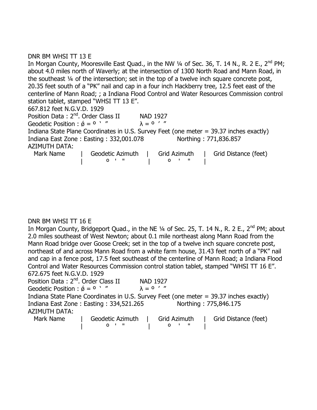# DNR BM WHSI TT 13 E

In Morgan County, Mooresville East Quad., in the NW  $\frac{1}{4}$  of Sec. 36, T. 14 N., R. 2 E., 2<sup>nd</sup> PM; about 4.0 miles north of Waverly; at the intersection of 1300 North Road and Mann Road, in the southeast ¼ of the intersection; set in the top of a twelve inch square concrete post, 20.35 feet south of a "PK" nail and cap in a four inch Hackberry tree, 12.5 feet east of the centerline of Mann Road; ; a Indiana Flood Control and Water Resources Commission control station tablet, stamped "WHSI TT 13 E". 667.812 feet N.G.V.D. 1929 Position Data :  $2^{nd}$ . Order Class II MAD 1927<br>Geodetic Position :  $\acute{\alpha} = 0$  ' "  $\lambda = 0$  ' " Geodetic Position :  $\acute{\phi} = 0$  '" Indiana State Plane Coordinates in U.S. Survey Feet (one meter = 39.37 inches exactly) Indiana East Zone : Easting : 332,001.078 Northing : 771,836.857 AZIMUTH DATA: Mark Name | Geodetic Azimuth | Grid Azimuth | Grid Distance (feet) | º ' " | º ' " |

# DNR BM WHSI TT 16 E

In Morgan County, Bridgeport Quad., in the NE ¼ of Sec. 25, T. 14 N., R. 2 E., 2<sup>nd</sup> PM; about 2.0 miles southeast of West Newton; about 0.1 mile northeast along Mann Road from the Mann Road bridge over Goose Creek; set in the top of a twelve inch square concrete post, northeast of and across Mann Road from a white farm house, 31.43 feet north of a "PK" nail and cap in a fence post, 17.5 feet southeast of the centerline of Mann Road; a Indiana Flood Control and Water Resources Commission control station tablet, stamped "WHSI TT 16 E". 672.675 feet N.G.V.D. 1929

Position Data : 2<sup>nd</sup>. Order Class II NAD 1927 Geodetic Position :  $\acute{\phi} = 0$  ' "  $\lambda = 0$  ' " Indiana State Plane Coordinates in U.S. Survey Feet (one meter = 39.37 inches exactly) Indiana East Zone : Easting : 334,521.265 Northing : 775,846.175 AZIMUTH DATA: Mark Name | Geodetic Azimuth | Grid Azimuth | Grid Distance (feet) | º ' " | º ' " |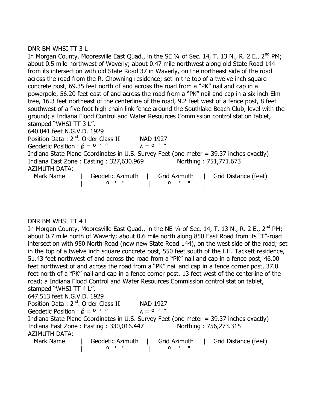# DNR BM WHSI TT 3 L

In Morgan County, Mooresville East Quad., in the SE  $\frac{1}{4}$  of Sec. 14, T. 13 N., R. 2 E., 2<sup>nd</sup> PM; about 0.5 mile northwest of Waverly; about 0.47 mile northwest along old State Road 144 from its intersection with old State Road 37 in Waverly, on the northeast side of the road across the road from the R. Chowning residence; set in the top of a twelve inch square concrete post, 69.35 feet north of and across the road from a "PK" nail and cap in a powerpole, 56.20 feet east of and across the road from a "PK" nail and cap in a six inch Elm tree, 16.3 feet northeast of the centerline of the road, 9.2 feet west of a fence post, 8 feet southwest of a five foot high chain link fence around the Southlake Beach Club, level with the ground; a Indiana Flood Control and Water Resources Commission control station tablet, stamped "WHSI TT 3 L". 640.041 feet N.G.V.D. 1929 Position Data : 2<sup>nd</sup>. Order Class II NAD 1927 Geodetic Position :  $\acute{\theta} = 0$   $'$  "  $\lambda = 0$  ' " Indiana State Plane Coordinates in U.S. Survey Feet (one meter = 39.37 inches exactly) Indiana East Zone : Easting : 327,630.969 Northing : 751,771.673

AZIMUTH DATA:

Mark Name | Geodetic Azimuth | Grid Azimuth | Grid Distance (feet) | º ' " | º ' " |

DNR BM WHSI TT 4 L

In Morgan County, Mooresville East Quad., in the NE  $\frac{1}{4}$  of Sec. 14, T. 13 N., R. 2 E., 2<sup>nd</sup> PM; about 0.7 mile north of Waverly; about 0.6 mile north along 850 East Road from its "T"-road intersection with 950 North Road (now new State Road 144), on the west side of the road; set in the top of a twelve inch square concrete post, 550 feet south of the I.H. Tackett residence, 51.43 feet northwest of and across the road from a "PK" nail and cap in a fence post, 46.00 feet northwest of and across the road from a "PK" nail and cap in a fence corner post, 37.0 feet north of a "PK" nail and cap in a fence corner post, 13 feet west of the centerline of the road; a Indiana Flood Control and Water Resources Commission control station tablet, stamped "WHSI TT 4 L". 647.513 feet N.G.V.D. 1929 Position Data: 2<sup>nd</sup>. Order Class II NAD 1927 Geodetic Position :  $\acute{\theta} = 0$   $'$  "  $\lambda = 0$  ' " Indiana State Plane Coordinates in U.S. Survey Feet (one meter = 39.37 inches exactly) Indiana East Zone : Easting : 330,016.447 Northing : 756,273.315 AZIMUTH DATA:

| Mark Name | Geodetic Azimuth | Grid Azimuth | Grid Distance (feet) |
|-----------|------------------|--------------|----------------------|
|           |                  |              |                      |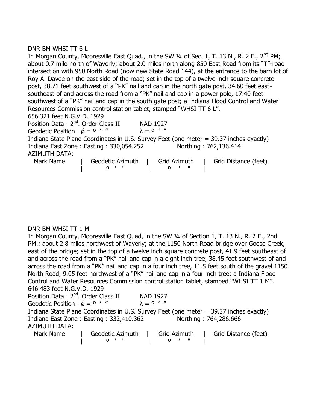# DNR BM WHSI TT 6 L

|                                                 |                                                                     |                  |              | In Morgan County, Mooresville East Quad., in the SW $\frac{1}{4}$ of Sec. 1, T. 13 N., R. 2 E., 2 <sup>nd</sup> PM; |
|-------------------------------------------------|---------------------------------------------------------------------|------------------|--------------|---------------------------------------------------------------------------------------------------------------------|
|                                                 |                                                                     |                  |              | about 0.7 mile north of Waverly; about 2.0 miles north along 850 East Road from its "T"-road                        |
|                                                 |                                                                     |                  |              | intersection with 950 North Road (now new State Road 144), at the entrance to the barn lot of                       |
|                                                 |                                                                     |                  |              | Roy A. Davee on the east side of the road; set in the top of a twelve inch square concrete                          |
|                                                 |                                                                     |                  |              | post, 38.71 feet southwest of a "PK" nail and cap in the north gate post, 34.60 feet east-                          |
|                                                 |                                                                     |                  |              | southeast of and across the road from a "PK" nail and cap in a power pole, 17.40 feet                               |
|                                                 |                                                                     |                  |              | southwest of a "PK" nail and cap in the south gate post; a Indiana Flood Control and Water                          |
|                                                 | Resources Commission control station tablet, stamped "WHSI TT 6 L". |                  |              |                                                                                                                     |
| 656.321 feet N.G.V.D. 1929                      |                                                                     |                  |              |                                                                                                                     |
| Position Data: 2 <sup>nd</sup> , Order Class II |                                                                     | <b>NAD 1927</b>  |              |                                                                                                                     |
| Geodetic Position : $\acute{\phi} = 0$ '"       |                                                                     | $\lambda = 0$ '" |              |                                                                                                                     |
|                                                 |                                                                     |                  |              | Indiana State Plane Coordinates in U.S. Survey Feet (one meter = 39.37 inches exactly)                              |
|                                                 | Indiana East Zone: Easting: 330,054.252                             |                  |              | Northing: 762,136.414                                                                                               |
| <b>AZIMUTH DATA:</b>                            |                                                                     |                  |              |                                                                                                                     |
| Mark Name                                       | Geodetic Azimuth                                                    |                  | Grid Azimuth | Grid Distance (feet)                                                                                                |
|                                                 |                                                                     |                  | 0            |                                                                                                                     |

# DNR BM WHSI TT 1 M

In Morgan County, Mooresville East Quad, in the SW ¼ of Section 1, T. 13 N., R. 2 E., 2nd PM.; about 2.8 miles northwest of Waverly; at the 1150 North Road bridge over Goose Creek, east of the bridge; set in the top of a twelve inch square concrete post, 41.9 feet southeast of and across the road from a "PK" nail and cap in a eight inch tree, 38.45 feet southwest of and across the road from a "PK" nail and cap in a four inch tree, 11.5 feet south of the gravel 1150 North Road, 9.05 feet northwest of a "PK" nail and cap in a four inch tree; a Indiana Flood Control and Water Resources Commission control station tablet, stamped "WHSI TT 1 M". 646.483 feet N.G.V.D. 1929

| Position Data: 2 <sup>nd</sup> . Order Class II  |                  | <b>NAD 1927</b>  |              |                                                                                        |
|--------------------------------------------------|------------------|------------------|--------------|----------------------------------------------------------------------------------------|
| Geodetic Position : $\acute{\phi} = 0$ $\cdot$ " |                  | $\lambda = 0$ '" |              |                                                                                        |
|                                                  |                  |                  |              | Indiana State Plane Coordinates in U.S. Survey Feet (one meter = 39.37 inches exactly) |
| Indiana East Zone: Easting: 332,410.362          |                  |                  |              | Northing: 764,286.666                                                                  |
| <b>AZIMUTH DATA:</b>                             |                  |                  |              |                                                                                        |
| Mark Name                                        | Geodetic Azimuth |                  | Grid Azimuth | Grid Distance (feet)                                                                   |

| º ' " | º ' " |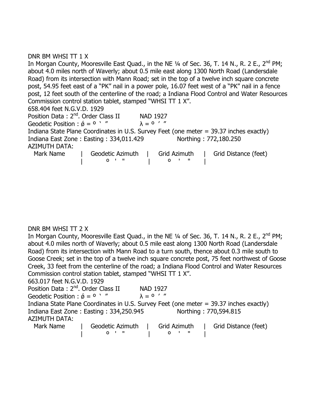# DNR BM WHSI TT 1 X

In Morgan County, Mooresville East Quad., in the NE  $\frac{1}{4}$  of Sec. 36, T. 14 N., R. 2 E., 2<sup>nd</sup> PM; about 4.0 miles north of Waverly; about 0.5 mile east along 1300 North Road (Landersdale Road) from its intersection with Mann Road; set in the top of a twelve inch square concrete post, 54.95 feet east of a "PK" nail in a power pole, 16.07 feet west of a "PK" nail in a fence post, 12 feet south of the centerline of the road; a Indiana Flood Control and Water Resources Commission control station tablet, stamped "WHSI TT 1 X". 658.404 feet N.G.V.D. 1929 Position Data: 2<sup>nd</sup>. Order Class II NAD 1927 Geodetic Position :  $\acute{\phi} = 0$  ' "  $\lambda = 0$  ' " Indiana State Plane Coordinates in U.S. Survey Feet (one meter = 39.37 inches exactly) Indiana East Zone : Easting : 334,011.429 Northing : 772,180.250 AZIMUTH DATA: Mark Name | Geodetic Azimuth | Grid Azimuth | Grid Distance (feet) | º ' " | º ' " |

# DNR BM WHSI TT 2 X

In Morgan County, Mooresville East Quad., in the NE 1/4 of Sec. 36, T. 14 N., R. 2 E., 2<sup>nd</sup> PM: about 4.0 miles north of Waverly; about 0.5 mile east along 1300 North Road (Landersdale Road) from its intersection with Mann Road to a turn south, thence about 0.3 mile south to Goose Creek; set in the top of a twelve inch square concrete post, 75 feet northwest of Goose Creek, 33 feet from the centerline of the road; a Indiana Flood Control and Water Resources Commission control station tablet, stamped "WHSI TT 1 X".

663.017 feet N.G.V.D. 1929

Position Data: 2<sup>nd</sup>. Order Class II NAD 1927 Geodetic Position :  $\acute{\theta} = 0$  ' "  $\lambda = 0$  ' " Indiana State Plane Coordinates in U.S. Survey Feet (one meter = 39.37 inches exactly) Indiana East Zone : Easting : 334,250.945 Northing : 770,594.815 AZIMUTH DATA: Mark Name | Geodetic Azimuth | Grid Azimuth | Grid Distance (feet)

| º ' " | º ' " |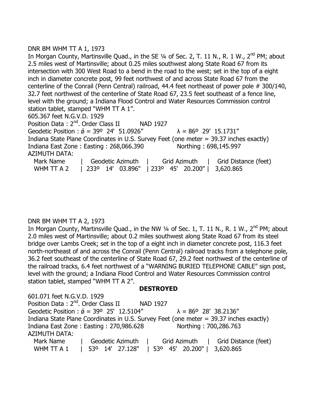# DNR BM WHM TT A 1, 1973

In Morgan County, Martinsville Quad., in the SE 1/4 of Sec. 2, T. 11 N., R. 1 W., 2<sup>nd</sup> PM; about 2.5 miles west of Martinsville; about 0.25 miles southwest along State Road 67 from its intersection with 300 West Road to a bend in the road to the west; set in the top of a eight inch in diameter concrete post, 99 feet northwest of and across State Road 67 from the centerline of the Conrail (Penn Central) railroad, 44.4 feet northeast of power pole # 300/140, 32.7 feet northwest of the centerline of State Road 67, 23.5 feet southeast of a fence line, level with the ground; a Indiana Flood Control and Water Resources Commission control station tablet, stamped "WHM TT A 1". 605.367 feet N.G.V.D. 1929 Position Data: 2<sup>nd</sup>. Order Class II NAD 1927 Geodetic Position :  $\acute{\sigma}$  = 39° 24' 51.0926"  $\lambda$  = 86° 29' 15.1731" Indiana State Plane Coordinates in U.S. Survey Feet (one meter = 39.37 inches exactly) Indiana East Zone : Easting : 268,066.390 Northing : 698,145.997 AZIMUTH DATA: Mark Name | Geodetic Azimuth | Grid Azimuth | Grid Distance (feet) WHM TT A 2 | 233º 14' 03.896" | 233º 45' 20.200" | 3,620.865

# DNR BM WHM TT A 2, 1973

In Morgan County, Martinsville Quad., in the NW 1/4 of Sec. 1, T. 11 N., R. 1 W., 2<sup>nd</sup> PM; about 2.0 miles west of Martinsville; about 0.2 miles southwest along State Road 67 from its steel bridge over Lambs Creek; set in the top of a eight inch in diameter concrete post, 116.3 feet north-northeast of and across the Conrail (Penn Central) railroad tracks from a telephone pole, 36.2 feet southeast of the centerline of State Road 67, 29.2 feet northwest of the centerline of the railroad tracks, 6.4 feet northwest of a "WARNING BURIED TELEPHONE CABLE" sign post, level with the ground; a Indiana Flood Control and Water Resources Commission control station tablet, stamped "WHM TT A 2".

# **DESTROYED**

601.071 feet N.G.V.D. 1929 Position Data: 2<sup>nd</sup>. Order Class II NAD 1927 Geodetic Position :  $\acute{\theta}$  = 39° 25' 12.5104"  $\lambda$  = 86° 28' 38.2136" Indiana State Plane Coordinates in U.S. Survey Feet (one meter = 39.37 inches exactly) Indiana East Zone : Easting : 270,986.628 Northing : 700,286.763 AZIMUTH DATA: Mark Name | Geodetic Azimuth | Grid Azimuth | Grid Distance (feet) WHM TT A 1 | 53º 14' 27.128" | 53º 45' 20.200" | 3,620.865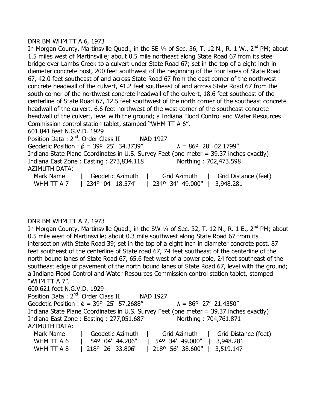### DNR BM WHM TT A 6, 1973

In Morgan County, Martinsville Quad., in the SE 1/4 of Sec. 36, T. 12 N., R. 1 W., 2<sup>nd</sup> PM; about 1.5 miles west of Martinsville; about 0.5 mile northeast along State Road 67 from its steel bridge over Lambs Creek to a culvert under State Road 67; set in the top of a eight inch in diameter concrete post, 200 feet southwest of the beginning of the four lanes of State Road 67, 42.0 feet southeast of and across State Road 67 from the east corner of the northwest concrete headwall of the culvert, 41.2 feet southeast of and across State Road 67 from the south corner of the northwest concrete headwall of the culvert, 18.6 feet southeast of the centerline of State Road 67, 12.5 feet southwest of the north corner of the southeast concrete headwall of the culvert, 6.6 feet northwest of the west corner of the southeast concrete headwall of the culvert, level with the ground; a Indiana Flood Control and Water Resources Commission control station tablet, stamped "WHM TT A 6". 601.841 feet N.G.V.D. 1929

Position Data: 2<sup>nd</sup>. Order Class II NAD 1927 Geodetic Position :  $\acute{\phi}$  = 39° 25' 34.3739"  $\lambda$  = 86° 28' 02.1799" Indiana State Plane Coordinates in U.S. Survey Feet (one meter = 39.37 inches exactly) Indiana East Zone : Easting : 273,834.118 Northing : 702,473.598 AZIMUTH DATA: Mark Name | Geodetic Azimuth | Grid Azimuth | Grid Distance (feet) WHM TT A 7 | 2340 04' 18.574" | 2340 34' 49.000" | 3,948.281

# DNR BM WHM TT A 7, 1973

In Morgan County, Martinsville Quad., in the SW  $\frac{1}{4}$  of Sec. 32, T. 12 N., R. 1 E., 2<sup>nd</sup> PM; about 0.5 mile west of Martinsville; about 0.3 mile southwest along State Road 67 from its intersection with State Road 39; set in the top of a eight inch in diameter concrete post, 87 feet southeast of the centerline of State road 67, 74 feet southeast of the centerline of the north bound lanes of State Road 67, 65.6 feet west of a power pole, 24 feet southeast of the southeast edge of pavement of the north bound lanes of State Road 67, level with the ground; a Indiana Flood Control and Water Resources Commission control station tablet, stamped "WHM TT A 7".

600.621 feet N.G.V.D. 1929 Position Data: 2<sup>nd</sup>. Order Class II NAD 1927 Geodetic Position :  $\acute{\phi}$  = 39° 25' 57.2688"  $\lambda$  = 86° 27' 21.4350" Indiana State Plane Coordinates in U.S. Survey Feet (one meter = 39.37 inches exactly) Indiana East Zone : Easting : 277,051.687 Northing : 704,761.871 AZIMUTH DATA: Mark Name | Geodetic Azimuth | Grid Azimuth | Grid Distance (feet) WHM TT A 6 | 54º 04' 44.206" | 54º 34' 49.000" | 3,948.281

WHM TT A 8 | 218<sup>o</sup> 26' 33.806" | 218<sup>o</sup> 56' 38.600" | 3,519.147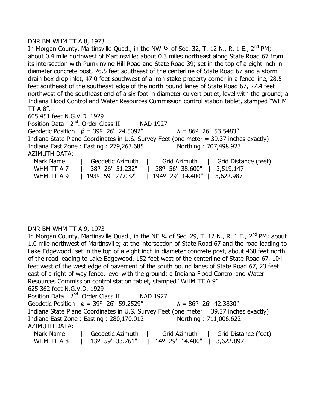### DNR BM WHM TT A 8, 1973

In Morgan County, Martinsville Quad., in the NW 1/4 of Sec. 32, T. 12 N., R. 1 E., 2<sup>nd</sup> PM; about 0.4 mile northwest of Martinsville; about 0.3 miles northeast along State Road 67 from its intersection with Pumkinvine Hill Road and State Road 39; set in the top of a eight inch in diameter concrete post, 76.5 feet southeast of the centerline of State Road 67 and a storm drain box drop inlet, 47.0 feet southwest of a iron stake property corner in a fence line, 28.5 feet southeast of the southeast edge of the north bound lanes of State Road 67, 27.4 feet northwest of the southeast end of a six foot in diameter culvert outlet, level with the ground; a Indiana Flood Control and Water Resources Commission control station tablet, stamped "WHM  $TT A 8''$ .

605.451 feet N.G.V.D. 1929

Position Data: 2<sup>nd</sup>. Order Class II NAD 1927 Geodetic Position :  $\acute{\theta}$  = 39° 26' 24.5092"  $\lambda$  = 86° 26' 53.5483" Indiana State Plane Coordinates in U.S. Survey Feet (one meter = 39.37 inches exactly) Indiana East Zone : Easting : 279,263.685 Northing : 707,498.923 AZIMUTH DATA: Mark Name | Geodetic Azimuth | Grid Azimuth | Grid Distance (feet) WHM TT A 7 | 38º 26' 51.232" | 38º 56' 38.600" | 3,519.147

WHM TT A 9 | 193º 59' 27.032" | 194º 29' 14.400" | 3,622.987

# DNR BM WHM TT A 9, 1973

In Morgan County, Martinsville Quad., in the NE ¼ of Sec. 29, T. 12 N., R. 1 E., 2<sup>nd</sup> PM; about 1.0 mile northwest of Martinsville; at the intersection of State Road 67 and the road leading to Lake Edgewood; set in the top of a eight inch in diameter concrete post, about 460 feet north of the road leading to Lake Edgewood, 152 feet west of the centerline of State Road 67, 104 feet west of the west edge of pavement of the south bound lanes of State Road 67, 23 feet east of a right of way fence, level with the ground; a Indiana Flood Control and Water Resources Commission control station tablet, stamped "WHM TT A 9". 625.362 feet N.G.V.D. 1929 Position Data: 2<sup>nd</sup>. Order Class II NAD 1927

Geodetic Position :  $\acute{\phi}$  = 39° 26' 59.2529"  $\lambda$  = 86° 26' 42.3830" Indiana State Plane Coordinates in U.S. Survey Feet (one meter = 39.37 inches exactly) Indiana East Zone : Easting : 280,170.012 Northing : 711,006.622 AZIMUTH DATA:

| Mark Name  | Geodetic Azimuth            | Grid Azimuth    | Grid Distance (feet) |
|------------|-----------------------------|-----------------|----------------------|
| WHM TT A 8 | 13 <sup>o</sup> 59' 33.761" | 14° 29' 14.400" | $\vert$ 3,622.897    |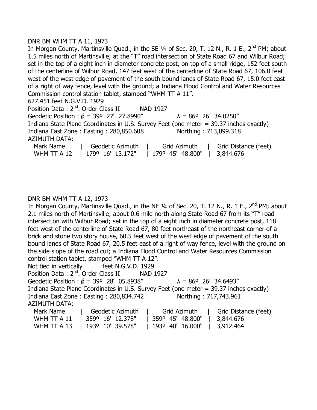### DNR BM WHM TT A 11, 1973

In Morgan County, Martinsville Quad., in the SE  $1/4$  of Sec. 20, T. 12 N., R. 1 E., 2<sup>nd</sup> PM; about 1.5 miles north of Martinsville; at the "T" road intersection of State Road 67 and Wilbur Road; set in the top of a eight inch in diameter concrete post, on top of a small ridge, 152 feet south of the centerline of Wilbur Road, 147 feet west of the centerline of State Road 67, 106.0 feet west of the west edge of pavement of the south bound lanes of State Road 67, 15.0 feet east of a right of way fence, level with the ground; a Indiana Flood Control and Water Resources Commission control station tablet, stamped "WHM TT A 11".

627.451 feet N.G.V.D. 1929

Position Data: 2<sup>nd</sup>, Order Class II NAD 1927 Geodetic Position :  $\acute{\sigma}$  = 39° 27' 27.8990"  $\lambda$  = 86° 26' 34.0250" Indiana State Plane Coordinates in U.S. Survey Feet (one meter = 39.37 inches exactly) Indiana East Zone : Easting : 280,850.608 Northing : 713,899.318 AZIMUTH DATA:

| Mark Name | Geodetic Azimuth               | Grid Azimuth                 | Grid Distance (feet) |
|-----------|--------------------------------|------------------------------|----------------------|
|           | WHM TT A 12   1790 16' 13.172" | 179° 45′ 48.800″   3,844.676 |                      |

# DNR BM WHM TT A 12, 1973

In Morgan County, Martinsville Quad., in the NE  $\frac{1}{4}$  of Sec. 20, T. 12 N., R. 1 E., 2<sup>nd</sup> PM; about 2.1 miles north of Martinsville; about 0.6 mile north along State Road 67 from its "T" road intersection with Wilbur Road; set in the top of a eight inch in diameter concrete post, 118 feet west of the centerline of State Road 67, 80 feet northeast of the northeast corner of a brick and stone two story house, 60.5 feet west of the west edge of pavement of the south bound lanes of State Road 67, 20.5 feet east of a right of way fence, level with the ground on the side slope of the road cut; a Indiana Flood Control and Water Resources Commission control station tablet, stamped "WHM TT A 12". Not tied in vertically feet N.G.V.D. 1929 Position Data: 2<sup>nd</sup>. Order Class II NAD 1927 Geodetic Position :  $\acute{\sigma}$  = 39° 28' 05.8938"  $\lambda$  = 86° 26' 34.6493"

Indiana State Plane Coordinates in U.S. Survey Feet (one meter = 39.37 inches exactly) Indiana East Zone : Easting : 280,834.742 Northing : 717,743.961 AZIMUTH DATA:

| Mark Name | Geodetic Azimuth   Grid Azimuth |                                                               | Grid Distance (feet) |
|-----------|---------------------------------|---------------------------------------------------------------|----------------------|
|           | WHM TT A 11   359° 16' 12.378"  | 359° 45′ 48.800″   3,844.676                                  |                      |
|           |                                 | WHM TT A 13   193º 10' 39.578"   193º 40' 16.000"   3,912.464 |                      |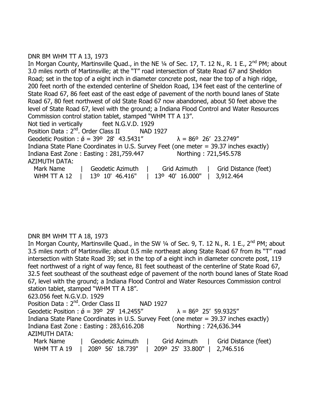# DNR BM WHM TT A 13, 1973

In Morgan County, Martinsville Quad., in the NE  $\frac{1}{4}$  of Sec. 17, T. 12 N., R. 1 E., 2<sup>nd</sup> PM; about 3.0 miles north of Martinsville; at the "T" road intersection of State Road 67 and Sheldon Road; set in the top of a eight inch in diameter concrete post, near the top of a high ridge, 200 feet north of the extended centerline of Sheldon Road, 134 feet east of the centerline of State Road 67, 86 feet east of the east edge of pavement of the north bound lanes of State Road 67, 80 feet northwest of old State Road 67 now abandoned, about 50 feet above the level of State Road 67, level with the ground; a Indiana Flood Control and Water Resources Commission control station tablet, stamped "WHM TT A 13". Not tied in vertically feet N.G.V.D. 1929 Position Data: 2<sup>nd</sup>. Order Class II NAD 1927 Geodetic Position :  $\acute{\sigma}$  = 39° 28' 43.5431"  $\lambda$  = 86° 26' 23.2749" Indiana State Plane Coordinates in U.S. Survey Feet (one meter = 39.37 inches exactly) Indiana East Zone : Easting : 281,759.447 Northing : 721,545.578 AZIMUTH DATA: Mark Name | Geodetic Azimuth | Grid Azimuth | Grid Distance (feet) WHM TT A 12 | 13º 10' 46.416" | 13º 40' 16.000" | 3,912.464

# DNR BM WHM TT A 18, 1973

In Morgan County, Martinsville Quad., in the SW 1/4 of Sec. 9, T. 12 N., R. 1 E., 2<sup>nd</sup> PM; about 3.5 miles north of Martinsville; about 0.5 mile northeast along State Road 67 from its "T" road intersection with State Road 39; set in the top of a eight inch in diameter concrete post, 119 feet northwest of a right of way fence, 81 feet southeast of the centerline of State Road 67, 32.5 feet southeast of the southeast edge of pavement of the north bound lanes of State Road 67, level with the ground; a Indiana Flood Control and Water Resources Commission control station tablet, stamped "WHM TT A 18". 623.056 feet N.G.V.D. 1929 Position Data: 2<sup>nd</sup>. Order Class II NAD 1927 Geodetic Position :  $\acute{\theta}$  = 39° 29' 14.2455"  $\lambda$  = 86° 25' 59.9325" Indiana State Plane Coordinates in U.S. Survey Feet (one meter = 39.37 inches exactly) Indiana East Zone : Easting : 283,616.208 Northing : 724,636.344 AZIMUTH DATA: Mark Name | Geodetic Azimuth | Grid Azimuth | Grid Distance (feet) WHM TT A 19 | 208º 56' 18.739" | 209º 25' 33.800" | 2,746.516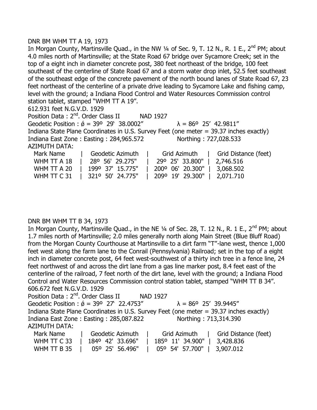### DNR BM WHM TT A 19, 1973

In Morgan County, Martinsville Quad., in the NW 1/4 of Sec. 9, T. 12 N., R. 1 E., 2<sup>nd</sup> PM; about 4.0 miles north of Martinsville; at the State Road 67 bridge over Sycamore Creek; set in the top of a eight inch in diameter concrete post, 380 feet northeast of the bridge, 100 feet southeast of the centerline of State Road 67 and a storm water drop inlet, 52.5 feet southeast of the southeast edge of the concrete pavement of the north bound lanes of State Road 67, 23 feet northeast of the centerline of a private drive leading to Sycamore Lake and fishing camp, level with the ground; a Indiana Flood Control and Water Resources Commission control station tablet, stamped "WHM TT A 19".

612.931 feet N.G.V.D. 1929

Position Data: 2<sup>nd</sup>. Order Class II NAD 1927 Geodetic Position :  $\acute{\theta}$  = 39° 29' 38.0002"  $\lambda$  = 86° 25' 42.9811" Indiana State Plane Coordinates in U.S. Survey Feet (one meter = 39.37 inches exactly) Indiana East Zone : Easting : 284,965.572 Northing : 727,028.533 AZIMUTH DATA: Mark Name | Geodetic Azimuth | Grid Azimuth | Grid Distance (feet) WHM TT A 18 | 28º 56' 29.275" | 29º 25' 33.800" | 2,746.516

| WHM TT A 20   199º 37' 15.775"   200º 06' 20.300"   3,068.502 |  |
|---------------------------------------------------------------|--|
| WHM TT C 31   321° 50' 24.775"   209° 19' 29.300"   2,071.710 |  |

# DNR BM WHM TT B 34, 1973

In Morgan County, Martinsville Quad., in the NE 1/4 of Sec. 28, T. 12 N., R. 1 E., 2<sup>nd</sup> PM; about 1.7 miles north of Martinsville; 2.0 miles generally north along Main Street (Blue Bluff Road) from the Morgan County Courthouse at Martinsville to a dirt farm "T"-lane west, thence 1,000 feet west along the farm lane to the Conrail (Pennsylvania) Railroad; set in the top of a eight inch in diameter concrete post, 64 feet west-southwest of a thirty inch tree in a fence line, 24 feet northwest of and across the dirt lane from a gas line marker post, 8.4 feet east of the centerline of the railroad, 7 feet north of the dirt lane, level with the ground; a Indiana Flood Control and Water Resources Commission control station tablet, stamped "WHM TT B 34". 606.672 feet N.G.V.D. 1929

| Position Data: 2 <sup>nd</sup> . Order Class II |                                                                                        | NAD 1927 |  |                                     |  |
|-------------------------------------------------|----------------------------------------------------------------------------------------|----------|--|-------------------------------------|--|
|                                                 | Geodetic Position : $\acute{\phi}$ = 39° 27' 22.4753"                                  |          |  | $\lambda = 86^{\circ}$ 25' 39.9445" |  |
|                                                 | Indiana State Plane Coordinates in U.S. Survey Feet (one meter = 39.37 inches exactly) |          |  |                                     |  |
|                                                 | Indiana East Zone: Easting: 285,087.822                                                |          |  | Northing: 713,314.390               |  |
| <b>AZIMUTH DATA:</b>                            |                                                                                        |          |  |                                     |  |
| Mark Name                                       | Geodetic Azimuth                                                                       |          |  | Grid Azimuth   Grid Distance (feet) |  |

| Mark Name |                                                               |  |
|-----------|---------------------------------------------------------------|--|
|           | WHM TT C 33   1840 42' 33.696"   1850 11' 34.900"   3,428.836 |  |
|           | WHM TT B 35   05° 25' 56.496"   05° 54' 57.700"   3,907.012   |  |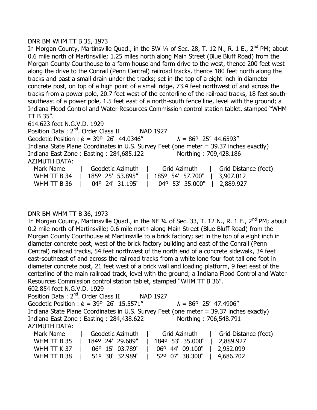### DNR BM WHM TT B 35, 1973

In Morgan County, Martinsville Quad., in the SW 1/4 of Sec. 28, T. 12 N., R. 1 E., 2<sup>nd</sup> PM; about 0.6 mile north of Martinsville; 1.25 miles north along Main Street (Blue Bluff Road) from the Morgan County Courthouse to a farm house and farm drive to the west, thence 200 feet west along the drive to the Conrail (Penn Central) railroad tracks, thence 180 feet north along the tracks and past a small drain under the tracks; set in the top of a eight inch in diameter concrete post, on top of a high point of a small ridge, 73.4 feet northwest of and across the tracks from a power pole, 20.7 feet west of the centerline of the railroad tracks, 18 feet southsoutheast of a power pole, 1.5 feet east of a north-south fence line, level with the ground; a Indiana Flood Control and Water Resources Commission control station tablet, stamped "WHM  $TTB.35''$ .

614.623 feet N.G.V.D. 1929

Position Data: 2<sup>nd</sup>. Order Class II NAD 1927 Geodetic Position :  $\acute{\theta}$  = 39° 26' 44.0346"  $\lambda$  = 86° 25' 44.6593" Indiana State Plane Coordinates in U.S. Survey Feet (one meter = 39.37 inches exactly) Indiana East Zone : Easting : 284,685.122 Northing : 709,428.186 AZIMUTH DATA: Mark Name | Geodetic Azimuth | Grid Azimuth | Grid Distance (feet) WHM TT B 34 | 185º 25' 53.895" | 185º 54' 57.700" | 3,907.012 WHM TT B 36 | 04º 24' 31.195" | 04º 53' 35.000" | 2,889.927

# DNR BM WHM TT B 36, 1973

In Morgan County, Martinsville Quad., in the NE 1/4 of Sec. 33, T. 12 N., R. 1 E., 2<sup>nd</sup> PM; about 0.2 mile north of Martinsville; 0.6 mile north along Main Street (Blue Bluff Road) from the Morgan County Courthouse at Martinsville to a brick factory; set in the top of a eight inch in diameter concrete post, west of the brick factory building and east of the Conrail (Penn Central) railroad tracks, 54 feet northwest of the north end of a concrete sidewalk, 34 feet east-southeast of and across the railroad tracks from a white lone four foot tall one foot in diameter concrete post, 21 feet west of a brick wall and loading platform, 9 feet east of the centerline of the main railroad track, level with the ground; a Indiana Flood Control and Water Resources Commission control station tablet, stamped "WHM TT B 36".

602.854 feet N.G.V.D. 1929

| Position Data: 2 <sup>nd</sup> . Order Class II       | NAD 1927                                                                               |
|-------------------------------------------------------|----------------------------------------------------------------------------------------|
| Geodetic Position : $\acute{\phi}$ = 39° 26' 15.5571" | $\lambda = 86^{\circ}$ 25' 47.4906"                                                    |
|                                                       | Indiana State Plane Coordinates in U.S. Survey Feet (one meter = 39.37 inches exactly) |
| Indiana East Zone: Easting: 284,438.622               | Northing: 706,548.791                                                                  |
| <b>AZIMUTH DATA:</b>                                  |                                                                                        |
| Geodetic Azimuth<br>Mark Name                         | Grid Distance (feet)<br>Grid Azimuth                                                   |
| 1840 24' 29.689"<br>WHM TT B 35                       | 1849 53' 35.000"<br>2.889.927                                                          |

|                               |               | WHM TT B 35   1840 24' 29.689"   1840 53' 35.000"   2,889.927 |  |  |
|-------------------------------|---------------|---------------------------------------------------------------|--|--|
| WHM TT K 37   06° 15' 03.789" |               | $\vert$ 06° 44' 09.100"   2,952.099                           |  |  |
| WHM TT B 38                   | 51°38′32.989″ | 52° 07' 38.300"   4,686.702                                   |  |  |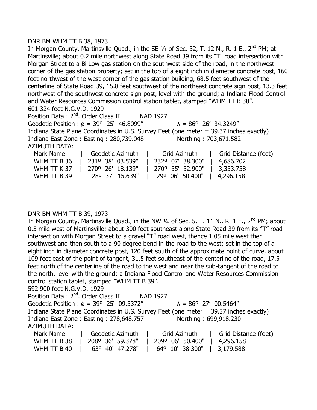### DNR BM WHM TT B 38, 1973

In Morgan County, Martinsville Quad., in the SE 1/4 of Sec. 32, T. 12 N., R. 1 E., 2<sup>nd</sup> PM; at Martinsville; about 0.2 mile northwest along State Road 39 from its "T" road intersection with Morgan Street to a Bi Low gas station on the southwest side of the road, in the northwest corner of the gas station property; set in the top of a eight inch in diameter concrete post, 160 feet northwest of the west corner of the gas station building, 68.5 feet southwest of the centerline of State Road 39, 15.8 feet southwest of the northeast concrete sign post, 13.3 feet northwest of the southwest concrete sign post, level with the ground; a Indiana Flood Control and Water Resources Commission control station tablet, stamped "WHM TT B 38". 601.324 feet N.G.V.D. 1929

Position Data: 2<sup>nd</sup>. Order Class II NAD 1927 Geodetic Position :  $\acute{\theta}$  = 39° 25' 46.8099"  $\lambda$  = 86° 26' 34.3249" Indiana State Plane Coordinates in U.S. Survey Feet (one meter = 39.37 inches exactly) Indiana East Zone : Easting : 280,739.048 Northing : 703,671.582 AZIMUTH DATA: Mark Name | Geodetic Azimuth | Grid Azimuth | Grid Distance (feet)

| WHM TT B 36   231° 38' 03.539"   232° 07' 38.300"   4,686.702 |  |  |  |  |  |
|---------------------------------------------------------------|--|--|--|--|--|
| WHM TT K 37   270° 26' 18.139"   270° 55' 52.900"   3,353.758 |  |  |  |  |  |
| WHM TT B 39   28° 37' 15.639"   29° 06' 50.400"   4,296.158   |  |  |  |  |  |

# DNR BM WHM TT B 39, 1973

In Morgan County, Martinsville Quad., in the NW 1/4 of Sec. 5, T. 11 N., R. 1 E., 2<sup>nd</sup> PM; about 0.5 mile west of Martinsville; about 300 feet southeast along State Road 39 from its "T" road intersection with Morgan Street to a gravel "T" road west, thence 1.05 mile west then southwest and then south to a 90 degree bend in the road to the west; set in the top of a eight inch in diameter concrete post, 120 feet south of the approximate point of curve, about 109 feet east of the point of tangent, 31.5 feet southeast of the centerline of the road, 17.5 feet north of the centerline of the road to the west and near the sub-tangent of the road to the north, level with the ground; a Indiana Flood Control and Water Resources Commission control station tablet, stamped "WHM TT B 39".

592.900 feet N.G.V.D. 1929

| Position Data: 2 <sup>nd</sup> . Order Class II                                        |                  | NAD 1927 |                                     |                       |  |
|----------------------------------------------------------------------------------------|------------------|----------|-------------------------------------|-----------------------|--|
| Geodetic Position : $\acute{\phi}$ = 39° 25' 09.5372"                                  |                  |          | $\lambda = 86^{\circ}$ 27' 00.5464" |                       |  |
| Indiana State Plane Coordinates in U.S. Survey Feet (one meter = 39.37 inches exactly) |                  |          |                                     |                       |  |
| Indiana East Zone: Easting: 278,648.757                                                |                  |          |                                     | Northing: 699,918.230 |  |
| AZIMUTH DATA:                                                                          |                  |          |                                     |                       |  |
| Mark Name                                                                              | Geodetic Azimuth |          | Grid Azimuth                        | Grid Distance (feet)  |  |

| Mark Name   | Geodetic Azimuth   Grid Azimuth   Grid Distance (feet)        |  |
|-------------|---------------------------------------------------------------|--|
|             | WHM TT B 38   208° 36' 59.378"   209° 06' 50.400"   4,296.158 |  |
| WHM TT B 40 | $\vert$ 63° 40′ 47.278″   64° 10′ 38.300″   3,179.588         |  |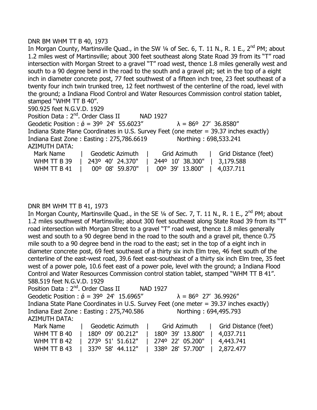#### DNR BM WHM TT B 40, 1973

In Morgan County, Martinsville Quad., in the SW 1/4 of Sec. 6, T. 11 N., R. 1 E., 2<sup>nd</sup> PM; about 1.2 miles west of Martinsville; about 300 feet southeast along State Road 39 from its "T" road intersection with Morgan Street to a gravel "T" road west, thence 1.8 miles generally west and south to a 90 degree bend in the road to the south and a gravel pit; set in the top of a eight inch in diameter concrete post, 77 feet southwest of a fifteen inch tree, 23 feet southeast of a twenty four inch twin trunked tree, 12 feet northwest of the centerline of the road, level with the ground; a Indiana Flood Control and Water Resources Commission control station tablet, stamped "WHM TT B 40". 590.925 feet N.G.V.D. 1929

Position Data: 2<sup>nd</sup>. Order Class II NAD 1927 Geodetic Position :  $\acute{\theta}$  = 39° 24' 55.6023"  $\lambda$  = 86° 27' 36.8580" Indiana State Plane Coordinates in U.S. Survey Feet (one meter = 39.37 inches exactly) Indiana East Zone : Easting : 275,786.6619 Northing : 698,533.241 AZIMUTH DATA: Mark Name | Geodetic Azimuth | Grid Azimuth | Grid Distance (feet)

|  | WHM TT B 39   243° 40' 24.370"   244° 10' 38.300"   3,179.588 |  |
|--|---------------------------------------------------------------|--|
|  | WHM TT B 41   00° 08' 59.870"   00° 39' 13.800"   4,037.711   |  |

#### DNR BM WHM TT B 41, 1973

In Morgan County, Martinsville Quad., in the SE  $\frac{1}{4}$  of Sec. 7, T. 11 N., R. 1 E., 2<sup>nd</sup> PM; about 1.2 miles southwest of Martinsville; about 300 feet southeast along State Road 39 from its "T" road intersection with Morgan Street to a gravel "T" road west, thence 1.8 miles generally west and south to a 90 degree bend in the road to the south and a gravel pit, thence 0.75 mile south to a 90 degree bend in the road to the east; set in the top of a eight inch in diameter concrete post, 69 feet southeast of a thirty six inch Elm tree, 46 feet south of the centerline of the east-west road, 39.6 feet east-southeast of a thirty six inch Elm tree, 35 feet west of a power pole, 10.6 feet east of a power pole, level with the ground; a Indiana Flood Control and Water Resources Commission control station tablet, stamped "WHM TT B 41". 588.519 feet N.G.V.D. 1929

Position Data: 2<sup>nd</sup>. Order Class II NAD 1927 Geodetic Position :  $\acute{\theta}$  = 39° 24' 15.6965"  $\lambda$  = 86° 27' 36.9926" Indiana State Plane Coordinates in U.S. Survey Feet (one meter = 39.37 inches exactly) Indiana East Zone : Easting : 275,740.586 Northing : 694,495.793 AZIMUTH DATA: Mark Name | Geodetic Azimuth | Grid Azimuth | Grid Distance (feet)

| Mark Name | <u>laceodetic Azimuth</u>      | Grid Azimuth   Grid Distance (feet)                           |  |
|-----------|--------------------------------|---------------------------------------------------------------|--|
|           | WHM TT B 40   180° 09' 00.212" | 180° 39' 13.800"   4,037.711                                  |  |
|           |                                | WHM TT B 42   273° 51' 51.612"   274° 22' 05.200"   4,443.741 |  |
|           |                                | WHM TT B 43   337° 58' 44.112"   338° 28' 57.700"   2,872.477 |  |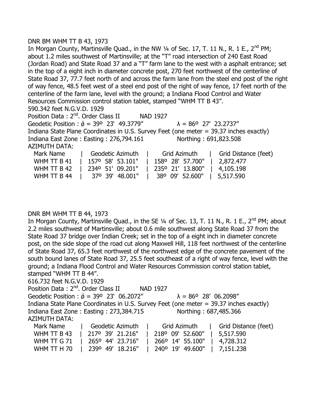#### DNR BM WHM TT B 43, 1973

In Morgan County, Martinsville Quad., in the NW 1/4 of Sec. 17, T. 11 N., R. 1 E., 2<sup>nd</sup> PM; about 1.2 miles southwest of Martinsville; at the "T" road intersection of 240 East Road (Jordan Road) and State Road 37 and a "T" farm lane to the west with a asphalt entrance; set in the top of a eight inch in diameter concrete post, 270 feet northwest of the centerline of State Road 37, 77.7 feet north of and across the farm lane from the steel end post of the right of way fence, 48.5 feet west of a steel end post of the right of way fence, 17 feet north of the centerline of the farm lane, level with the ground; a Indiana Flood Control and Water Resources Commission control station tablet, stamped "WHM TT B 43". 590.342 feet N.G.V.D. 1929 Position Data: 2<sup>nd</sup>. Order Class II NAD 1927 Geodetic Position :  $\acute{\theta}$  = 39° 23' 49.3779"  $\lambda$  = 86° 27' 23.2737" Indiana State Plane Coordinates in U.S. Survey Feet (one meter = 39.37 inches exactly) Indiana East Zone : Easting : 276,794.161 Northing : 691,823.508 AZIMUTH DATA: Mark Name | Geodetic Azimuth | Grid Azimuth | Grid Distance (feet)

| WHM TT B 41 | 157° 58′ 53.101″   158° 28′ 57.700″   2,872.477 |                                     |
|-------------|-------------------------------------------------|-------------------------------------|
| WHM TT B 42 | 234° 51' 09.201"   235° 21' 13.800"   4,105.198 |                                     |
| WHM TT B 44 | 37°39′48.001″                                   | $\vert$ 38° 09' 52.600"   5,517.590 |

# DNR BM WHM TT B 44, 1973

In Morgan County, Martinsville Quad., in the SE  $1/4$  of Sec. 13, T. 11 N., R. 1 E., 2<sup>nd</sup> PM; about 2.2 miles southwest of Martinsville; about 0.6 mile southwest along State Road 37 from the State Road 37 bridge over Indian Creek; set in the top of a eight inch in diameter concrete post, on the side slope of the road cut along Maxwell Hill, 118 feet northwest of the centerline of State Road 37, 65.3 feet northwest of the northwest edge of the concrete pavement of the south bound lanes of State Road 37, 25.5 feet southeast of a right of way fence, level with the ground; a Indiana Flood Control and Water Resources Commission control station tablet, stamped "WHM TT B 44".

616.732 feet N.G.V.D. 1929

Position Data: 2<sup>nd</sup>. Order Class II NAD 1927 Geodetic Position :  $\acute{\theta}$  = 39° 23' 06.2072"  $\lambda$  = 86° 28' 06.2098" Indiana State Plane Coordinates in U.S. Survey Feet (one meter = 39.37 inches exactly) Indiana East Zone : Easting : 273,384.715 Northing : 687,485.366 AZIMUTH DATA: Mark Name | Geodetic Azimuth | Grid Azimuth | Grid Distance (feet)

|  | WHM TT B 43   217º 39' 21.216"   218º 09' 52.600"   5,517.590 |  |  |
|--|---------------------------------------------------------------|--|--|
|  | WHM TT G 71   265° 44' 23.716"   266° 14' 55.100"   4,728.312 |  |  |
|  | WHM TT H 70   239° 49' 18.216"   240° 19' 49.600"   7,151.238 |  |  |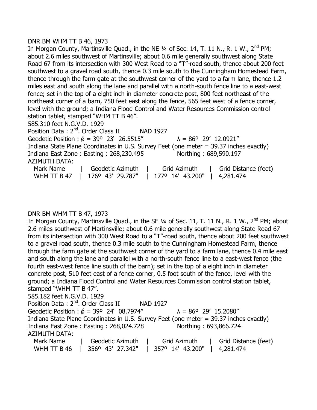# DNR BM WHM TT B 46, 1973

In Morgan County, Martinsville Quad., in the NE 1/4 of Sec. 14, T. 11 N., R. 1 W., 2<sup>nd</sup> PM; about 2.6 miles southwest of Martinsville; about 0.6 mile generally southwest along State Road 67 from its intersection with 300 West Road to a "T"-road south, thence about 200 feet southwest to a gravel road south, thence 0.3 mile south to the Cunningham Homestead Farm, thence through the farm gate at the southwest corner of the yard to a farm lane, thence 1.2 miles east and south along the lane and parallel with a north-south fence line to a east-west fence; set in the top of a eight inch in diameter concrete post, 800 feet northeast of the northeast corner of a barn, 750 feet east along the fence, 565 feet west of a fence corner, level with the ground; a Indiana Flood Control and Water Resources Commission control station tablet, stamped "WHM TT B 46". 585.310 feet N.G.V.D. 1929 Position Data: 2<sup>nd</sup>. Order Class II NAD 1927

Geodetic Position :  $\acute{\sigma}$  = 39° 23' 26.5515"  $\lambda$  = 86° 29' 12.0921" Indiana State Plane Coordinates in U.S. Survey Feet (one meter = 39.37 inches exactly) Indiana East Zone : Easting : 268,230.495 Northing : 689,590.197 AZIMUTH DATA: Mark Name | Geodetic Azimuth | Grid Azimuth | Grid Distance (feet) WHM TT B 47 | 176<sup>o</sup> 43' 29.787" | 177<sup>o</sup> 14' 43.200" | 4,281.474

# DNR BM WHM TT B 47, 1973

In Morgan County, Martinsville Quad., in the SE 1/4 of Sec. 11, T. 11 N., R. 1 W., 2<sup>nd</sup> PM; about 2.6 miles southwest of Martinsville; about 0.6 mile generally southwest along State Road 67 from its intersection with 300 West Road to a "T"-road south, thence about 200 feet southwest to a gravel road south, thence 0.3 mile south to the Cunningham Homestead Farm, thence through the farm gate at the southwest corner of the yard to a farm lane, thence 0.4 mile east and south along the lane and parallel with a north-south fence line to a east-west fence (the fourth east-west fence line south of the barn); set in the top of a eight inch in diameter concrete post, 510 feet east of a fence corner, 0.5 foot south of the fence, level with the ground; a Indiana Flood Control and Water Resources Commission control station tablet, stamped "WHM TT B 47". 585.182 feet N.G.V.D. 1929 Position Data: 2<sup>nd</sup>. Order Class II NAD 1927 Geodetic Position :  $\acute{\theta}$  = 39° 24' 08.7974"  $\lambda$  = 86° 29' 15.2080" Indiana State Plane Coordinates in U.S. Survey Feet (one meter = 39.37 inches exactly) Indiana East Zone : Easting : 268,024.728 Northing : 693,866.724 AZIMUTH DATA: Mark Name | Geodetic Azimuth | Grid Azimuth | Grid Distance (feet) WHM TT B 46 | 356º 43' 27.342" | 357º 14' 43.200" | 4,281.474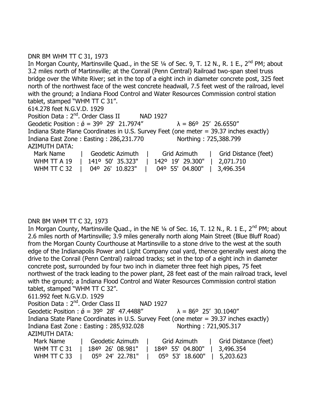# DNR BM WHM TT C 31, 1973

In Morgan County, Martinsville Quad., in the SE  $\frac{1}{4}$  of Sec. 9, T. 12 N., R. 1 E., 2<sup>nd</sup> PM; about 3.2 miles north of Martinsville; at the Conrail (Penn Central) Railroad two-span steel truss bridge over the White River; set in the top of a eight inch in diameter concrete post, 325 feet north of the northwest face of the west concrete headwall, 7.5 feet west of the railroad, level with the ground; a Indiana Flood Control and Water Resources Commission control station tablet, stamped "WHM TT C 31". 614.278 feet N.G.V.D. 1929 Position Data: 2<sup>nd</sup>. Order Class II NAD 1927 Geodetic Position :  $\acute{\theta}$  = 39° 29' 21.7974"  $\lambda$  = 86° 25' 26.6550" Indiana State Plane Coordinates in U.S. Survey Feet (one meter = 39.37 inches exactly) Indiana East Zone : Easting : 286,231.770 Northing : 725,388.799 AZIMUTH DATA: Mark Name | Geodetic Azimuth | Grid Azimuth | Grid Distance (feet) WHM TT A 19 | 141º 50' 35.323" | 142º 19' 29.300" | 2,071.710 WHM TT C 32 | 04º 26' 10.823" | 04º 55' 04.800" | 3,496.354

# DNR BM WHM TT C 32, 1973

In Morgan County, Martinsville Quad., in the NE  $\frac{1}{4}$  of Sec. 16, T. 12 N., R. 1 E., 2<sup>nd</sup> PM; about 2.6 miles north of Martinsville; 3.9 miles generally north along Main Street (Blue Bluff Road) from the Morgan County Courthouse at Martinsville to a stone drive to the west at the south edge of the Indianapolis Power and Light Company coal yard, thence generally west along the drive to the Conrail (Penn Central) railroad tracks; set in the top of a eight inch in diameter concrete post, surrounded by four two inch in diameter three feet high pipes, 75 feet northwest of the track leading to the power plant, 28 feet east of the main railroad track, level with the ground; a Indiana Flood Control and Water Resources Commission control station tablet, stamped "WHM TT C 32". 611.992 feet N.G.V.D. 1929

| Position Data: 2 <sup>nd</sup> . Order Class II |                                                       | <b>NAD 1927</b>                                                                        |                      |
|-------------------------------------------------|-------------------------------------------------------|----------------------------------------------------------------------------------------|----------------------|
|                                                 | Geodetic Position : $\acute{\phi}$ = 39° 28' 47.4488" | $\lambda = 86^{\circ}$ 25' 30.1040"                                                    |                      |
|                                                 |                                                       | Indiana State Plane Coordinates in U.S. Survey Feet (one meter = 39.37 inches exactly) |                      |
|                                                 | Indiana East Zone: Easting: 285,932.028               | Northing: 721,905.317                                                                  |                      |
| <b>AZIMUTH DATA:</b>                            |                                                       |                                                                                        |                      |
| Mark Name                                       | Geodetic Azimuth                                      | Grid Azimuth                                                                           | Grid Distance (feet) |
| WHM TT C 31                                     | 1840 26' 08.981"                                      | 184° 55' 04.800"                                                                       | 3,496.354            |
| WHM TT C 33                                     | 05° 24' 22.781"                                       | 05° 53' 18.600"                                                                        | 5,203.623            |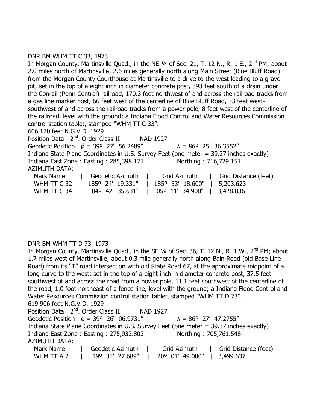# DNR BM WHM TT C 33, 1973

In Morgan County, Martinsville Quad., in the NE  $\frac{1}{4}$  of Sec. 21, T. 12 N., R. 1 E., 2<sup>nd</sup> PM; about 2.0 miles north of Martinsville; 2.6 miles generally north along Main Street (Blue Bluff Road) from the Morgan County Courthouse at Martinsville to a drive to the west leading to a gravel pit; set in the top of a eight inch in diameter concrete post, 393 feet south of a drain under the Conrail (Penn Central) railroad, 170.3 feet northwest of and across the railroad tracks from a gas line marker post, 66 feet west of the centerline of Blue Bluff Road, 33 feet westsouthwest of and across the railroad tracks from a power pole, 8 feet west of the centerline of the railroad, level with the ground; a Indiana Flood Control and Water Resources Commission control station tablet, stamped "WHM TT C 33". 606.170 feet N.G.V.D. 1929 Position Data: 2<sup>nd</sup>. Order Class II NAD 1927 Geodetic Position :  $\acute{\phi}$  = 39° 27' 56.2489"  $\lambda$  = 86° 25' 36.3552" Indiana State Plane Coordinates in U.S. Survey Feet (one meter = 39.37 inches exactly) Indiana East Zone : Easting : 285,398.171 Northing : 716,729.151 AZIMUTH DATA: Mark Name | Geodetic Azimuth | Grid Azimuth | Grid Distance (feet)

| Mark Name   | l Geodetic Azimuth                                            | Grid Azimuth   Grid Distance (feet) |  |
|-------------|---------------------------------------------------------------|-------------------------------------|--|
|             | WHM TT C 32   1850 24' 19.331"   1850 53' 18.600"   5,203.623 |                                     |  |
| WHM TT C 34 | $\vert$ 04° 42′ 35.631″   05° 11′ 34.900″   3,428.836         |                                     |  |

# DNR BM WHM TT D 73, 1973

In Morgan County, Martinsville Quad., in the SE 1/4 of Sec. 36, T. 12 N., R. 1 W., 2<sup>nd</sup> PM; about 1.7 miles west of Martinsville; about 0.3 mile generally north along Bain Road (old Base Line Road) from its "T" road intersection with old State Road 67, at the approximate midpoint of a long curve to the west; set in the top of a eight inch in diameter concrete post, 37.5 feet southwest of and across the road from a power pole, 11.1 feet southwest of the centerline of the road, 1.0 foot northeast of a fence line, level with the ground; a Indiana Flood Control and Water Resources Commission control station tablet, stamped "WHM TT D 73". 619.906 feet N.G.V.D. 1929 Position Data: 2<sup>nd</sup>. Order Class II NAD 1927 Geodetic Position :  $\acute{\theta}$  = 39° 26' 06.9731"  $\lambda$  = 86° 27' 47.2755" Indiana State Plane Coordinates in U.S. Survey Feet (one meter = 39.37 inches exactly) Indiana East Zone : Easting : 275,032.803 Northing : 705,761.548 AZIMUTH DATA: Mark Name | Geodetic Azimuth | Grid Azimuth | Grid Distance (feet) WHM TT A 2 | 19º 31' 27.689" | 20º 01' 49.000" | 3,499.637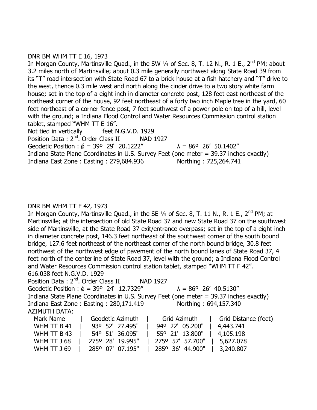#### DNR BM WHM TT E 16, 1973

In Morgan County, Martinsville Quad., in the SW  $\frac{1}{4}$  of Sec. 8, T. 12 N., R. 1 E., 2<sup>nd</sup> PM; about 3.2 miles north of Martinsville; about 0.3 mile generally northwest along State Road 39 from its "T" road intersection with State Road 67 to a brick house at a fish hatchery and "T" drive to the west, thence 0.3 mile west and north along the cinder drive to a two story white farm house; set in the top of a eight inch in diameter concrete post, 128 feet east northeast of the northeast corner of the house, 92 feet northeast of a forty two inch Maple tree in the yard, 60 feet northeast of a corner fence post, 7 feet southwest of a power pole on top of a hill, level with the ground; a Indiana Flood Control and Water Resources Commission control station tablet, stamped "WHM TT E 16".

Not tied in vertically feet N.G.V.D. 1929 Position Data: 2<sup>nd</sup>. Order Class II NAD 1927 Geodetic Position :  $\acute{\theta}$  = 39° 29' 20.1222"  $\lambda$  = 86° 26' 50.1402" Indiana State Plane Coordinates in U.S. Survey Feet (one meter = 39.37 inches exactly) Indiana East Zone : Easting : 279,684.936 Northing : 725,264.741

#### DNR BM WHM TT F 42, 1973

In Morgan County, Martinsville Quad., in the SE  $\frac{1}{4}$  of Sec. 8, T. 11 N., R. 1 E., 2<sup>nd</sup> PM; at Martinsville; at the intersection of old State Road 37 and new State Road 37 on the southwest side of Martinsville, at the State Road 37 exit/entrance overpass; set in the top of a eight inch in diameter concrete post, 146.3 feet northeast of the southwest corner of the south bound bridge, 127.6 feet northeast of the northeast corner of the north bound bridge, 30.8 feet northwest of the northwest edge of pavement of the north bound lanes of State Road 37, 4 feet north of the centerline of State Road 37, level with the ground; a Indiana Flood Control and Water Resources Commission control station tablet, stamped "WHM TT F 42". 616.038 feet N.G.V.D. 1929

Position Data : 2<sup>nd</sup>. Order Class II NAD 1927 Geodetic Position :  $\acute{\theta}$  = 39° 24' 12.7329"  $\lambda$  = 86° 26' 40.5130" Indiana State Plane Coordinates in U.S. Survey Feet (one meter = 39.37 inches exactly) Indiana East Zone : Easting : 280,171.419 Northing : 694,157.340 AZIMUTH DATA:

| Mark Name   | Geodetic Azimuth | Grid Azimuth     | Grid Distance (feet) |
|-------------|------------------|------------------|----------------------|
| WHM TT B 41 | 930 52' 27.495"  | 94° 22' 05.200"  | 4,443.741            |
| WHM TT B 43 | 54° 51' 36.095"  | 55° 21' 13.800"  | $\mid$ 4,105.198     |
| WHM TT J 68 | 2750 28' 19.995" | 275° 57' 57.700" | 5,627.078            |
| WHM TT J 69 | 285° 07' 07.195" | 285° 36' 44.900" | 3,240.807            |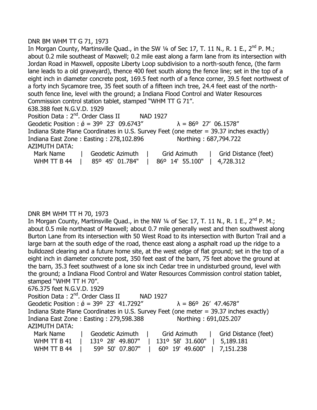#### DNR BM WHM TT G 71, 1973

In Morgan County, Martinsville Quad., in the SW  $\frac{1}{4}$  of Sec 17, T. 11 N., R. 1 E., 2<sup>nd</sup> P. M.; about 0.2 mile southeast of Maxwell; 0.2 mile east along a farm lane from its intersection with Jordan Road in Maxwell, opposite Liberty Loop subdivision to a north-south fence, (the farm lane leads to a old graveyard), thence 400 feet south along the fence line; set in the top of a eight inch in diameter concrete post, 169.5 feet north of a fence corner, 39.5 feet northwest of a forty inch Sycamore tree, 35 feet south of a fifteen inch tree, 24.4 feet east of the northsouth fence line, level with the ground; a Indiana Flood Control and Water Resources Commission control station tablet, stamped "WHM TT G 71". 638.388 feet N.G.V.D. 1929 Position Data: 2<sup>nd</sup>. Order Class II NAD 1927 Geodetic Position :  $\acute{\theta}$  = 39° 23' 09.6743"  $\lambda$  = 86° 27' 06.1578" Indiana State Plane Coordinates in U.S. Survey Feet (one meter = 39.37 inches exactly) Indiana East Zone : Easting : 278,102.896 Northing : 687,794.722 AZIMUTH DATA: Mark Name | Geodetic Azimuth | Grid Azimuth | Grid Distance (feet) WHM TT B 44 | 85º 45' 01.784" | 86º 14' 55.100" | 4,728.312

#### DNR BM WHM TT H 70, 1973

In Morgan County, Martinsville Quad., in the NW  $\frac{1}{4}$  of Sec 17, T. 11 N., R. 1 E., 2<sup>nd</sup> P. M.; about 0.5 mile northeast of Maxwell; about 0.7 mile generally west and then southwest along Burton Lane from its intersection with 50 West Road to its intersection with Burton Trail and a large barn at the south edge of the road, thence east along a asphalt road up the ridge to a bulldozed clearing and a future home site, at the west edge of flat ground; set in the top of a eight inch in diameter concrete post, 350 feet east of the barn, 75 feet above the ground at the barn, 35.3 feet southwest of a lone six inch Cedar tree in undisturbed ground, level with the ground; a Indiana Flood Control and Water Resources Commission control station tablet, stamped "WHM TT H 70". 676.375 feet N.G.V.D. 1929

Position Data: 2<sup>nd</sup>. Order Class II NAD 1927 Geodetic Position :  $\acute{\phi}$  = 39° 23' 41.7292"  $\lambda$  = 86° 26' 47.4678" Indiana State Plane Coordinates in U.S. Survey Feet (one meter = 39.37 inches exactly) Indiana East Zone : Easting : 279,598.388 Northing : 691,025.207 AZIMUTH DATA: Mark Name | Geodetic Azimuth | Grid Azimuth | Grid Distance (feet)

| WHM TT B 41 | 131° 28' 49.807" | $131^{\circ}$ 58' 31.600"   5,189.181 |                  |
|-------------|------------------|---------------------------------------|------------------|
| WHM TT B 44 | 59° 50' 07.807"  | 60° 19' 49.600"                       | $\mid$ 7,151.238 |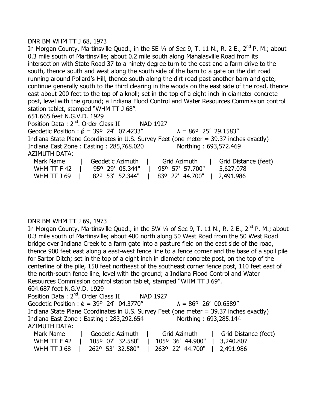#### DNR BM WHM TT J 68, 1973

In Morgan County, Martinsville Quad., in the SE 1/4 of Sec 9, T. 11 N., R. 2 E., 2<sup>nd</sup> P. M.; about 0.3 mile south of Martinsville; about 0.2 mile south along Mahalasville Road from its intersection with State Road 37 to a ninety degree turn to the east and a farm drive to the south, thence south and west along the south side of the barn to a gate on the dirt road running around Pollard's Hill, thence south along the dirt road past another barn and gate, continue generally south to the third clearing in the woods on the east side of the road, thence east about 200 feet to the top of a knoll; set in the top of a eight inch in diameter concrete post, level with the ground; a Indiana Flood Control and Water Resources Commission control station tablet, stamped "WHM TT J 68". 651.665 feet N.G.V.D. 1929 Position Data: 2<sup>nd</sup>. Order Class II NAD 1927 Geodetic Position :  $\acute{\theta}$  = 39° 24' 07.4233"  $\lambda$  = 86° 25' 29.1583"

Indiana State Plane Coordinates in U.S. Survey Feet (one meter = 39.37 inches exactly) Indiana East Zone : Easting : 285,768.020 Northing : 693,572.469

AZIMUTH DATA:

| Mark Name   | Geodetic Azimuth                              | Grid Azimuth                | Grid Distance (feet) |
|-------------|-----------------------------------------------|-----------------------------|----------------------|
| WHM TT F 42 | 95° 29′ 05.344″                               | 95° 57′ 57.700″   5,627.078 |                      |
| WHM TT J 69 | 82° 53′ 52.344″   83° 22′ 44.700″   2,491.986 |                             |                      |

# DNR BM WHM TT J 69, 1973

In Morgan County, Martinsville Quad., in the SW  $\frac{1}{4}$  of Sec 9, T. 11 N., R. 2 E., 2<sup>nd</sup> P. M.; about 0.3 mile south of Martinsville; about 400 north along 50 West Road from the 50 West Road bridge over Indiana Creek to a farm gate into a pasture field on the east side of the road, thence 900 feet east along a east-west fence line to a fence corner and the base of a spoil pile for Sartor Ditch; set in the top of a eight inch in diameter concrete post, on the top of the centerline of the pile, 150 feet northeast of the southeast corner fence post, 110 feet east of the north-south fence line, level with the ground; a Indiana Flood Control and Water Resources Commission control station tablet, stamped "WHM TT J 69". 604.687 feet N.G.V.D. 1929

| Position Data: 2 <sup>nd</sup> . Order Class II                                        | NAD 1927                                               |                                     |
|----------------------------------------------------------------------------------------|--------------------------------------------------------|-------------------------------------|
| Geodetic Position : $\acute{\phi}$ = 39° 24' 04.3770"                                  |                                                        | $\lambda = 86^{\circ}$ 26' 00.6589" |
| Indiana State Plane Coordinates in U.S. Survey Feet (one meter = 39.37 inches exactly) |                                                        |                                     |
| Indiana East Zone: Easting: 283,292.654                                                |                                                        | Northing: 693,285.144               |
| <b>AZIMUTH DATA:</b>                                                                   |                                                        |                                     |
| Mark Name                                                                              | Geodetic Azimuth   Grid Azimuth   Grid Distance (feet) |                                     |

| WHM TT F 42 | 105° 07' 32.580" | 105° 36' 44.900"   3,240.807 |                  |
|-------------|------------------|------------------------------|------------------|
| WHM TT J 68 | 262° 53' 32.580" | 1 263° 22' 44.700"           | $\mid$ 2,491.986 |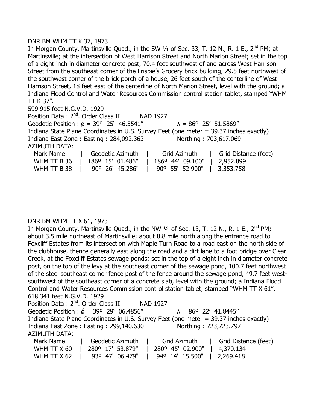#### DNR BM WHM TT K 37, 1973

In Morgan County, Martinsville Quad., in the SW 1/4 of Sec. 33, T. 12 N., R. 1 E., 2<sup>nd</sup> PM; at Martinsville; at the intersection of West Harrison Street and North Marion Street; set in the top of a eight inch in diameter concrete post, 70.4 feet southwest of and across West Harrison Street from the southeast corner of the Frisbie's Grocery brick building, 29.5 feet northwest of the southwest corner of the brick porch of a house, 26 feet south of the centerline of West Harrison Street, 18 feet east of the centerline of North Marion Street, level with the ground; a Indiana Flood Control and Water Resources Commission control station tablet, stamped "WHM TT K 37".

599.915 feet N.G.V.D. 1929

Position Data: 2<sup>nd</sup>. Order Class II NAD 1927 Geodetic Position :  $\acute{\theta}$  = 39° 25' 46.5541"  $\lambda$  = 86° 25' 51.5869" Indiana State Plane Coordinates in U.S. Survey Feet (one meter = 39.37 inches exactly) Indiana East Zone : Easting : 284,092.363 Northing : 703,617.069 AZIMUTH DATA: Mark Name | Geodetic Azimuth | Grid Azimuth | Grid Distance (feet) WHM TT B 36 | 186º 15' 01.486" | 186º 44' 09.100" | 2,952.099

| $100 - 100 - 100$ $100 - 100 - 100$ $100 - 100$ |  |                 |  |                 |           |
|-------------------------------------------------|--|-----------------|--|-----------------|-----------|
| WHM TT B 38                                     |  | 90° 26' 45.286" |  | 90° 55' 52.900" | 3,353.758 |

# DNR BM WHM TT X 61, 1973

In Morgan County, Martinsville Quad., in the NW  $\frac{1}{4}$  of Sec. 13, T. 12 N., R. 1 E., 2<sup>nd</sup> PM; about 3.5 mile northeast of Martinsville; about 0.8 mile north along the entrance road to Foxcliff Estates from its intersection with Maple Turn Road to a road east on the north side of the clubhouse, thence generally east along the road and a dirt lane to a foot bridge over Clear Creek, at the Foxcliff Estates sewage ponds; set in the top of a eight inch in diameter concrete post, on the top of the levy at the southeast corner of the sewage pond, 100.7 feet northwest of the steel southeast corner fence post of the fence around the sewage pond, 49.7 feet westsouthwest of the southeast corner of a concrete slab, level with the ground; a Indiana Flood Control and Water Resources Commission control station tablet, stamped "WHM TT X 61". 618.341 feet N.G.V.D. 1929 Position Data: 2<sup>nd</sup>. Order Class II NAD 1927 Geodetic Position :  $\acute{\theta}$  = 39° 29' 06.4856"  $\lambda$  = 86° 22' 41.8445" Indiana State Plane Coordinates in U.S. Survey Feet (one meter = 39.37 inches exactly) Indiana East Zone : Easting : 299,140.630 Northing : 723,723.797 AZIMUTH DATA: Mark Name | Geodetic Azimuth | Grid Azimuth | Grid Distance (feet) WHM TT X 60 | 280° 17' 53.879" | 280° 45' 02.900" | 4,370.134

WHM TT X 62 | 93º 47' 06.479" | 94º 14' 15.500" | 2,269.418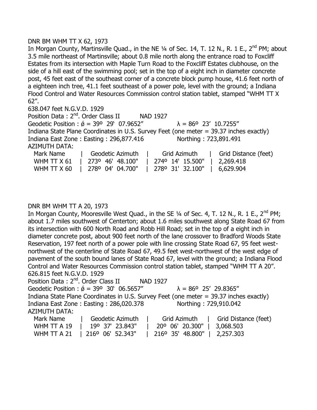# DNR BM WHM TT X 62, 1973

In Morgan County, Martinsville Quad., in the NE 1/4 of Sec. 14, T. 12 N., R. 1 E., 2<sup>nd</sup> PM; about 3.5 mile northeast of Martinsville; about 0.8 mile north along the entrance road to Foxcliff Estates from its intersection with Maple Turn Road to the Foxcliff Estates clubhouse, on the side of a hill east of the swimming pool; set in the top of a eight inch in diameter concrete post, 45 feet east of the southeast corner of a concrete block pump house, 41.6 feet north of a eighteen inch tree, 41.1 feet southeast of a power pole, level with the ground; a Indiana Flood Control and Water Resources Commission control station tablet, stamped "WHM TT X 62".

638.047 feet N.G.V.D. 1929

Position Data: 2<sup>nd</sup>. Order Class II NAD 1927 Geodetic Position :  $\acute{\theta}$  = 39° 29' 07.9652"  $\lambda$  = 86° 23' 10.7255" Indiana State Plane Coordinates in U.S. Survey Feet (one meter = 39.37 inches exactly) Indiana East Zone: Easting: 296,877.416 Northing: 723,891.491 AZIMUTH DATA: Mark Name | Geodetic Azimuth | Grid Azimuth | Grid Distance (feet)

| WHM TT X 61   2730 46' 48.100"   2740 14' 15.500"   2,269.418 |  |
|---------------------------------------------------------------|--|
| WHM TT X 60   278° 04' 04.700"   278° 31' 32.100"   6,629.904 |  |

#### DNR BM WHM TT A 20, 1973

In Morgan County, Mooresville West Quad., in the SE 1/4 of Sec. 4, T. 12 N., R. 1 E., 2<sup>nd</sup> PM: about 1.7 miles southwest of Centerton; about 1.6 miles southwest along State Road 67 from its intersection with 600 North Road and Robb Hill Road; set in the top of a eight inch in diameter concrete post, about 900 feet north of the lane crossover to Bradford Woods State Reservation, 197 feet north of a power pole with line crossing State Road 67, 95 feet westnorthwest of the centerline of State Road 67, 49.5 feet west-northwest of the west edge of pavement of the south bound lanes of State Road 67, level with the ground; a Indiana Flood Control and Water Resources Commission control station tablet, stamped "WHM TT A 20". 626.815 feet N.G.V.D. 1929

Position Data : 2<sup>nd</sup>. Order Class II NAD 1927 Geodetic Position :  $\acute{\theta}$  = 39° 30' 06.5657"  $\lambda$  = 86° 25' 29.8365" Indiana State Plane Coordinates in U.S. Survey Feet (one meter = 39.37 inches exactly) Indiana East Zone : Easting : 286,020.378 Northing : 729,910.042 AZIMUTH DATA: Mark Name | Geodetic Azimuth | Grid Azimuth | Grid Distance (feet) WHM TT A 19 | 19º 37' 23.843" | 20º 06' 20.300" | 3,068.503

|  | WHM TT A 21   216° 06' 52.343"   216° 35' 48.800"   2,257.303 |  |
|--|---------------------------------------------------------------|--|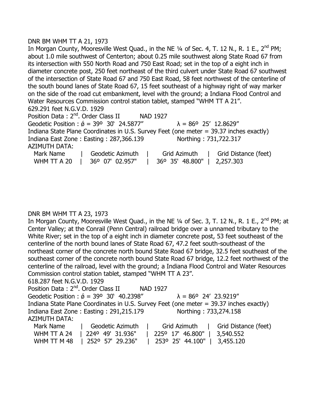#### DNR BM WHM TT A 21, 1973

In Morgan County, Mooresville West Quad., in the NE  $\frac{1}{4}$  of Sec. 4, T. 12 N., R. 1 E., 2<sup>nd</sup> PM; about 1.0 mile southwest of Centerton; about 0.25 mile southwest along State Road 67 from its intersection with 550 North Road and 750 East Road; set in the top of a eight inch in diameter concrete post, 250 feet northeast of the third culvert under State Road 67 southwest of the intersection of State Road 67 and 750 East Road, 58 feet northwest of the centerline of the south bound lanes of State Road 67, 15 feet southeast of a highway right of way marker on the side of the road cut embankment, level with the ground; a Indiana Flood Control and Water Resources Commission control station tablet, stamped "WHM TT A 21". 629.291 feet N.G.V.D. 1929 Position Data: 2<sup>nd</sup>. Order Class II NAD 1927

Geodetic Position :  $\acute{\theta}$  = 39° 30' 24.5877"  $\lambda$  = 86° 25' 12.8629" Indiana State Plane Coordinates in U.S. Survey Feet (one meter = 39.37 inches exactly) Indiana East Zone : Easting : 287,366.139 Northing : 731,722.317 AZIMUTH DATA: Mark Name | Geodetic Azimuth | Grid Azimuth | Grid Distance (feet)

WHM TT A 20 | 36º 07' 02.957" | 36º 35' 48.800" | 2,257.303

# DNR BM WHM TT A 23, 1973

In Morgan County, Mooresville West Quad., in the NE 1/4 of Sec. 3, T. 12 N., R. 1 E., 2<sup>nd</sup> PM; at Center Valley; at the Conrail (Penn Central) railroad bridge over a unnamed tributary to the White River; set in the top of a eight inch in diameter concrete post, 53 feet southeast of the centerline of the north bound lanes of State Road 67, 47.2 feet south-southeast of the northeast corner of the concrete north bound State Road 67 bridge, 32.5 feet southeast of the southeast corner of the concrete north bound State Road 67 bridge, 12.2 feet northwest of the centerline of the railroad, level with the ground; a Indiana Flood Control and Water Resources Commission control station tablet, stamped "WHM TT A 23".

#### 618.287 feet N.G.V.D. 1929

Position Data: 2<sup>nd</sup>. Order Class II NAD 1927 Geodetic Position :  $\acute{\theta}$  = 39° 30' 40.2398"  $\lambda$  = 86° 24' 23.9219" Indiana State Plane Coordinates in U.S. Survey Feet (one meter = 39.37 inches exactly) Indiana East Zone : Easting : 291,215.179 Northing : 733,274.158 AZIMUTH DATA: Mark Name | Geodetic Azimuth | Grid Azimuth | Grid Distance (feet) WHM TT A 24 | 224º 49' 31.936" | 225º 17' 46.800" | 3,540.552

WHM TT M 48 | 252º 57' 29.236" | 253º 25' 44.100" | 3,455.120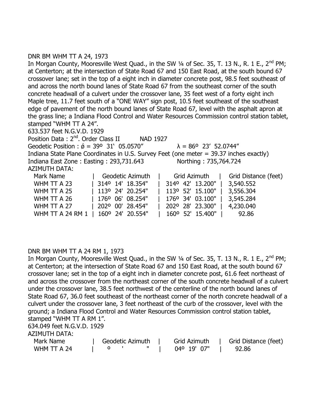# DNR BM WHM TT A 24, 1973

In Morgan County, Mooresville West Quad., in the SW  $\frac{1}{4}$  of Sec. 35, T. 13 N., R. 1 E., 2<sup>nd</sup> PM; at Centerton; at the intersection of State Road 67 and 150 East Road, at the south bound 67 crossover lane; set in the top of a eight inch in diameter concrete post, 98.5 feet southeast of and across the north bound lanes of State Road 67 from the southeast corner of the south concrete headwall of a culvert under the crossover lane, 35 feet west of a forty eight inch Maple tree, 11.7 feet south of a "ONE WAY" sign post, 10.5 feet southeast of the southeast edge of pavement of the north bound lanes of State Road 67, level with the asphalt apron at the grass line; a Indiana Flood Control and Water Resources Commission control station tablet, stamped "WHM TT A 24".

633.537 feet N.G.V.D. 1929 Position Data: 2<sup>nd</sup>. Order Class II NAD 1927 Geodetic Position :  $\acute{\theta}$  = 39° 31' 05.0570"  $\lambda$  = 86° 23' 52.0744" Indiana State Plane Coordinates in U.S. Survey Feet (one meter = 39.37 inches exactly) Indiana East Zone : Easting : 293,731.643 Northing : 735,764.724 AZIMUTH DATA: Mark Name The Geodetic Azimuth | Grid Azimuth | Grid Distance (feet) WHM TT A 23 | 314º 14' 18.354" | 314º 42' 13.200" | 3,540.552 WHM TT A 25 | 113º 24' 20.254" | 113º 52' 15.100" | 3,556.304 WHM TT A 26 | 176º 06' 08.254" | 176º 34' 03.100" | 3,545.284 WHM TT A 27 | 202º 00' 28.454" | 202º 28' 23.300" | 4,230.040 WHM TT A 24 RM 1 | 160º 24' 20.554" | 160º 52' 15.400" | 92.86

# DNR BM WHM TT A 24 RM 1, 1973

In Morgan County, Mooresville West Quad., in the SW  $\frac{1}{4}$  of Sec. 35, T. 13 N., R. 1 E., 2<sup>nd</sup> PM; at Centerton; at the intersection of State Road 67 and 150 East Road, at the south bound 67 crossover lane; set in the top of a eight inch in diameter concrete post, 61.6 feet northeast of and across the crossover from the northeast corner of the south concrete headwall of a culvert under the crossover lane, 38.5 feet northwest of the centerline of the north bound lanes of State Road 67, 36.0 feet southeast of the northeast corner of the north concrete headwall of a culvert under the crossover lane, 3 feet northeast of the curb of the crossover, level with the ground; a Indiana Flood Control and Water Resources Commission control station tablet, stamped "WHM TT A RM 1".

634.049 feet N.G.V.D. 1929

AZIMUTH DATA:

| Mark Name   |  | Geodetic Azimuth |  | Grid Azimuth | Grid Distance (feet) |
|-------------|--|------------------|--|--------------|----------------------|
| WHM TT A 24 |  |                  |  | 04° 19' 07"  | 92.86                |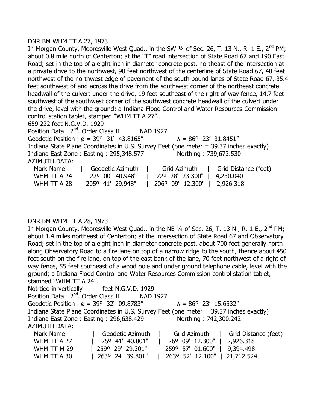#### DNR BM WHM TT A 27, 1973

In Morgan County, Mooresville West Quad., in the SW 1/4 of Sec. 26, T. 13 N., R. 1 E., 2<sup>nd</sup> PM; about 0.8 mile north of Centerton; at the "T" road intersection of State Road 67 and 190 East Road; set in the top of a eight inch in diameter concrete post, northeast of the intersection at a private drive to the northwest, 90 feet northwest of the centerline of State Road 67, 40 feet northwest of the northwest edge of pavement of the south bound lanes of State Road 67, 35.4 feet southwest of and across the drive from the southwest corner of the northeast concrete headwall of the culvert under the drive, 19 feet southeast of the right of way fence, 14.7 feet southwest of the southwest corner of the southwest concrete headwall of the culvert under the drive, level with the ground; a Indiana Flood Control and Water Resources Commission control station tablet, stamped "WHM TT A 27".

659.222 feet N.G.V.D. 1929

Position Data: 2<sup>nd</sup>. Order Class II NAD 1927 Geodetic Position :  $\acute{\theta}$  = 39° 31' 43.8165"  $\lambda$  = 86° 23' 31.8451" Indiana State Plane Coordinates in U.S. Survey Feet (one meter = 39.37 inches exactly) Indiana East Zone : Easting : 295,348.577 Northing : 739,673.530 AZIMUTH DATA: Mark Name | Geodetic Azimuth | Grid Azimuth | Grid Distance (feet) WHM TT A 24 | 22º 00' 40.948" | 22º 28' 23.300" | 4,230.040 WHM TT A 28 | 205° 41' 29.948" | 206° 09' 12.300" | 2,926.318

# DNR BM WHM TT A 28, 1973

In Morgan County, Mooresville West Quad., in the NE  $\frac{1}{4}$  of Sec. 26, T. 13 N., R. 1 E., 2<sup>nd</sup> PM; about 1.4 miles northeast of Centerton; at the intersection of State Road 67 and Observatory Road; set in the top of a eight inch in diameter concrete post, about 700 feet generally north along Observatory Road to a fire lane on top of a narrow ridge to the south, thence about 450 feet south on the fire lane, on top of the east bank of the lane, 70 feet northwest of a right of way fence, 55 feet southeast of a wood pole and under ground telephone cable, level with the ground; a Indiana Flood Control and Water Resources Commission control station tablet, stamped "WHM TT A 24".

|                      | Not tied in vertically feet N.G.V.D. 1929                                              |                                     |                      |
|----------------------|----------------------------------------------------------------------------------------|-------------------------------------|----------------------|
|                      | Position Data: 2 <sup>nd</sup> . Order Class II NAD 1927                               |                                     |                      |
|                      | Geodetic Position : $\acute{\phi}$ = 39° 32' 09.8783"                                  | $\lambda = 86^{\circ}$ 23' 15.6532" |                      |
|                      | Indiana State Plane Coordinates in U.S. Survey Feet (one meter = 39.37 inches exactly) |                                     |                      |
|                      | Indiana East Zone: Easting: 296,638.429                                                | Northing: 742,300.242               |                      |
| <b>AZIMUTH DATA:</b> |                                                                                        |                                     |                      |
| Mark Name            | Geodetic Azimuth                                                                       | Grid Azimuth                        | Grid Distance (feet) |
| WHM TT A 27          | 25° 41' 40.001"                                                                        | 26° 09' 12.300"                     | 2,926.318            |
| WHM TT M 29          | 259° 29' 29.301"                                                                       | 259° 57' 01.600"                    | 9,394.498            |

WHM TT A 30 | 263º 24' 39.801" | 263º 52' 12.100" | 21,712.524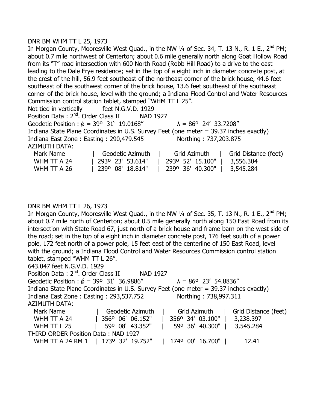#### DNR BM WHM TT L 25, 1973

In Morgan County, Mooresville West Quad., in the NW  $\frac{1}{4}$  of Sec. 34, T. 13 N., R. 1 E., 2<sup>nd</sup> PM; about 0.7 mile northwest of Centerton; about 0.6 mile generally north along Goat Hollow Road from its "T" road intersection with 600 North Road (Robb Hill Road) to a drive to the east leading to the Dale Frye residence; set in the top of a eight inch in diameter concrete post, at the crest of the hill, 56.9 feet southeast of the northeast corner of the brick house, 44.6 feet southeast of the southwest corner of the brick house, 13.6 feet southeast of the southeast corner of the brick house, level with the ground; a Indiana Flood Control and Water Resources Commission control station tablet, stamped "WHM TT L 25". Not tied in vertically feet N.G.V.D. 1929 Position Data: 2<sup>nd</sup>. Order Class II NAD 1927 Geodetic Position :  $\acute{\theta}$  = 39° 31' 19.0168"  $\lambda$  = 86° 24' 33.7208" Indiana State Plane Coordinates in U.S. Survey Feet (one meter = 39.37 inches exactly) Indiana East Zone : Easting : 290,479.545 Northing : 737,203.875 AZIMUTH DATA: Mark Name The Geodetic Azimuth | Grid Azimuth | Grid Distance (feet) WHM TT A 24 | 293º 23' 53.614" | 293º 52' 15.100" | 3,556.304

WHM TT A 26 | 239º 08' 18.814" | 239º 36' 40.300" | 3,545.284

#### DNR BM WHM TT L 26, 1973

In Morgan County, Mooresville West Quad., in the NW  $\frac{1}{4}$  of Sec. 35, T. 13 N., R. 1 E., 2<sup>nd</sup> PM; about 0.7 mile north of Centerton; about 0.5 mile generally north along 150 East Road from its intersection with State Road 67, just north of a brick house and frame barn on the west side of the road; set in the top of a eight inch in diameter concrete post, 176 feet south of a power pole, 172 feet north of a power pole, 15 feet east of the centerline of 150 East Road, level with the ground; a Indiana Flood Control and Water Resources Commission control station tablet, stamped "WHM TT L 26".

643.047 feet N.G.V.D. 1929

Position Data : 2<sup>nd</sup>. Order Class II NAD 1927 Geodetic Position :  $\acute{\phi}$  = 39° 31' 36.9886"  $\lambda$  = 86° 23' 54.8836" Indiana State Plane Coordinates in U.S. Survey Feet (one meter = 39.37 inches exactly) Indiana East Zone : Easting : 293,537.752 Northing : 738,997.311 AZIMUTH DATA: Mark Name | Geodetic Azimuth | Grid Azimuth | Grid Distance (feet) WHM TT A 24 | 356<sup>o</sup> 06' 06.152" | 356<sup>o</sup> 34' 03.100" | 3,238.397 WHM TT L 25 | 59º 08' 43.352" | 59º 36' 40.300" | 3,545.284 THIRD ORDER Position Data : NAD 1927 WHM TT A 24 RM 1 | 173º 32' 19.752" | 174º 00' 16.700" | 12.41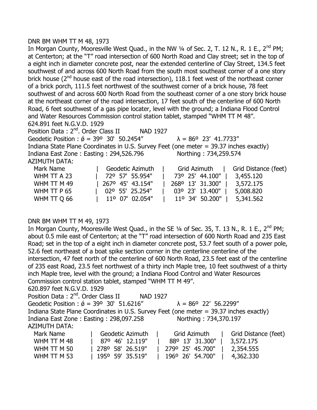#### DNR BM WHM TT M 48, 1973

In Morgan County, Mooresville West Quad., in the NW  $\frac{1}{4}$  of Sec. 2, T. 12 N., R. 1 E., 2<sup>nd</sup> PM; at Centerton; at the "T" road intersection of 600 North Road and Clay street; set in the top of a eight inch in diameter concrete post, near the extended centerline of Clay Street, 134.5 feet southwest of and across 600 North Road from the south most southeast corner of a one story brick house ( $2<sup>nd</sup>$  house east of the road intersection), 118.1 feet west of the northeast corner of a brick porch, 111.5 feet northwest of the southwest corner of a brick house, 78 feet southwest of and across 600 North Road from the southeast corner of a one story brick house at the northeast corner of the road intersection, 17 feet south of the centerline of 600 North Road, 6 feet southwest of a gas pipe locater, level with the ground; a Indiana Flood Control and Water Resources Commission control station tablet, stamped "WHM TT M 48". 624.891 feet N.G.V.D. 1929 Position Data: 2<sup>nd</sup>. Order Class II NAD 1927 Geodetic Position :  $\acute{\sigma}$  = 39° 30' 50.2454"  $\lambda$  = 86° 23' 41.7733" Indiana State Plane Coordinates in U.S. Survey Feet (one meter = 39.37 inches exactly) Indiana East Zone : Easting : 294,526.796 Northing : 734,259.574 AZIMUTH DATA:

| Mark Name   | Geodetic Azimuth             | Grid Azimuth     | Grid Distance (feet) |
|-------------|------------------------------|------------------|----------------------|
| WHM TT A 23 | 72° 57' 55.954"              | 73° 25' 44.100"  | 3,455.120            |
| WHM TT M 49 | $\parallel$ 267° 45' 43.154" | 268° 13′ 31.300″ | 3,572.175            |
| WHM TT P 65 | 02° 55' 25.254"              | 03° 23' 13.400"  | 5,008.820            |
| WHM TT Q 66 | 11° 07' 02.054"              | 11° 34' 50.200"  | 5,341.562            |

# DNR BM WHM TT M 49, 1973

In Morgan County, Mooresville West Quad., in the SE  $\frac{1}{4}$  of Sec. 35, T. 13 N., R. 1 E., 2<sup>nd</sup> PM; about 0.5 mile east of Centerton; at the "T" road intersection of 600 North Road and 235 East Road; set in the top of a eight inch in diameter concrete post, 53.7 feet south of a power pole, 52.6 feet northeast of a boat spike section corner in the centerline centerline of the intersection, 47 feet north of the centerline of 600 North Road, 23.5 feet east of the centerline of 235 east Road, 23.5 feet northwest of a thirty inch Maple tree, 10 feet southwest of a thirty inch Maple tree, level with the ground; a Indiana Flood Control and Water Resources Commission control station tablet, stamped "WHM TT M 49". 620.897 feet N.G.V.D. 1929

| Position Data: 2 <sup>nd</sup> . Order Class II                                        |                  | <b>NAD 1927</b>  |                                     |                      |
|----------------------------------------------------------------------------------------|------------------|------------------|-------------------------------------|----------------------|
| Geodetic Position : $\acute{\phi}$ = 39° 30' 51.6216"                                  |                  |                  | $\lambda = 86^{\circ}$ 22' 56.2299" |                      |
| Indiana State Plane Coordinates in U.S. Survey Feet (one meter = 39.37 inches exactly) |                  |                  |                                     |                      |
| Indiana East Zone: Easting: 298,097.258                                                |                  |                  | Northing: 734,370.197               |                      |
| <b>AZIMUTH DATA:</b>                                                                   |                  |                  |                                     |                      |
| Mark Name                                                                              | Geodetic Azimuth |                  | Grid Azimuth                        | Grid Distance (feet) |
| WHM TT M 48                                                                            | 87º 46' 12.119"  |                  | 88° 13' 31.300"                     | 3,572.175            |
| WHM TT M 50                                                                            | 278° 58' 26.519" | 279° 25' 45.700" |                                     | 2,354.555            |

WHM TT M 53 | 1950 59' 35.519" | 1960 26' 54.700" | 4,362.330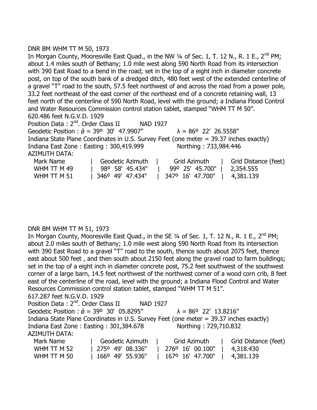# DNR BM WHM TT M 50, 1973

|                                                                                               |                  | In Morgan County, Mooresville East Quad., in the NW $\frac{1}{4}$ of Sec. 1, T. 12 N., R. 1 E., 2 <sup>nd</sup> PM; |                      |  |  |  |  |  |
|-----------------------------------------------------------------------------------------------|------------------|---------------------------------------------------------------------------------------------------------------------|----------------------|--|--|--|--|--|
| about 1.4 miles south of Bethany; 1.0 mile west along 590 North Road from its intersection    |                  |                                                                                                                     |                      |  |  |  |  |  |
| with 390 East Road to a bend in the road; set in the top of a eight inch in diameter concrete |                  |                                                                                                                     |                      |  |  |  |  |  |
|                                                                                               |                  | post, on top of the south bank of a dredged ditch, 480 feet west of the extended centerline of                      |                      |  |  |  |  |  |
|                                                                                               |                  | a gravel "T" road to the south, 57.5 feet northwest of and across the road from a power pole,                       |                      |  |  |  |  |  |
|                                                                                               |                  | 33.2 feet northeast of the east corner of the northeast end of a concrete retaining wall, 13                        |                      |  |  |  |  |  |
|                                                                                               |                  | feet north of the centerline of 590 North Road, level with the ground; a Indiana Flood Control                      |                      |  |  |  |  |  |
|                                                                                               |                  | and Water Resources Commission control station tablet, stamped "WHM TT M 50".                                       |                      |  |  |  |  |  |
| 620.486 feet N.G.V.D. 1929                                                                    |                  |                                                                                                                     |                      |  |  |  |  |  |
| Position Data: 2 <sup>nd</sup> , Order Class II                                               | <b>NAD 1927</b>  |                                                                                                                     |                      |  |  |  |  |  |
| Geodetic Position : $\acute{\phi}$ = 39° 30' 47.9907"                                         |                  | $\lambda = 86^{\circ}$ 22' 26.5558"                                                                                 |                      |  |  |  |  |  |
|                                                                                               |                  | Indiana State Plane Coordinates in U.S. Survey Feet (one meter = 39.37 inches exactly)                              |                      |  |  |  |  |  |
| Indiana East Zone: Easting: 300,419.999                                                       |                  | Northing: 733,984.446                                                                                               |                      |  |  |  |  |  |
| <b>AZIMUTH DATA:</b>                                                                          |                  |                                                                                                                     |                      |  |  |  |  |  |
| Mark Name                                                                                     | Geodetic Azimuth | Grid Azimuth                                                                                                        | Grid Distance (feet) |  |  |  |  |  |
| WHM TT M 49                                                                                   | 98° 58' 45.434"  | 99º 25' 45.700"                                                                                                     | 2,354.555            |  |  |  |  |  |
| WHM TT M 51                                                                                   | 3460 49' 47.434" | 347° 16' 47.700"                                                                                                    | 4,381.139            |  |  |  |  |  |

#### DNR BM WHM TT M 51, 1973

In Morgan County, Mooresville East Quad., in the SE  $\frac{1}{4}$  of Sec. 1, T. 12 N., R. 1 E., 2<sup>nd</sup> PM; about 2.0 miles south of Bethany; 1.0 mile west along 590 North Road from its intersection with 390 East Road to a gravel "T" road to the south, thence south about 2075 feet, thence east about 500 feet , and then south about 2150 feet along the gravel road to farm buildings; set in the top of a eight inch in diameter concrete post, 75.2 feet southwest of the southwest corner of a large barn, 14.5 feet northwest of the northwest corner of a wood corn crib, 8 feet east of the centerline of the road, level with the ground; a Indiana Flood Control and Water Resources Commission control station tablet, stamped "WHM TT M 51".

```
617.287 feet N.G.V.D. 1929
```

| Position Data: 2 <sup>nd</sup> . Order Class II                                        |                  | <b>NAD 1927</b> |  |                                     |                      |  |
|----------------------------------------------------------------------------------------|------------------|-----------------|--|-------------------------------------|----------------------|--|
| Geodetic Position : $\acute{\phi}$ = 39° 30' 05.8295"                                  |                  |                 |  | $\lambda = 86^{\circ}$ 22' 13.8216" |                      |  |
| Indiana State Plane Coordinates in U.S. Survey Feet (one meter = 39.37 inches exactly) |                  |                 |  |                                     |                      |  |
| Indiana East Zone: Easting: 301,384.678                                                |                  |                 |  | Northing: 729,710.832               |                      |  |
| <b>AZIMUTH DATA:</b>                                                                   |                  |                 |  |                                     |                      |  |
| Mark Name                                                                              | Geodetic Azimuth |                 |  | Grid Azimuth                        | Grid Distance (feet) |  |
| WHM TT M 52                                                                            | 275° 49' 08.336" |                 |  | 276° 16' 00.100"                    | 4,318.430            |  |
| WHM TT M 50                                                                            | 1660 49' 55.936" |                 |  | 167º 16' 47.700"                    | 4,381.139            |  |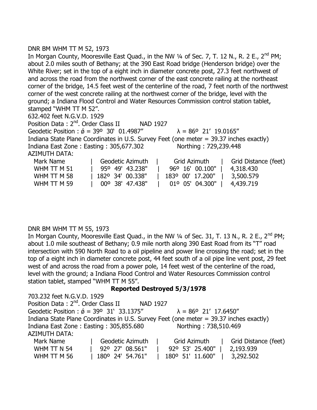# DNR BM WHM TT M 52, 1973

In Morgan County, Mooresville East Quad., in the NW  $\frac{1}{4}$  of Sec. 7, T. 12 N., R. 2 E., 2<sup>nd</sup> PM; about 2.0 miles south of Bethany; at the 390 East Road bridge (Henderson bridge) over the White River; set in the top of a eight inch in diameter concrete post, 27.3 feet northwest of and across the road from the northwest corner of the east concrete railing at the northeast corner of the bridge, 14.5 feet west of the centerline of the road, 7 feet north of the northwest corner of the west concrete railing at the northwest corner of the bridge, level with the ground; a Indiana Flood Control and Water Resources Commission control station tablet, stamped "WHM TT M 52". 632.402 feet N.G.V.D. 1929 Position Data: 2<sup>nd</sup>. Order Class II NAD 1927 Geodetic Position :  $\acute{\sigma}$  = 39° 30' 01.4987"  $\lambda$  = 86° 21' 19.0165" Indiana State Plane Coordinates in U.S. Survey Feet (one meter = 39.37 inches exactly) Indiana East Zone : Easting : 305,677.302 Northing : 729,239.448 AZIMUTH DATA: Mark Name Table Geodetic Azimuth | Grid Azimuth | Grid Distance (feet) WHM TT M 51 | 95º 49' 43.238" | 96º 16' 00.100" | 4,318.430 WHM TT M 58 | 182º 34' 00.338" | 183º 00' 17.200" | 3,500.579 WHM TT M 59 | 00º 38' 47.438" | 01º 05' 04.300" | 4,439.719

# DNR BM WHM TT M 55, 1973

In Morgan County, Mooresville East Quad., in the NW  $\frac{1}{4}$  of Sec. 31, T. 13 N., R. 2 E., 2<sup>nd</sup> PM; about 1.0 mile southeast of Bethany; 0.9 mile north along 390 East Road from its "T" road intersection with 590 North Road to a oil pipeline and power line crossing the road; set in the top of a eight inch in diameter concrete post, 44 feet south of a oil pipe line vent post, 29 feet west of and across the road from a power pole, 14 feet west of the centerline of the road, level with the ground; a Indiana Flood Control and Water Resources Commission control station tablet, stamped "WHM TT M 55".

# **Reported Destroyed 5/3/1978**

| 703.232 feet N.G.V.D. 1929                      |                                                       |                                                                                        |                      |
|-------------------------------------------------|-------------------------------------------------------|----------------------------------------------------------------------------------------|----------------------|
| Position Data: 2 <sup>nd</sup> . Order Class II |                                                       | NAD 1927                                                                               |                      |
|                                                 | Geodetic Position : $\acute{\phi}$ = 39° 31' 33.1375" | $\lambda = 86^{\circ}$ 21' 17.6450"                                                    |                      |
|                                                 |                                                       | Indiana State Plane Coordinates in U.S. Survey Feet (one meter = 39.37 inches exactly) |                      |
|                                                 | Indiana East Zone: Easting: 305,855.680               | Northing: 738,510.469                                                                  |                      |
| AZIMUTH DATA:                                   |                                                       |                                                                                        |                      |
| Mark Name                                       | Geodetic Azimuth                                      | Grid Azimuth                                                                           | Grid Distance (feet) |
| WHM TT N 54                                     | 92° 27' 08.561"                                       | 92º 53' 25.400"                                                                        | 2,193.939            |
| WHM TT M 56                                     | 180° 24' 54.761"                                      | 180° 51' 11.600"                                                                       | 3,292.502            |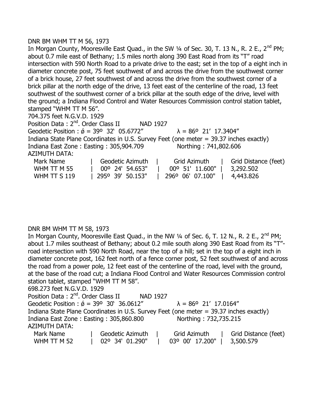# DNR BM WHM TT M 56, 1973

In Morgan County, Mooresville East Quad., in the SW  $\frac{1}{4}$  of Sec. 30, T. 13 N., R. 2 E., 2<sup>nd</sup> PM; about 0.7 mile east of Bethany; 1.5 miles north along 390 East Road from its "T" road intersection with 590 North Road to a private drive to the east; set in the top of a eight inch in diameter concrete post, 75 feet southwest of and across the drive from the southwest corner of a brick house, 27 feet southwest of and across the drive from the southwest corner of a brick pillar at the north edge of the drive, 13 feet east of the centerline of the road, 13 feet southwest of the southwest corner of a brick pillar at the south edge of the drive, level with the ground; a Indiana Flood Control and Water Resources Commission control station tablet, stamped "WHM TT M 56".

704.375 feet N.G.V.D. 1929

Position Data: 2<sup>nd</sup>. Order Class II NAD 1927 Geodetic Position :  $\acute{\sigma}$  = 39° 32' 05.6772"  $\lambda$  = 86° 21' 17.3404" Indiana State Plane Coordinates in U.S. Survey Feet (one meter = 39.37 inches exactly) Indiana East Zone : Easting : 305,904.709 Northing : 741,802.606 AZIMUTH DATA: Mark Name | Geodetic Azimuth | Grid Azimuth | Grid Distance (feet) WHM TT M 55 | 00º 24' 54.653" | 00º 51' 11.600" | 3,292.502

WHM TT S 119 | 295° 39' 50.153" | 296° 06' 07.100" | 4,443.826

# DNR BM WHM TT M 58, 1973

In Morgan County, Mooresville East Quad., in the NW 1/4 of Sec. 6, T. 12 N., R. 2 E., 2<sup>nd</sup> PM: about 1.7 miles southeast of Bethany; about 0.2 mile south along 390 East Road from its "T" road intersection with 590 North Road, near the top of a hill; set in the top of a eight inch in diameter concrete post, 162 feet north of a fence corner post, 52 feet southwest of and across the road from a power pole, 12 feet east of the centerline of the road, level with the ground, at the base of the road cut; a Indiana Flood Control and Water Resources Commission control station tablet, stamped "WHM TT M 58".

698.273 feet N.G.V.D. 1929

| Position Data: 2 <sup>nd</sup> . Order Class II                                        |                  | NAD 1927 |                                     |                      |
|----------------------------------------------------------------------------------------|------------------|----------|-------------------------------------|----------------------|
| Geodetic Position : $\acute{\phi}$ = 39° 30' 36.0612"                                  |                  |          | $\lambda = 86^{\circ}$ 21' 17.0164" |                      |
| Indiana State Plane Coordinates in U.S. Survey Feet (one meter = 39.37 inches exactly) |                  |          |                                     |                      |
| Indiana East Zone: Easting: 305,860.800                                                |                  |          | Northing: 732,735.215               |                      |
| AZIMUTH DATA:                                                                          |                  |          |                                     |                      |
| Mark Name                                                                              | Geodetic Azimuth |          | Grid Azimuth                        | Grid Distance (feet) |
| WHM TT M 52                                                                            | 02° 34' 01.290"  |          | 03° 00' 17.200"                     | 3,500.579            |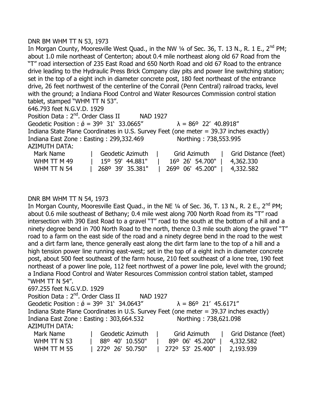#### DNR BM WHM TT N 53, 1973

In Morgan County, Mooresville West Quad., in the NW  $\frac{1}{4}$  of Sec. 36, T. 13 N., R. 1 E., 2<sup>nd</sup> PM; about 1.0 mile northeast of Centerton; about 0.4 mile northeast along old 67 Road from the "T" road intersection of 235 East Road and 650 North Road and old 67 Road to the entrance drive leading to the Hydraulic Press Brick Company clay pits and power line switching station; set in the top of a eight inch in diameter concrete post, 180 feet northeast of the entrance drive, 26 feet northwest of the centerline of the Conrail (Penn Central) railroad tracks, level with the ground; a Indiana Flood Control and Water Resources Commission control station tablet, stamped "WHM TT N 53". 646.793 feet N.G.V.D. 1929 Position Data: 2<sup>nd</sup>. Order Class II NAD 1927 Geodetic Position :  $\acute{\theta}$  = 39° 31' 33.0665"  $\lambda$  = 86° 22' 40.8918" Indiana State Plane Coordinates in U.S. Survey Feet (one meter = 39.37 inches exactly) Indiana East Zone : Easting : 299,332.469 Northing : 738,553.995

AZIMUTH DATA:

| Mark Name   | Geodetic Azimuth         | Grid Azimuth                 | Grid Distance (feet) |
|-------------|--------------------------|------------------------------|----------------------|
| WHM TT M 49 | 15° 59′ 44.881″          | 16° 26′ 54.700″   4,362.330  |                      |
| WHM TT N 54 | $\vert$ 268° 39′ 35.381″ | 269° 06' 45.200"   4,332.582 |                      |

#### DNR BM WHM TT N 54, 1973

In Morgan County, Mooresville East Quad., in the NE 1/4 of Sec. 36, T. 13 N., R. 2 E., 2<sup>nd</sup> PM; about 0.6 mile southeast of Bethany; 0.4 mile west along 700 North Road from its "T" road intersection with 390 East Road to a gravel "T" road to the south at the bottom of a hill and a ninety degree bend in 700 North Road to the north, thence 0.3 mile south along the gravel "T" road to a farm on the east side of the road and a ninety degree bend in the road to the west and a dirt farm lane, thence generally east along the dirt farm lane to the top of a hill and a high tension power line running east-west; set in the top of a eight inch in diameter concrete post, about 500 feet southeast of the farm house, 210 feet southeast of a lone tree, 190 feet northeast of a power line pole, 112 feet northwest of a power line pole, level with the ground; a Indiana Flood Control and Water Resources Commission control station tablet, stamped "WHM TT N 54".

697.255 feet N.G.V.D. 1929

| Position Data: 2 <sup>nd</sup> . Order Class II                                        |                  | NAD 1927 |                                                                                |                      |
|----------------------------------------------------------------------------------------|------------------|----------|--------------------------------------------------------------------------------|----------------------|
| Geodetic Position : $\acute{\phi}$ = 39° 31′ 34.0643″                                  |                  |          | $\lambda = 86^{\circ}$ 21' 45.6171"                                            |                      |
| Indiana State Plane Coordinates in U.S. Survey Feet (one meter = 39.37 inches exactly) |                  |          |                                                                                |                      |
| Indiana East Zone: Easting: 303,664.532                                                |                  |          | Northing: 738,621.098                                                          |                      |
| AZIMUTH DATA:                                                                          |                  |          |                                                                                |                      |
| Mark Name                                                                              | Geodetic Azimuth |          | Grid Azimuth                                                                   | Grid Distance (feet) |
| MHM TT N 53                                                                            |                  |          | $RQQ$ $R$ <sup><math>1</math></sup> $4$ $5$ $2$ $RQ$ <sup><math>1</math></sup> | 4 332 582            |

| WHM TT N 53 | 88° 40' 10.550"    | 89° 06' 45.200"   4,332.582              |           |
|-------------|--------------------|------------------------------------------|-----------|
| WHM TT M 55 | l 272° 26' 50.750" | $\parallel$ 272° 53' 25.400" $\parallel$ | 2,193.939 |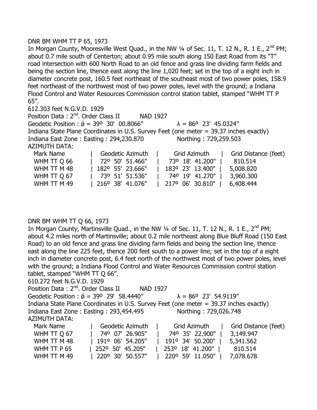#### DNR BM WHM TT P 65, 1973

In Morgan County, Mooresville West Quad., in the NW  $\frac{1}{4}$  of Sec. 11, T. 12 N., R. 1 E., 2<sup>nd</sup> PM; about 0.7 mile south of Centerton; about 0.95 mile south along 150 East Road from its "T" road intersection with 600 North Road to an old fence and grass line dividing farm fields and being the section line, thence east along the line 1,020 feet; set in the top of a eight inch in diameter concrete post, 160.5 feet northeast of the southeast most of two power poles, 158.9 feet northeast of the northwest most of two power poles, level with the ground; a Indiana Flood Control and Water Resources Commission control station tablet, stamped "WHM TT P 65".

612.303 feet N.G.V.D. 1929

Position Data: 2<sup>nd</sup>. Order Class II NAD 1927 Geodetic Position :  $\acute{\theta}$  = 39° 30' 00.8066"  $\lambda$  = 86° 23' 45.0324" Indiana State Plane Coordinates in U.S. Survey Feet (one meter = 39.37 inches exactly) Indiana East Zone : Easting : 294,230.870 Northing : 729,259.503 AZIMUTH DATA: Mark Name The Geodetic Azimuth | Grid Azimuth | Grid Distance (feet) WHM TT Q 66 | 72º 50' 51.466" | 73º 18' 41.200" | 810.514 WHM TT M 48 | 182º 55' 23.666" | 183º 23' 13.400" | 5,008.820 WHM TT Q 67 | 73º 51' 51.536" | 74º 19' 41.270" | 3,960.300

WHM TT M 49 | 216º 38' 41.076" | 217º 06' 30.810" | 6,408.444

# DNR BM WHM TT Q 66, 1973

In Morgan County, Martinsville Quad., in the NW  $\frac{1}{4}$  of Sec. 11, T. 12 N., R. 1 E., 2<sup>nd</sup> PM; about 4.2 miles north of Martinsville; about 0.2 mile northeast along Blue Bluff Road (150 East Road) to an old fence and grass line dividing farm fields and being the section line, thence east along the line 225 feet, thence 200 feet south to a power line; set in the top of a eight inch in diameter concrete post, 6.4 feet north of the northwest most of two power poles, level with the ground; a Indiana Flood Control and Water Resources Commission control station tablet, stamped "WHM TT Q 66".

# 610.272 feet N.G.V.D. 1929

Position Data: 2<sup>nd</sup>. Order Class II NAD 1927 Geodetic Position :  $\acute{\phi}$  = 39° 29' 58.4440"  $\lambda$  = 86° 23' 54.9119" Indiana State Plane Coordinates in U.S. Survey Feet (one meter = 39.37 inches exactly) Indiana East Zone : Easting : 293,454.495 Northing : 729,026.748 AZIMUTH DATA: Mark Name | Geodetic Azimuth | Grid Azimuth | Grid Distance (feet) WHM TT Q 67 | 74º 07' 26.905" | 74º 35' 22.900" | 3,149.947 WHM TT M 48 | 191º 06' 54.205" | 191º 34' 50.200" | 5,341.562 WHM TT P 65 | 252º 50' 45.205" | 253º 18' 41.200" | 810.514

WHM TT M 49 | 220° 30' 50.557" | 220° 59' 11.050" | 7,078.678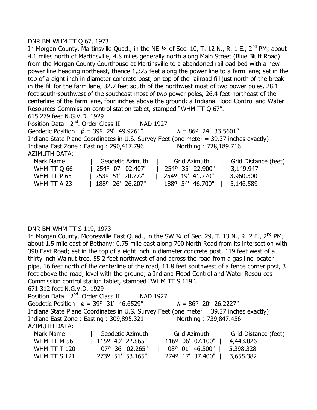#### DNR BM WHM TT Q 67, 1973

In Morgan County, Martinsville Quad., in the NE  $\frac{1}{4}$  of Sec. 10, T. 12 N., R. 1 E., 2<sup>nd</sup> PM; about 4.1 miles north of Martinsville; 4.8 miles generally north along Main Street (Blue Bluff Road) from the Morgan County Courthouse at Martinsville to a abandoned railroad bed with a new power line heading northeast, thence 1,325 feet along the power line to a farm lane; set in the top of a eight inch in diameter concrete post, on top of the railroad fill just north of the break in the fill for the farm lane, 32.7 feet south of the northwest most of two power poles, 28.1 feet south-southwest of the southeast most of two power poles, 26.4 feet northeast of the centerline of the farm lane, four inches above the ground; a Indiana Flood Control and Water Resources Commission control station tablet, stamped "WHM TT Q 67".

615.279 feet N.G.V.D. 1929

Position Data: 2<sup>nd</sup>. Order Class II NAD 1927 Geodetic Position :  $\acute{\theta}$  = 39° 29' 49.9261"  $\lambda$  = 86° 24' 33.5601" Indiana State Plane Coordinates in U.S. Survey Feet (one meter = 39.37 inches exactly) Indiana East Zone: Easting: 290,417.796 Northing: 728,189.716 AZIMUTH DATA: Mark Name The Geodetic Azimuth | Grid Azimuth | Grid Distance (feet)

| WHM TT Q 66 | 254° 07' 02.407"         | l 254° 35' 22.900"           | $\vert$ 3,149.947 |
|-------------|--------------------------|------------------------------|-------------------|
| WHM TT P 65 | $\perp$ 253° 51′ 20.777″ | 254° 19' 41.270"   3,960.300 |                   |
| WHM TT A 23 | l 188º 26' 26.207"       | 1889 54' 46.700"             | 5,146.589         |

# DNR BM WHM TT S 119, 1973

In Morgan County, Mooresville East Quad., in the SW  $\frac{1}{4}$  of Sec. 29, T. 13 N., R. 2 E., 2<sup>nd</sup> PM; about 1.5 mile east of Bethany; 0.75 mile east along 700 North Road from its intersection with 390 East Road; set in the top of a eight inch in diameter concrete post, 119 feet west of a thirty inch Walnut tree, 55.2 feet northwest of and across the road from a gas line locater pipe, 16 feet north of the centerline of the road, 11.8 feet southwest of a fence corner post, 3 feet above the road, level with the ground; a Indiana Flood Control and Water Resources Commission control station tablet, stamped "WHM TT S 119".

671.312 feet N.G.V.D. 1929

| Position Data : 2 <sup>nd</sup> . Order Class II                                       |                  | NAD 1927 |                                     |                      |
|----------------------------------------------------------------------------------------|------------------|----------|-------------------------------------|----------------------|
| Geodetic Position : $\acute{\phi}$ = 39° 31' 46.6529"                                  |                  |          | $\lambda = 86^{\circ}$ 20' 26.2227" |                      |
| Indiana State Plane Coordinates in U.S. Survey Feet (one meter = 39.37 inches exactly) |                  |          |                                     |                      |
| Indiana East Zone: Easting: 309,895.321                                                |                  |          | Northing: 739,847.456               |                      |
| AZIMUTH DATA:                                                                          |                  |          |                                     |                      |
| Mark Name                                                                              | Geodetic Azimuth |          | Grid Azimuth                        | Grid Distance (feet) |
| WHM TT M 56                                                                            | 115° 40' 22.865" |          | 116° 06' 07.100"                    | 4,443.826            |

| VVIII'I I I I'I JU | <u> טאט כדד, דו טטו טען טען דער כעט בא די נוד</u> |                                          |  |
|--------------------|---------------------------------------------------|------------------------------------------|--|
| WHM TT T $120$     | 07° 36' 02.265"   08° 01' 46.500"   5,398.328     |                                          |  |
| WHM TT S $121$     | $\perp$ 273° 51' 53.165"                          | 274 <sup>o</sup> 17' 37.400"   3,655.382 |  |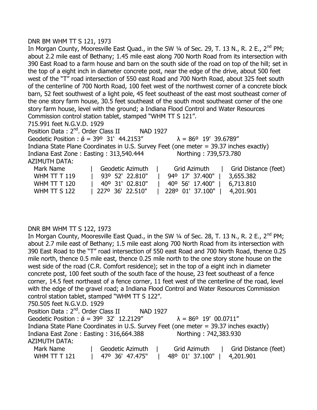#### DNR BM WHM TT S 121, 1973

In Morgan County, Mooresville East Quad., in the SW  $\frac{1}{4}$  of Sec. 29, T. 13 N., R. 2 E., 2<sup>nd</sup> PM; about 2.2 mile east of Bethany; 1.45 mile east along 700 North Road from its intersection with 390 East Road to a farm house and barn on the south side of the road on top of the hill; set in the top of a eight inch in diameter concrete post, near the edge of the drive, about 500 feet west of the "T" road intersection of 550 east Road and 700 North Road, about 325 feet south of the centerline of 700 North Road, 100 feet west of the northwest corner of a concrete block barn, 52 feet southwest of a light pole, 45 feet southeast of the east most southeast corner of the one story farm house, 30.5 feet southeast of the south most southeast corner of the one story farm house, level with the ground; a Indiana Flood Control and Water Resources Commission control station tablet, stamped "WHM TT S 121".

715.991 feet N.G.V.D. 1929

Position Data: 2<sup>nd</sup>. Order Class II NAD 1927 Geodetic Position :  $\acute{\theta}$  = 39° 31' 44.2153"  $\lambda$  = 86° 19' 39.6789" Indiana State Plane Coordinates in U.S. Survey Feet (one meter = 39.37 inches exactly) Indiana East Zone : Easting : 313,540.444 Northing : 739,573.780 AZIMUTH DATA: Mark Name Table Geodetic Azimuth | Grid Azimuth | Grid Distance (feet) WHM TT T 119 | 93º 52' 22.810" | 94º 17' 37.400" | 3,655.382 WHM TT T 120 | 40º 31' 02.810" | 40º 56' 17.400" | 6,713.810 WHM TT S 122 | 227º 36' 22.510" | 228º 01' 37.100" | 4,201.901

# DNR BM WHM TT S 122, 1973

In Morgan County, Mooresville East Quad., in the SW 1/4 of Sec. 28, T. 13 N., R. 2 E., 2<sup>nd</sup> PM: about 2.7 mile east of Bethany; 1.5 mile east along 700 North Road from its intersection with 390 East Road to the "T" road intersection of 550 east Road and 700 North Road, thence 0.25 mile north, thence 0.5 mile east, thence 0.25 mile north to the one story stone house on the west side of the road (C.R. Comfort residence); set in the top of a eight inch in diameter concrete post, 100 feet south of the south face of the house, 23 feet southeast of a fence corner, 14.5 feet northeast of a fence corner, 11 feet west of the centerline of the road, level with the edge of the gravel road; a Indiana Flood Control and Water Resources Commission control station tablet, stamped "WHM TT S 122". 750.505 feet N.G.V.D. 1929 Position Data: 2<sup>nd</sup>. Order Class II NAD 1927 Geodetic Position :  $\acute{\phi}$  = 39° 32' 12.2129"  $\lambda$  = 86° 19' 00.0711" Indiana State Plane Coordinates in U.S. Survey Feet (one meter = 39.37 inches exactly) Indiana East Zone : Easting : 316,664.388 Northing : 742,383.930 AZIMUTH DATA: Mark Name | Geodetic Azimuth | Grid Azimuth | Grid Distance (feet) WHM TT T 121 | 47º 36' 47.475" | 48º 01' 37.100" | 4,201.901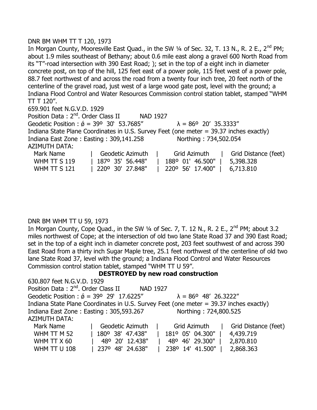# DNR BM WHM TT T 120, 1973

In Morgan County, Mooresville East Quad., in the SW  $\frac{1}{4}$  of Sec. 32, T. 13 N., R. 2 E., 2<sup>nd</sup> PM; about 1.9 miles southeast of Bethany; about 0.6 mile east along a gravel 600 North Road from its "T"-road intersection with 390 East Road; ); set in the top of a eight inch in diameter concrete post, on top of the hill, 125 feet east of a power pole, 115 feet west of a power pole, 88.7 feet northwest of and across the road from a twenty four inch tree, 20 feet north of the centerline of the gravel road, just west of a large wood gate post, level with the ground; a Indiana Flood Control and Water Resources Commission control station tablet, stamped "WHM TT T 120".

659.901 feet N.G.V.D. 1929

Position Data: 2<sup>nd</sup>. Order Class II NAD 1927 Geodetic Position :  $\acute{\theta}$  = 39° 30' 53.7685"  $\lambda$  = 86° 20' 35.3333" Indiana State Plane Coordinates in U.S. Survey Feet (one meter = 39.37 inches exactly) Indiana East Zone : Easting : 309,141.258 Northing : 734,502.054 AZIMUTH DATA: Mark Name The Geodetic Azimuth | Grid Azimuth | Grid Distance (feet)

| WHM TT $S$ 119 | 1870 35' 56.448"   1880 01' 46.500"   5,398.328 |  |
|----------------|-------------------------------------------------|--|
| WHM TT $S$ 121 | 220° 30' 27.848"   220° 56' 17.400"   6,713.810 |  |

# DNR BM WHM TT U 59, 1973

In Morgan County, Cope Quad., in the SW  $\frac{1}{4}$  of Sec. 7, T. 12 N., R. 2 E., 2<sup>nd</sup> PM; about 3.2 miles northwest of Cope; at the intersection of old two lane State Road 37 and 390 East Road; set in the top of a eight inch in diameter concrete post, 203 feet southwest of and across 390 East Road from a thirty inch Sugar Maple tree, 25.1 feet northwest of the centerline of old two lane State Road 37, level with the ground; a Indiana Flood Control and Water Resources Commission control station tablet, stamped "WHM TT U 59".

# **DESTROYED by new road construction**

| 630.807 feet N.G.V.D. 1929                            |                  |                                                                                        |                      |
|-------------------------------------------------------|------------------|----------------------------------------------------------------------------------------|----------------------|
| Position Data: 2 <sup>nd</sup> . Order Class II       | <b>NAD 1927</b>  |                                                                                        |                      |
| Geodetic Position : $\acute{\phi}$ = 39° 29' 17.6225" |                  | $\lambda = 86^{\circ}$ 48' 26.3222"                                                    |                      |
|                                                       |                  | Indiana State Plane Coordinates in U.S. Survey Feet (one meter = 39.37 inches exactly) |                      |
| Indiana East Zone: Easting: 305,593.267               |                  | Northing: 724,800.525                                                                  |                      |
| AZIMUTH DATA:                                         |                  |                                                                                        |                      |
| Mark Name                                             | Geodetic Azimuth | Grid Azimuth                                                                           | Grid Distance (feet) |
| WHM TT M 52                                           | 180° 38' 47.438" | 181° 05' 04.300"                                                                       | 4,439.719            |
| WHM TT X 60                                           | 48° 20' 12.438"  | 48° 46' 29.300"                                                                        | 2,870.810            |
| <b>WHM TT U 108</b>                                   | 237° 48' 24.638" | 238° 14' 41.500"                                                                       | 2,868.363            |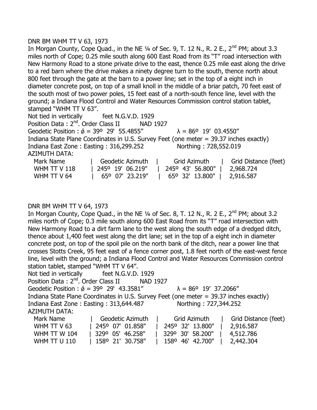#### DNR BM WHM TT V 63, 1973

In Morgan County, Cope Quad., in the NE  $\frac{1}{4}$  of Sec. 9, T. 12 N., R. 2 E., 2<sup>nd</sup> PM; about 3.3 miles north of Cope; 0.25 mile south along 600 East Road from its "T" road intersection with New Harmony Road to a stone private drive to the east, thence 0.25 mile east along the drive to a red barn where the drive makes a ninety degree turn to the south, thence north about 800 feet through the gate at the barn to a power line; set in the top of a eight inch in diameter concrete post, on top of a small knoll in the middle of a briar patch, 70 feet east of the south most of two power poles, 15 feet east of a north-south fence line, level with the ground; a Indiana Flood Control and Water Resources Commission control station tablet, stamped "WHM TT V 63".

Not tied in vertically feet N.G.V.D. 1929 Position Data: 2<sup>nd</sup>. Order Class II NAD 1927 Geodetic Position :  $\acute{\sigma}$  = 39° 29' 55.4855"  $\lambda$  = 86° 19' 03.4550" Indiana State Plane Coordinates in U.S. Survey Feet (one meter = 39.37 inches exactly) Indiana East Zone : Easting : 316,299.252 Northing : 728,552.019 AZIMUTH DATA: Mark Name | Geodetic Azimuth | Grid Azimuth | Grid Distance (feet)

|                | --------------                                                  |  |
|----------------|-----------------------------------------------------------------|--|
| WHM TT V $118$ | 245° 19' 06.219"   245° 43' 56.800"   2,968.724                 |  |
| WHM TT V 64    | $65^{\circ}$ 07' 23.219"   $65^{\circ}$ 32' 13.800"   2,916.587 |  |

# DNR BM WHM TT V 64, 1973

In Morgan County, Cope Quad., in the NE  $\frac{1}{4}$  of Sec. 8, T. 12 N., R. 2 E., 2<sup>nd</sup> PM; about 3.2 miles north of Cope; 0.3 mile south along 600 East Road from its "T" road intersection with New Harmony Road to a dirt farm lane to the west along the south edge of a dredged ditch, thence about 1,400 feet west along the dirt lane; set in the top of a eight inch in diameter concrete post, on top of the spoil pile on the north bank of the ditch, near a power line that crosses Stotts Creek, 95 feet east of a fence corner post, 1.8 feet north of the east-west fence line, level with the ground; a Indiana Flood Control and Water Resources Commission control station tablet, stamped "WHM TT V 64".

Not tied in vertically feet N.G.V.D. 1929 Position Data : 2<sup>nd</sup>. Order Class II NAD 1927 Geodetic Position :  $\acute{\theta}$  = 39° 29' 43.3581"  $\lambda$  = 86° 19' 37.2066" Indiana State Plane Coordinates in U.S. Survey Feet (one meter = 39.37 inches exactly) Indiana East Zone : Easting : 313,644.487 Northing : 727,344.252 AZIMUTH DATA: Mark Name | Geodetic Azimuth | Grid Azimuth | Grid Distance (feet) WHM TT V 63 | 245º 07' 01.858" | 245º 32' 13.800" | 2,916.587 WHM TT W 104 | 329º 05' 46.258" | 329º 30' 58.200" | 4,512.786

WHM TT U 110 | 158º 21' 30.758" | 158º 46' 42.700" | 2,442.304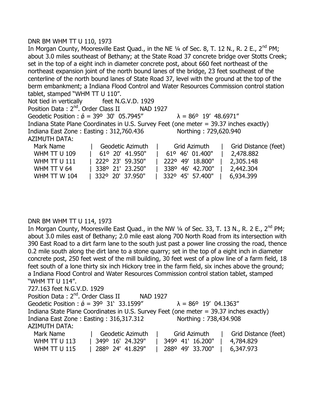# DNR BM WHM TT U 110, 1973

In Morgan County, Mooresville East Quad., in the NE  $\frac{1}{4}$  of Sec. 8, T. 12 N., R. 2 E., 2<sup>nd</sup> PM; about 3.0 miles southeast of Bethany; at the State Road 37 concrete bridge over Stotts Creek; set in the top of a eight inch in diameter concrete post, about 660 feet northeast of the northeast expansion joint of the north bound lanes of the bridge, 23 feet southeast of the centerline of the north bound lanes of State Road 37, level with the ground at the top of the berm embankment; a Indiana Flood Control and Water Resources Commission control station tablet, stamped "WHM TT U 110".

Not tied in vertically feet N.G.V.D. 1929 Position Data: 2<sup>nd</sup>. Order Class II NAD 1927 Geodetic Position :  $\acute{\sigma}$  = 39° 30' 05.7945"  $\lambda$  = 86° 19' 48.6971" Indiana State Plane Coordinates in U.S. Survey Feet (one meter = 39.37 inches exactly) Indiana East Zone : Easting : 312,760.436 Northing : 729,620.940 AZIMUTH DATA:

| Mark Name           | Geodetic Azimuth           | Grid Azimuth     | Grid Distance (feet) |
|---------------------|----------------------------|------------------|----------------------|
| <b>WHM TT U 109</b> | 61° 20′ 41.950″            | 61° 46' 01.400"  | 2,478.882            |
| <b>WHM TT U 111</b> | 222° 23′ 59.350″           | 222° 49' 18.800" | 2,305.148            |
| WHM TT V 64         | $ 338^{\circ} 21' 23.250"$ | 338° 46' 42.700" | 2,442.304            |
| <b>WHM TT W 104</b> | $ 332^{\circ} 20' 37.950"$ | 332° 45' 57.400" | 6,934.399            |

# DNR BM WHM TT U 114, 1973

In Morgan County, Mooresville East Quad., in the NW  $\frac{1}{4}$  of Sec. 33, T. 13 N., R. 2 E., 2<sup>nd</sup> PM; about 3.0 miles east of Bethany; 2.0 mile east along 700 North Road from its intersection with 390 East Road to a dirt farm lane to the south just past a power line crossing the road, thence 0.2 mile south along the dirt lane to a stone quarry; set in the top of a eight inch in diameter concrete post, 250 feet west of the mill building, 30 feet west of a plow line of a farm field, 18 feet south of a lone thirty six inch Hickory tree in the farm field, six inches above the ground; a Indiana Flood Control and Water Resources Commission control station tablet, stamped "WHM TT U 114".

727.163 feet N.G.V.D. 1929

| Position Data : 2 <sup>nd</sup> . Order Class II                                       |                   | NAD 1927      |                                     |                      |
|----------------------------------------------------------------------------------------|-------------------|---------------|-------------------------------------|----------------------|
| Geodetic Position : $\acute{\phi}$ = 39° 31′ 33.1599″                                  |                   |               | $\lambda = 86^{\circ}$ 19' 04.1363" |                      |
| Indiana State Plane Coordinates in U.S. Survey Feet (one meter = 39.37 inches exactly) |                   |               |                                     |                      |
| Indiana East Zone: Easting: 316,317.312                                                |                   |               | Northing: 738,434.908               |                      |
| AZIMUTH DATA:                                                                          |                   |               |                                     |                      |
| Mark Name                                                                              | Geodetic Azimuth  | and the state | Grid Azimuth                        | Grid Distance (feet) |
| $MULMA$ TT $H1112$                                                                     | ווחרר גר ואו חחגר |               | 2400 411 16 2001                    | <u> A 704 000 </u>   |

| WHM TT U 113        | 349° 16' 24.329" | $\parallel$ 349° 41' 16.200"   4,784.829 |  |
|---------------------|------------------|------------------------------------------|--|
| <b>WHM TT U 115</b> | 288º 24' 41.829" | 288° 49' 33.700"   6,347.973             |  |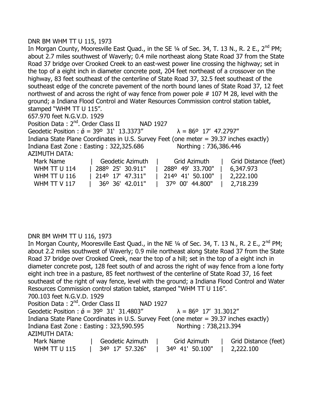# DNR BM WHM TT U 115, 1973

In Morgan County, Mooresville East Quad., in the SE  $1/4$  of Sec. 34, T. 13 N., R. 2 E., 2<sup>nd</sup> PM; about 2.7 miles southwest of Waverly; 0.4 mile northeast along State Road 37 from the State Road 37 bridge over Crooked Creek to an east-west power line crossing the highway; set in the top of a eight inch in diameter concrete post, 204 feet northeast of a crossover on the highway, 83 feet southeast of the centerline of State Road 37, 32.5 feet southeast of the southeast edge of the concrete pavement of the north bound lanes of State Road 37, 12 feet northwest of and across the right of way fence from power pole # 107 M 28, level with the ground; a Indiana Flood Control and Water Resources Commission control station tablet, stamped "WHM TT U 115". 657.970 feet N.G.V.D. 1929 Position Data: 2<sup>nd</sup>. Order Class II NAD 1927 Geodetic Position :  $\acute{\sigma}$  = 39° 31' 13.3373"  $\lambda$  = 86° 17' 47.2797"

Indiana State Plane Coordinates in U.S. Survey Feet (one meter = 39.37 inches exactly) Indiana East Zone: Easting: 322,325.686 Northing: 736,386.446

AZIMUTH DATA:

| Mark Name           | Geodetic Azimuth                         | Grid Azimuth     | Grid Distance (feet) |
|---------------------|------------------------------------------|------------------|----------------------|
| <b>WHM TT U 114</b> | 288 <sup>o</sup> 25' 30.911"             | 288° 49' 33.700" | 6,347.973            |
| <b>WHM TT U 116</b> | $\parallel$ 214 <sup>o</sup> 17' 47.311" | 214° 41' 50.100" | 2,222.100            |
| WHM TT V $117$      | 36° 36' 42.011"                          | 37° 00' 44.800"  | 2,718.239            |

# DNR BM WHM TT U 116, 1973

In Morgan County, Mooresville East Quad., in the NE 1/4 of Sec. 34, T. 13 N., R. 2 E., 2<sup>nd</sup> PM; about 2.2 miles southwest of Waverly; 0.9 mile northeast along State Road 37 from the State Road 37 bridge over Crooked Creek, near the top of a hill; set in the top of a eight inch in diameter concrete post, 128 feet south of and across the right of way fence from a lone forty eight inch tree in a pasture, 85 feet northwest of the centerline of State Road 37, 16 feet southeast of the right of way fence, level with the ground; a Indiana Flood Control and Water Resources Commission control station tablet, stamped "WHM TT U 116". 700.103 feet N.G.V.D. 1929

| , 00.103 ICCL ING. I.D. 1323                                                           |                  |          |                                     |                      |
|----------------------------------------------------------------------------------------|------------------|----------|-------------------------------------|----------------------|
| Position Data: 2 <sup>nd</sup> . Order Class II                                        |                  | NAD 1927 |                                     |                      |
| Geodetic Position : $\acute{\phi}$ = 39° 31' 31.4803"                                  |                  |          | $\lambda = 86^{\circ}$ 17' 31.3012" |                      |
| Indiana State Plane Coordinates in U.S. Survey Feet (one meter = 39.37 inches exactly) |                  |          |                                     |                      |
| Indiana East Zone: Easting: 323,590.595                                                |                  |          | Northing: 738,213.394               |                      |
| <b>AZIMUTH DATA:</b>                                                                   |                  |          |                                     |                      |
| Mark Name                                                                              | Geodetic Azimuth |          | Grid Azimuth                        | Grid Distance (feet) |
| <b>WHM TT U 115</b>                                                                    | 34° 17' 57.326"  |          | 34° 41' 50.100"                     | 2,222.100            |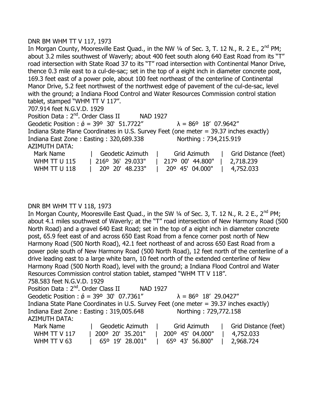# DNR BM WHM TT V 117, 1973

In Morgan County, Mooresville East Quad., in the NW  $\frac{1}{4}$  of Sec. 3, T. 12 N., R. 2 E., 2<sup>nd</sup> PM; about 3.2 miles southwest of Waverly; about 400 feet south along 640 East Road from its "T" road intersection with State Road 37 to its "T" road intersection with Continental Manor Drive, thence 0.3 mile east to a cul-de-sac; set in the top of a eight inch in diameter concrete post, 169.3 feet east of a power pole, about 100 feet northeast of the centerline of Continental Manor Drive, 5.2 feet northwest of the northwest edge of pavement of the cul-de-sac, level with the ground; a Indiana Flood Control and Water Resources Commission control station tablet, stamped "WHM TT V 117". 707.914 feet N.G.V.D. 1929 Position Data: 2<sup>nd</sup>. Order Class II NAD 1927

Geodetic Position :  $\acute{\theta}$  = 39° 30' 51.7722"  $\lambda$  = 86° 18' 07.9642" Indiana State Plane Coordinates in U.S. Survey Feet (one meter = 39.37 inches exactly) Indiana East Zone : Easting : 320,689.338 Northing : 734,215.919 AZIMUTH DATA: Mark Name | Geodetic Azimuth | Grid Azimuth | Grid Distance (feet)

| .                   |                                                                       |  |
|---------------------|-----------------------------------------------------------------------|--|
| <b>WHM TT U 115</b> | 216° 36′ 29.033″   217° 00′ 44.800″   2,718.239                       |  |
| <b>WHM TT U 118</b> | 20 <sup>o</sup> 20' 48.233"   20 <sup>o</sup> 45' 04.000"   4,752.033 |  |

# DNR BM WHM TT V 118, 1973

In Morgan County, Mooresville East Quad., in the SW 1/4 of Sec. 3, T. 12 N., R. 2 E., 2<sup>nd</sup> PM; about 4.1 miles southwest of Waverly; at the "T" road intersection of New Harmony Road (500 North Road) and a gravel 640 East Road; set in the top of a eight inch in diameter concrete post, 65.9 feet east of and across 650 East Road from a fence corner post north of New Harmony Road (500 North Road), 42.1 feet northeast of and across 650 East Road from a power pole south of New Harmony Road (500 North Road), 12 feet north of the centerline of a drive leading east to a large white barn, 10 feet north of the extended centerline of New Harmony Road (500 North Road), level with the ground; a Indiana Flood Control and Water Resources Commission control station tablet, stamped "WHM TT V 118". 758.583 feet N.G.V.D. 1929

Position Data: 2<sup>nd</sup>. Order Class II NAD 1927 Geodetic Position :  $\acute{\theta}$  = 39° 30' 07.7361"  $\lambda$  = 86° 18' 29.0427" Indiana State Plane Coordinates in U.S. Survey Feet (one meter = 39.37 inches exactly) Indiana East Zone : Easting : 319,005.648 Northing : 729,772.158 AZIMUTH DATA: Mark Name  $\qquad$  | Geodetic Azimuth | Grid Azimuth | Grid Distance (feet)

| Mark Name           | Geogetic Azimuth | Gria Azimuth     | I Grid Distance (Teet) |
|---------------------|------------------|------------------|------------------------|
| <b>WHM TT V 117</b> | 200° 20' 35.201" | 200° 45' 04.000" | 4,752.033              |
| WHM TT V 63         | 65° 19′ 28.001"  | 65° 43' 56.800"  | $\vert$ 2,968.724      |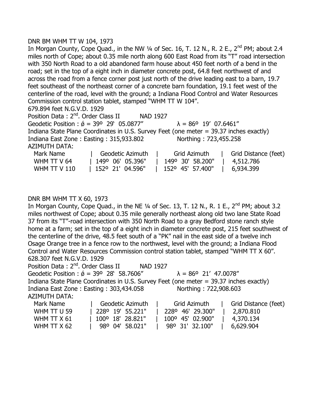#### DNR BM WHM TT W 104, 1973

In Morgan County, Cope Quad., in the NW  $\frac{1}{4}$  of Sec. 16, T. 12 N., R. 2 E., 2<sup>nd</sup> PM; about 2.4 miles north of Cope; about 0.35 mile north along 600 East Road from its "T" road intersection with 350 North Road to a old abandoned farm house about 450 feet north of a bend in the road; set in the top of a eight inch in diameter concrete post, 64.8 feet northwest of and across the road from a fence corner post just north of the drive leading east to a barn, 19.7 feet southeast of the northeast corner of a concrete barn foundation, 19.1 feet west of the centerline of the road, level with the ground; a Indiana Flood Control and Water Resources Commission control station tablet, stamped "WHM TT W 104".

679.894 feet N.G.V.D. 1929

Position Data: 2<sup>nd</sup>. Order Class II NAD 1927 Geodetic Position :  $\acute{\theta}$  = 39° 29' 05.0877"  $\lambda$  = 86° 19' 07.6461" Indiana State Plane Coordinates in U.S. Survey Feet (one meter = 39.37 inches exactly) Indiana East Zone : Easting : 315,933.802 Northing : 723,455.258 AZIMUTH DATA: Mark Name The Geodetic Azimuth | Grid Azimuth | Grid Distance (feet) WHM TT V 64 | 149º 06' 05.396" | 149º 30' 58.200" | 4,512.786

WHM TT V 110 | 152º 21' 04.596" | 152º 45' 57.400" | 6,934.399

#### DNR BM WHM TT X 60, 1973

In Morgan County, Cope Quad., in the NE  $\frac{1}{4}$  of Sec. 13, T. 12 N., R. 1 E., 2<sup>nd</sup> PM; about 3.2 miles northwest of Cope; about 0.35 mile generally northeast along old two lane State Road 37 from its "T"-road intersection with 350 North Road to a gray Bedford stone ranch style home at a farm; set in the top of a eight inch in diameter concrete post, 215 feet southwest of the centerline of the drive, 48.5 feet south of a "PK" nail in the east side of a twelve inch Osage Orange tree in a fence row to the northwest, level with the ground; a Indiana Flood Control and Water Resources Commission control station tablet, stamped "WHM TT X 60". 628.307 feet N.G.V.D. 1929

Position Data: 2<sup>nd</sup>. Order Class II NAD 1927

Geodetic Position :  $\acute{\sigma}$  = 39° 28' 58.7606"  $\lambda$  = 86° 21' 47.0078"

Indiana State Plane Coordinates in U.S. Survey Feet (one meter = 39.37 inches exactly) Indiana East Zone : Easting : 303,434.058 Northing : 722,908.603

AZIMUTH DATA:

| Mark Name   | Geodetic Azimuth             | Grid Azimuth              | Grid Distance (feet) |
|-------------|------------------------------|---------------------------|----------------------|
| WHM TT U 59 | 228 <sup>o</sup> 19' 55.221" | 228° 46' 29.300"          | 2,870.810            |
| WHM TT X 61 | 100° 18' 28.821"             | $100^{\circ}$ 45' 02.900" | 4,370.134            |
| WHM TT X 62 | 98° 04' 58.021"              | 98° 31' 32.100"           | 6,629.904            |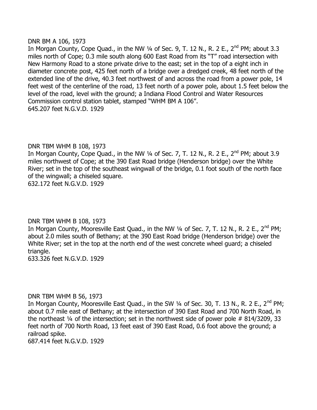#### DNR BM A 106, 1973

In Morgan County, Cope Quad., in the NW  $\frac{1}{4}$  of Sec. 9, T. 12 N., R. 2 E., 2<sup>nd</sup> PM; about 3.3 miles north of Cope; 0.3 mile south along 600 East Road from its "T" road intersection with New Harmony Road to a stone private drive to the east; set in the top of a eight inch in diameter concrete post, 425 feet north of a bridge over a dredged creek, 48 feet north of the extended line of the drive, 40.3 feet northwest of and across the road from a power pole, 14 feet west of the centerline of the road, 13 feet north of a power pole, about 1.5 feet below the level of the road, level with the ground; a Indiana Flood Control and Water Resources Commission control station tablet, stamped "WHM BM A 106". 645.207 feet N.G.V.D. 1929

# DNR TBM WHM B 108, 1973

In Morgan County, Cope Quad., in the NW  $\frac{1}{4}$  of Sec. 7, T. 12 N., R. 2 E., 2<sup>nd</sup> PM; about 3.9 miles northwest of Cope; at the 390 East Road bridge (Henderson bridge) over the White River; set in the top of the southeast wingwall of the bridge, 0.1 foot south of the north face of the wingwall; a chiseled square. 632.172 feet N.G.V.D. 1929

# DNR TBM WHM B 108, 1973

In Morgan County, Mooresville East Quad., in the NW  $\frac{1}{4}$  of Sec. 7, T. 12 N., R. 2 E., 2<sup>nd</sup> PM; about 2.0 miles south of Bethany; at the 390 East Road bridge (Henderson bridge) over the White River; set in the top at the north end of the west concrete wheel guard; a chiseled triangle.

633.326 feet N.G.V.D. 1929

#### DNR TBM WHM B 56, 1973

In Morgan County, Mooresville East Quad., in the SW 1/4 of Sec. 30, T. 13 N., R. 2 E., 2<sup>nd</sup> PM; about 0.7 mile east of Bethany; at the intersection of 390 East Road and 700 North Road, in the northeast ¼ of the intersection; set in the northwest side of power pole # 814/3209, 33 feet north of 700 North Road, 13 feet east of 390 East Road, 0.6 foot above the ground; a railroad spike.

687.414 feet N.G.V.D. 1929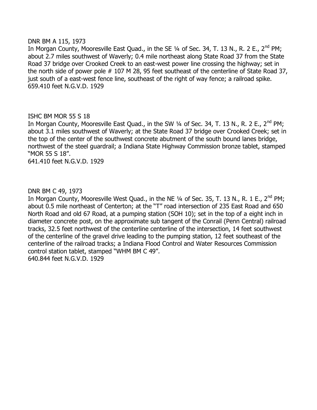#### DNR BM A 115, 1973

In Morgan County, Mooresville East Quad., in the SE 1/4 of Sec. 34, T. 13 N., R. 2 E., 2<sup>nd</sup> PM; about 2.7 miles southwest of Waverly; 0.4 mile northeast along State Road 37 from the State Road 37 bridge over Crooked Creek to an east-west power line crossing the highway; set in the north side of power pole # 107 M 28, 95 feet southeast of the centerline of State Road 37, just south of a east-west fence line, southeast of the right of way fence; a railroad spike. 659.410 feet N.G.V.D. 1929

# ISHC BM MOR 55 S 18

In Morgan County, Mooresville East Quad., in the SW  $\frac{1}{4}$  of Sec. 34, T. 13 N., R. 2 E., 2<sup>nd</sup> PM; about 3.1 miles southwest of Waverly; at the State Road 37 bridge over Crooked Creek; set in the top of the center of the southwest concrete abutment of the south bound lanes bridge, northwest of the steel guardrail; a Indiana State Highway Commission bronze tablet, stamped "MOR 55 S 18".

641.410 feet N.G.V.D. 1929

# DNR BM C 49, 1973

In Morgan County, Mooresville West Quad., in the NE  $\frac{1}{4}$  of Sec. 35, T. 13 N., R. 1 E., 2<sup>nd</sup> PM; about 0.5 mile northeast of Centerton; at the "T" road intersection of 235 East Road and 650 North Road and old 67 Road, at a pumping station (SOH 10); set in the top of a eight inch in diameter concrete post, on the approximate sub tangent of the Conrail (Penn Central) railroad tracks, 32.5 feet northwest of the centerline centerline of the intersection, 14 feet southwest of the centerline of the gravel drive leading to the pumping station, 12 feet southeast of the centerline of the railroad tracks; a Indiana Flood Control and Water Resources Commission control station tablet, stamped "WHM BM C 49". 640.844 feet N.G.V.D. 1929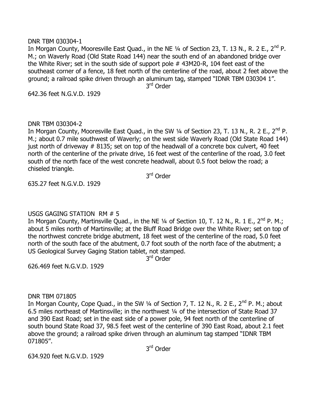#### DNR TBM 030304-1

In Morgan County, Mooresville East Quad., in the NE 1/4 of Section 23, T. 13 N., R. 2 E., 2<sup>nd</sup> P. M.; on Waverly Road (Old State Road 144) near the south end of an abandoned bridge over the White River; set in the south side of support pole # 43M20-R, 104 feet east of the southeast corner of a fence, 18 feet north of the centerline of the road, about 2 feet above the ground; a railroad spike driven through an aluminum tag, stamped "IDNR TBM 030304 1". 3<sup>rd</sup> Order

642.36 feet N.G.V.D. 1929

# DNR TBM 030304-2

In Morgan County, Mooresville East Quad., in the SW 1/4 of Section 23, T. 13 N., R. 2 E., 2<sup>nd</sup> P. M.; about 0.7 mile southwest of Waverly; on the west side Waverly Road (Old State Road 144) just north of driveway # 8135; set on top of the headwall of a concrete box culvert, 40 feet north of the centerline of the private drive, 16 feet west of the centerline of the road, 3.0 feet south of the north face of the west concrete headwall, about 0.5 foot below the road; a chiseled triangle.

3<sup>rd</sup> Order

635.27 feet N.G.V.D. 1929

# USGS GAGING STATION RM # 5

In Morgan County, Martinsville Quad., in the NE  $\frac{1}{4}$  of Section 10, T. 12 N., R. 1 E., 2<sup>nd</sup> P. M.; about 5 miles north of Martinsville; at the Bluff Road Bridge over the White River; set on top of the northwest concrete bridge abutment, 18 feet west of the centerline of the road, 5.0 feet north of the south face of the abutment, 0.7 foot south of the north face of the abutment; a US Geological Survey Gaging Station tablet, not stamped.

3<sup>rd</sup> Order

626.469 feet N.G.V.D. 1929

# DNR TBM 071805

In Morgan County, Cope Quad., in the SW  $\frac{1}{4}$  of Section 7, T. 12 N., R. 2 E., 2<sup>nd</sup> P. M.; about 6.5 miles northeast of Martinsville; in the northwest ¼ of the intersection of State Road 37 and 390 East Road; set in the east side of a power pole, 94 feet north of the centerline of south bound State Road 37, 98.5 feet west of the centerline of 390 East Road, about 2.1 feet above the ground; a railroad spike driven through an aluminum tag stamped "IDNR TBM 071805".

3<sup>rd</sup> Order

634.920 feet N.G.V.D. 1929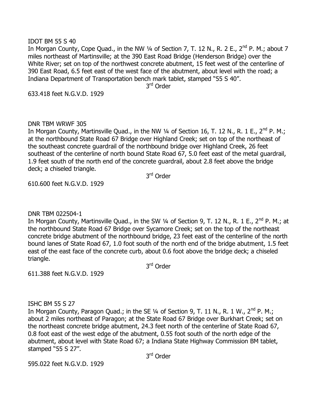#### IDOT BM 55 S 40

In Morgan County, Cope Quad., in the NW 1/4 of Section 7, T. 12 N., R. 2 E., 2<sup>nd</sup> P. M.; about 7 miles northeast of Martinsville; at the 390 East Road Bridge (Henderson Bridge) over the White River; set on top of the northwest concrete abutment, 15 feet west of the centerline of 390 East Road, 6.5 feet east of the west face of the abutment, about level with the road; a Indiana Department of Transportation bench mark tablet, stamped "55 S 40".

3<sup>rd</sup> Order

633.418 feet N.G.V.D. 1929

# DNR TBM WRWF 305

In Morgan County, Martinsville Quad., in the NW 1/4 of Section 16, T. 12 N., R. 1 E., 2<sup>nd</sup> P. M.; at the northbound State Road 67 Bridge over Highland Creek; set on top of the northeast of the southeast concrete guardrail of the northbound bridge over Highland Creek, 26 feet southeast of the centerline of north bound State Road 67, 5.0 feet east of the metal guardrail, 1.9 feet south of the north end of the concrete guardrail, about 2.8 feet above the bridge deck; a chiseled triangle.

3<sup>rd</sup> Order

610.600 feet N.G.V.D. 1929

DNR TBM 022504-1

In Morgan County, Martinsville Quad., in the SW 1/4 of Section 9, T. 12 N., R. 1 E., 2<sup>nd</sup> P. M.; at the northbound State Road 67 Bridge over Sycamore Creek; set on the top of the northeast concrete bridge abutment of the northbound bridge, 23 feet east of the centerline of the north bound lanes of State Road 67, 1.0 foot south of the north end of the bridge abutment, 1.5 feet east of the east face of the concrete curb, about 0.6 foot above the bridge deck; a chiseled triangle.

3<sup>rd</sup> Order

611.388 feet N.G.V.D. 1929

# ISHC BM 55 S 27

In Morgan County, Paragon Quad.; in the SE 1/4 of Section 9, T. 11 N., R. 1 W., 2<sup>nd</sup> P. M.; about 2 miles northeast of Paragon; at the State Road 67 Bridge over Burkhart Creek; set on the northeast concrete bridge abutment, 24.3 feet north of the centerline of State Road 67, 0.8 foot east of the west edge of the abutment, 0.55 foot south of the north edge of the abutment, about level with State Road 67; a Indiana State Highway Commission BM tablet, stamped "55 S 27".

3<sup>rd</sup> Order

595.022 feet N.G.V.D. 1929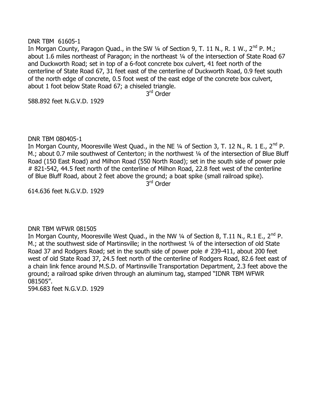#### DNR TBM 61605-1

In Morgan County, Paragon Quad., in the SW  $\frac{1}{4}$  of Section 9, T. 11 N., R. 1 W., 2<sup>nd</sup> P. M.; about 1.6 miles northeast of Paragon; in the northeast 1/4 of the intersection of State Road 67 and Duckworth Road; set in top of a 6-foot concrete box culvert, 41 feet north of the centerline of State Road 67, 31 feet east of the centerline of Duckworth Road, 0.9 feet south of the north edge of concrete, 0.5 foot west of the east edge of the concrete box culvert, about 1 foot below State Road 67; a chiseled triangle.

3<sup>rd</sup> Order

588.892 feet N.G.V.D. 1929

#### DNR TBM 080405-1

In Morgan County, Mooresville West Quad., in the NE  $\frac{1}{4}$  of Section 3, T. 12 N., R. 1 E., 2<sup>nd</sup> P. M.; about 0.7 mile southwest of Centerton; in the northwest 1/4 of the intersection of Blue Bluff Road (150 East Road) and Milhon Road (550 North Road); set in the south side of power pole # 821-542, 44.5 feet north of the centerline of Milhon Road, 22.8 feet west of the centerline of Blue Bluff Road, about 2 feet above the ground; a boat spike (small railroad spike).

3<sup>rd</sup> Order

614.636 feet N.G.V.D. 1929

# DNR TBM WFWR 081505

In Morgan County, Mooresville West Quad., in the NW  $\frac{1}{4}$  of Section 8, T.11 N., R.1 E., 2<sup>nd</sup> P. M.; at the southwest side of Martinsville; in the northwest 1/4 of the intersection of old State Road 37 and Rodgers Road; set in the south side of power pole # 239-411, about 200 feet west of old State Road 37, 24.5 feet north of the centerline of Rodgers Road, 82.6 feet east of a chain link fence around M.S.D. of Martinsville Transportation Department, 2.3 feet above the ground; a railroad spike driven through an aluminum tag, stamped "IDNR TBM WFWR 081505".

594.683 feet N.G.V.D. 1929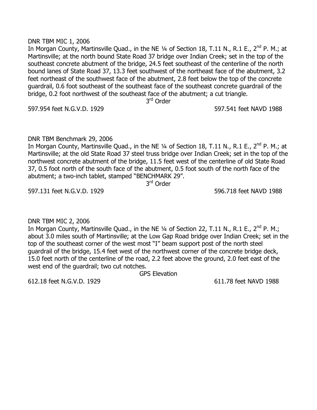#### DNR TBM MIC 1, 2006

In Morgan County, Martinsville Quad., in the NE 1/4 of Section 18, T.11 N., R.1 E., 2<sup>nd</sup> P. M.; at Martinsville; at the north bound State Road 37 bridge over Indian Creek; set in the top of the southeast concrete abutment of the bridge, 24.5 feet southeast of the centerline of the north bound lanes of State Road 37, 13.3 feet southwest of the northeast face of the abutment, 3.2 feet northeast of the southwest face of the abutment, 2.8 feet below the top of the concrete guardrail, 0.6 foot southeast of the southeast face of the southeast concrete guardrail of the bridge, 0.2 foot northwest of the southeast face of the abutment; a cut triangle.

597.954 feet N.G.V.D. 1929 597.541 feet NAVD 1988

# DNR TBM Benchmark 29, 2006

In Morgan County, Martinsville Quad., in the NE 1/4 of Section 18, T.11 N., R.1 E., 2<sup>nd</sup> P. M.; at Martinsville; at the old State Road 37 steel truss bridge over Indian Creek; set in the top of the northwest concrete abutment of the bridge, 11.5 feet west of the centerline of old State Road 37, 0.5 foot north of the south face of the abutment, 0.5 foot south of the north face of the abutment; a two-inch tablet, stamped "BENCHMARK 29".

3<sup>rd</sup> Order

597.131 feet N.G.V.D. 1929 596.718 feet NAVD 1988

DNR TBM MIC 2, 2006

In Morgan County, Martinsville Quad., in the NE  $\frac{1}{4}$  of Section 22, T.11 N., R.1 E., 2<sup>nd</sup> P. M.; about 3.0 miles south of Martinsville; at the Low Gap Road bridge over Indian Creek; set in the top of the southeast corner of the west most "I" beam support post of the north steel guardrail of the bridge, 15.4 feet west of the northwest corner of the concrete bridge deck, 15.0 feet north of the centerline of the road, 2.2 feet above the ground, 2.0 feet east of the west end of the guardrail; two cut notches.

GPS Elevation

612.18 feet N.G.V.D. 1929 611.78 feet NAVD 1988

3<sup>rd</sup> Order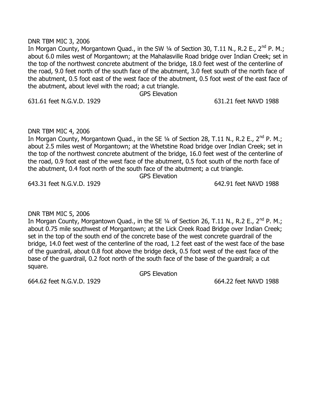#### DNR TBM MIC 3, 2006

In Morgan County, Morgantown Quad., in the SW  $\frac{1}{4}$  of Section 30, T.11 N., R.2 E., 2<sup>nd</sup> P. M.; about 6.0 miles west of Morgantown; at the Mahalasville Road bridge over Indian Creek; set in the top of the northwest concrete abutment of the bridge, 18.0 feet west of the centerline of the road, 9.0 feet north of the south face of the abutment, 3.0 feet south of the north face of the abutment, 0.5 foot east of the west face of the abutment, 0.5 foot west of the east face of the abutment, about level with the road; a cut triangle.

GPS Elevation

631.61 feet N.G.V.D. 1929 631.21 feet NAVD 1988

# DNR TBM MIC 4, 2006

In Morgan County, Morgantown Quad., in the SE  $\frac{1}{4}$  of Section 28, T.11 N., R.2 E., 2<sup>nd</sup> P. M.; about 2.5 miles west of Morgantown; at the Whetstine Road bridge over Indian Creek; set in the top of the northwest concrete abutment of the bridge, 16.0 feet west of the centerline of the road, 0.9 foot east of the west face of the abutment, 0.5 foot south of the north face of the abutment, 0.4 foot north of the south face of the abutment; a cut triangle.

GPS Elevation

643.31 feet N.G.V.D. 1929 642.91 feet NAVD 1988

# DNR TBM MIC 5, 2006

In Morgan County, Morgantown Quad., in the SE 1/4 of Section 26, T.11 N., R.2 E., 2<sup>nd</sup> P. M.; about 0.75 mile southwest of Morgantown; at the Lick Creek Road Bridge over Indian Creek; set in the top of the south end of the concrete base of the west concrete guardrail of the bridge, 14.0 feet west of the centerline of the road, 1.2 feet east of the west face of the base of the guardrail, about 0.8 foot above the bridge deck, 0.5 foot west of the east face of the base of the guardrail, 0.2 foot north of the south face of the base of the guardrail; a cut square.

GPS Elevation

664.62 feet N.G.V.D. 1929 664.22 feet NAVD 1988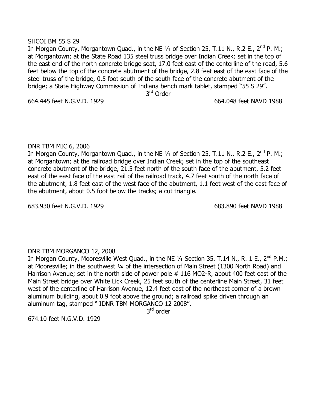#### SHCOI BM 55 S 29

In Morgan County, Morgantown Quad., in the NE  $\frac{1}{4}$  of Section 25, T.11 N., R.2 E., 2<sup>nd</sup> P. M.; at Morgantown; at the State Road 135 steel truss bridge over Indian Creek; set in the top of the east end of the north concrete bridge seat, 17.0 feet east of the centerline of the road, 5.6 feet below the top of the concrete abutment of the bridge, 2.8 feet east of the east face of the steel truss of the bridge, 0.5 foot south of the south face of the concrete abutment of the bridge; a State Highway Commission of Indiana bench mark tablet, stamped "55 S 29".

3<sup>rd</sup> Order

664.445 feet N.G.V.D. 1929 664.048 feet NAVD 1988

# DNR TBM MIC 6, 2006

In Morgan County, Morgantown Quad., in the NE  $\frac{1}{4}$  of Section 25, T.11 N., R.2 E., 2<sup>nd</sup> P. M.; at Morgantown; at the railroad bridge over Indian Creek; set in the top of the southeast concrete abutment of the bridge, 21.5 feet north of the south face of the abutment, 5.2 feet east of the east face of the east rail of the railroad track, 4.7 feet south of the north face of the abutment, 1.8 feet east of the west face of the abutment, 1.1 feet west of the east face of the abutment, about 0.5 foot below the tracks; a cut triangle.

683.930 feet N.G.V.D. 1929 683.890 feet NAVD 1988

# DNR TBM MORGANCO 12, 2008

In Morgan County, Mooresville West Quad., in the NE 1/4 Section 35, T.14 N., R. 1 E., 2<sup>nd</sup> P.M.; at Mooresville; in the southwest 1/4 of the intersection of Main Street (1300 North Road) and Harrison Avenue; set in the north side of power pole #116 MO2-R, about 400 feet east of the Main Street bridge over White Lick Creek, 25 feet south of the centerline Main Street, 31 feet west of the centerline of Harrison Avenue, 12.4 feet east of the northeast corner of a brown aluminum building, about 0.9 foot above the ground; a railroad spike driven through an aluminum tag, stamped " IDNR TBM MORGANCO 12 2008".

3<sup>rd</sup> order

674.10 feet N.G.V.D. 1929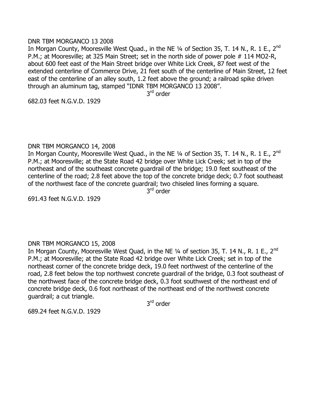## DNR TBM MORGANCO 13 2008

In Morgan County, Mooresville West Quad., in the NE 1/4 of Section 35, T. 14 N., R. 1 E., 2<sup>nd</sup> P.M.; at Mooresville; at 325 Main Street; set in the north side of power pole # 114 MO2-R, about 600 feet east of the Main Street bridge over White Lick Creek, 87 feet west of the extended centerline of Commerce Drive, 21 feet south of the centerline of Main Street, 12 feet east of the centerline of an alley south, 1.2 feet above the ground; a railroad spike driven through an aluminum tag, stamped "IDNR TBM MORGANCO 13 2008".

3<sup>rd</sup> order

682.03 feet N.G.V.D. 1929

#### DNR TBM MORGANCO 14, 2008

In Morgan County, Mooresville West Quad., in the NE 1/4 of Section 35, T. 14 N., R. 1 E., 2<sup>nd</sup> P.M.; at Mooresville; at the State Road 42 bridge over White Lick Creek; set in top of the northeast and of the southeast concrete guardrail of the bridge; 19.0 feet southeast of the centerline of the road; 2.8 feet above the top of the concrete bridge deck; 0.7 foot southeast of the northwest face of the concrete guardrail; two chiseled lines forming a square.

3<sup>rd</sup> order

691.43 feet N.G.V.D. 1929

# DNR TBM MORGANCO 15, 2008

In Morgan County, Mooresville West Quad, in the NE 1/4 of section 35, T. 14 N., R. 1 E., 2<sup>nd</sup> P.M.; at Mooresville; at the State Road 42 bridge over White Lick Creek; set in top of the northeast corner of the concrete bridge deck, 19.0 feet northwest of the centerline of the road, 2.8 feet below the top northwest concrete guardrail of the bridge, 0.3 foot southeast of the northwest face of the concrete bridge deck, 0.3 foot southwest of the northeast end of concrete bridge deck, 0.6 foot northeast of the northeast end of the northwest concrete guardrail; a cut triangle.

3<sup>rd</sup> order

689.24 feet N.G.V.D. 1929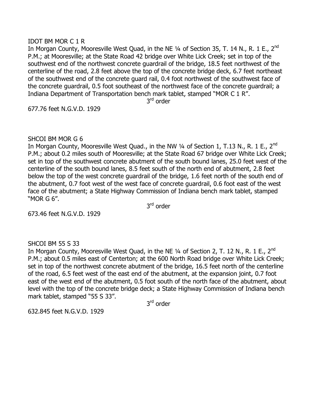## IDOT BM MOR C 1 R

In Morgan County, Mooresville West Quad, in the NE 1/4 of Section 35, T. 14 N., R. 1 E., 2<sup>nd</sup> P.M.; at Mooresville; at the State Road 42 bridge over White Lick Creek; set in top of the southwest end of the northwest concrete guardrail of the bridge, 18.5 feet northwest of the centerline of the road, 2.8 feet above the top of the concrete bridge deck, 6.7 feet northeast of the southwest end of the concrete guard rail, 0.4 foot northwest of the southwest face of the concrete guardrail, 0.5 foot southeast of the northwest face of the concrete guardrail; a Indiana Department of Transportation bench mark tablet, stamped "MOR C 1 R".

3<sup>rd</sup> order

677.76 feet N.G.V.D. 1929

# SHCOI BM MOR G 6

In Morgan County, Mooresville West Quad., in the NW 1/4 of Section 1, T.13 N., R. 1 E., 2<sup>nd</sup> P.M.; about 0.2 miles south of Mooresville; at the State Road 67 bridge over White Lick Creek; set in top of the southwest concrete abutment of the south bound lanes, 25.0 feet west of the centerline of the south bound lanes, 8.5 feet south of the north end of abutment, 2.8 feet below the top of the west concrete guardrail of the bridge, 1.6 feet north of the south end of the abutment, 0.7 foot west of the west face of concrete guardrail, 0.6 foot east of the west face of the abutment; a State Highway Commission of Indiana bench mark tablet, stamped "MOR G 6".

3<sup>rd</sup> order

673.46 feet N.G.V.D. 1929

# SHCOI BM 55 S 33

In Morgan County, Mooresville West Quad, in the NE 1/4 of Section 2, T. 12 N., R. 1 E., 2<sup>nd</sup> P.M.; about 0.5 miles east of Centerton; at the 600 North Road bridge over White Lick Creek; set in top of the northwest concrete abutment of the bridge, 16.5 feet north of the centerline of the road, 6.5 feet west of the east end of the abutment, at the expansion joint, 0.7 foot east of the west end of the abutment, 0.5 foot south of the north face of the abutment, about level with the top of the concrete bridge deck; a State Highway Commission of Indiana bench mark tablet, stamped "55 S 33".

3<sup>rd</sup> order

632.845 feet N.G.V.D. 1929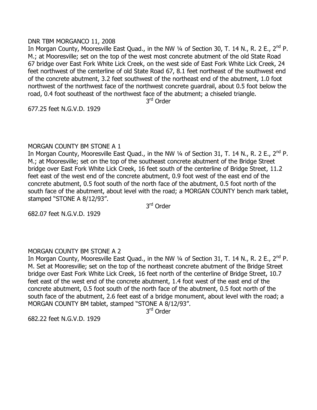## DNR TBM MORGANCO 11, 2008

In Morgan County, Mooresville East Quad., in the NW 1/4 of Section 30, T. 14 N., R. 2 E., 2<sup>nd</sup> P. M.; at Mooresville; set on the top of the west most concrete abutment of the old State Road 67 bridge over East Fork White Lick Creek, on the west side of East Fork White Lick Creek, 24 feet northwest of the centerline of old State Road 67, 8.1 feet northeast of the southwest end of the concrete abutment, 3.2 feet southwest of the northeast end of the abutment, 1.0 foot northwest of the northwest face of the northwest concrete guardrail, about 0.5 foot below the road, 0.4 foot southeast of the northwest face of the abutment; a chiseled triangle.

3<sup>rd</sup> Order

677.25 feet N.G.V.D. 1929

# MORGAN COUNTY BM STONE A 1

In Morgan County, Mooresville East Quad., in the NW 1/4 of Section 31, T. 14 N., R. 2 E., 2<sup>nd</sup> P. M.; at Mooresville; set on the top of the southeast concrete abutment of the Bridge Street bridge over East Fork White Lick Creek, 16 feet south of the centerline of Bridge Street, 11.2 feet east of the west end of the concrete abutment, 0.9 foot west of the east end of the concrete abutment, 0.5 foot south of the north face of the abutment, 0.5 foot north of the south face of the abutment, about level with the road; a MORGAN COUNTY bench mark tablet, stamped "STONE A 8/12/93".

3<sup>rd</sup> Order

682.07 feet N.G.V.D. 1929

# MORGAN COUNTY BM STONE A 2

In Morgan County, Mooresville East Quad., in the NW 1/4 of Section 31, T. 14 N., R. 2 E., 2<sup>nd</sup> P. M. Set at Mooresville; set on the top of the northeast concrete abutment of the Bridge Street bridge over East Fork White Lick Creek, 16 feet north of the centerline of Bridge Street, 10.7 feet east of the west end of the concrete abutment, 1.4 foot west of the east end of the concrete abutment, 0.5 foot south of the north face of the abutment, 0.5 foot north of the south face of the abutment, 2.6 feet east of a bridge monument, about level with the road; a MORGAN COUNTY BM tablet, stamped "STONE A 8/12/93".

3<sup>rd</sup> Order

682.22 feet N.G.V.D. 1929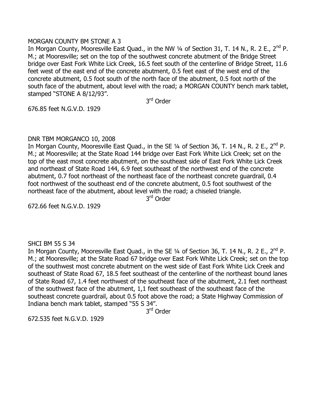# MORGAN COUNTY BM STONE A 3

In Morgan County, Mooresville East Quad., in the NW 1/4 of Section 31, T. 14 N., R. 2 E., 2<sup>nd</sup> P. M.; at Mooresville; set on the top of the southwest concrete abutment of the Bridge Street bridge over East Fork White Lick Creek, 16.5 feet south of the centerline of Bridge Street, 11.6 feet west of the east end of the concrete abutment, 0.5 feet east of the west end of the concrete abutment, 0.5 foot south of the north face of the abutment, 0.5 foot north of the south face of the abutment, about level with the road; a MORGAN COUNTY bench mark tablet, stamped "STONE A 8/12/93".

3<sup>rd</sup> Order

676.85 feet N.G.V.D. 1929

# DNR TBM MORGANCO 10, 2008

In Morgan County, Mooresville East Quad., in the SE 1/4 of Section 36, T. 14 N., R. 2 E., 2<sup>nd</sup> P. M.; at Mooresville; at the State Road 144 bridge over East Fork White Lick Creek; set on the top of the east most concrete abutment, on the southeast side of East Fork White Lick Creek and northeast of State Road 144, 6.9 feet southeast of the northwest end of the concrete abutment, 0.7 foot northeast of the northeast face of the northeast concrete guardrail, 0.4 foot northwest of the southeast end of the concrete abutment, 0.5 foot southwest of the northeast face of the abutment, about level with the road; a chiseled triangle.

3<sup>rd</sup> Order

672.66 feet N.G.V.D. 1929

# SHCI BM 55 S 34

In Morgan County, Mooresville East Quad., in the SE  $\frac{1}{4}$  of Section 36, T. 14 N., R. 2 E., 2<sup>nd</sup> P. M.; at Mooresville; at the State Road 67 bridge over East Fork White Lick Creek; set on the top of the southwest most concrete abutment on the west side of East Fork White Lick Creek and southeast of State Road 67, 18.5 feet southeast of the centerline of the northeast bound lanes of State Road 67, 1.4 feet northwest of the southeast face of the abutment, 2.1 feet northeast of the southwest face of the abutment, 1,1 feet southeast of the southeast face of the southeast concrete guardrail, about 0.5 foot above the road; a State Highway Commission of Indiana bench mark tablet, stamped "55 S 34".

3<sup>rd</sup> Order

672.535 feet N.G.V.D. 1929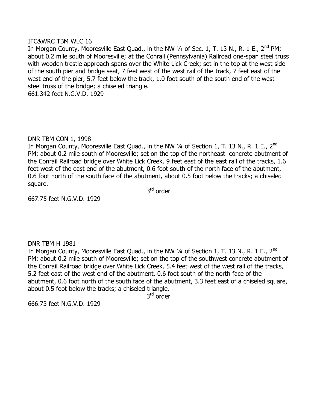#### IFC&WRC TBM WLC 16

In Morgan County, Mooresville East Quad., in the NW 1/4 of Sec. 1, T. 13 N., R. 1 E., 2<sup>nd</sup> PM; about 0.2 mile south of Mooresville; at the Conrail (Pennsylvania) Railroad one-span steel truss with wooden trestle approach spans over the White Lick Creek; set in the top at the west side of the south pier and bridge seat, 7 feet west of the west rail of the track, 7 feet east of the west end of the pier, 5.7 feet below the track, 1.0 foot south of the south end of the west steel truss of the bridge; a chiseled triangle. 661.342 feet N.G.V.D. 1929

DNR TBM CON 1, 1998

In Morgan County, Mooresville East Quad., in the NW 1/4 of Section 1, T. 13 N., R. 1 E., 2<sup>nd</sup> PM; about 0.2 mile south of Mooresville; set on the top of the northeast concrete abutment of the Conrail Railroad bridge over White Lick Creek, 9 feet east of the east rail of the tracks, 1.6 feet west of the east end of the abutment, 0.6 foot south of the north face of the abutment, 0.6 foot north of the south face of the abutment, about 0.5 foot below the tracks; a chiseled square.

3<sup>rd</sup> order

667.75 feet N.G.V.D. 1929

#### DNR TBM H 1981

In Morgan County, Mooresville East Quad., in the NW 1/4 of Section 1, T. 13 N., R. 1 E., 2<sup>nd</sup> PM; about 0.2 mile south of Mooresville; set on the top of the southwest concrete abutment of the Conrail Railroad bridge over White Lick Creek, 5.4 feet west of the west rail of the tracks, 5.2 feet east of the west end of the abutment, 0.6 foot south of the north face of the abutment, 0.6 foot north of the south face of the abutment, 3.3 feet east of a chiseled square, about 0.5 foot below the tracks; a chiseled triangle.

3<sup>rd</sup> order

666.73 feet N.G.V.D. 1929